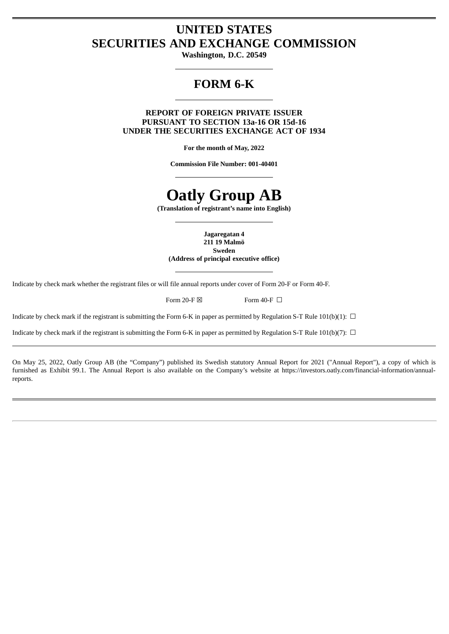## **UNITED STATES SECURITIES AND EXCHANGE COMMISSION**

**Washington, D.C. 20549**

## **FORM 6-K**

## **REPORT OF FOREIGN PRIVATE ISSUER PURSUANT TO SECTION 13a-16 OR 15d-16 UNDER THE SECURITIES EXCHANGE ACT OF 1934**

**For the month of May, 2022**

**Commission File Number: 001-40401**

## **Oatly Group AB**

**(Translation of registrant's name into English)**

**Jagaregatan 4 211 19 Malmö**

**Sweden (Address of principal executive office)**

Indicate by check mark whether the registrant files or will file annual reports under cover of Form 20-F or Form 40-F.

Form 20-F  $\boxtimes$  Form 40-F  $\Box$ 

Indicate by check mark if the registrant is submitting the Form 6-K in paper as permitted by Regulation S-T Rule 101(b)(1):  $\Box$ 

Indicate by check mark if the registrant is submitting the Form 6-K in paper as permitted by Regulation S-T Rule 101(b)(7):  $\Box$ 

On May 25, 2022, Oatly Group AB (the "Company") published its Swedish statutory Annual Report for 2021 ("Annual Report"), a copy of which is furnished as Exhibit 99.1. The Annual Report is also available on the Company's website at https://investors.oatly.com/financial-information/annualreports.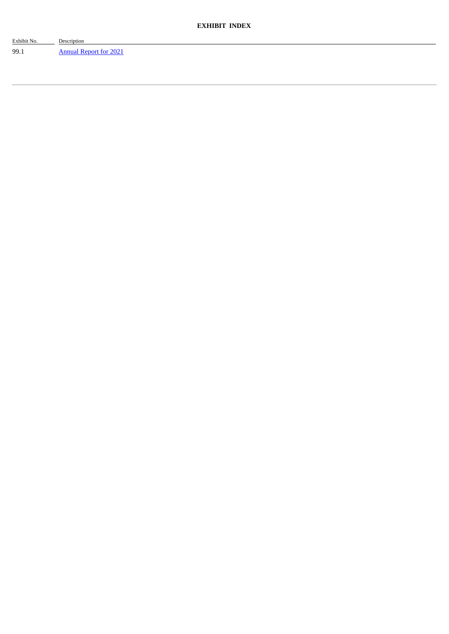| Exhibit No. | Description            |
|-------------|------------------------|
| 99.1        | Annual Report for 2021 |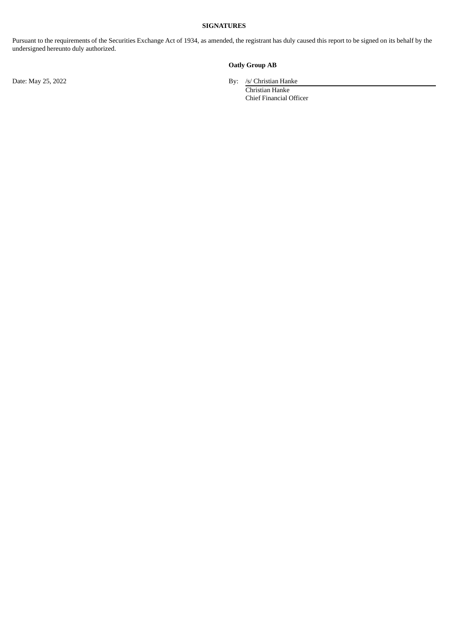#### **SIGNATURES**

Pursuant to the requirements of the Securities Exchange Act of 1934, as amended, the registrant has duly caused this report to be signed on its behalf by the undersigned hereunto duly authorized.

## **Oatly Group AB**

Date: May 25, 2022 By: /s/ Christian Hanke

Christian Hanke Chief Financial Officer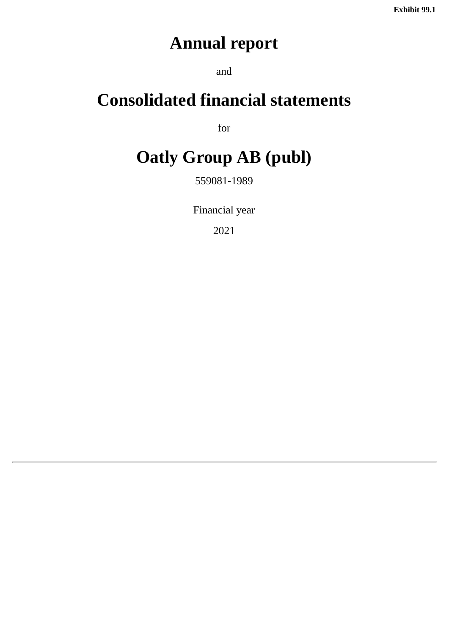# **Annual report**

and

# <span id="page-3-0"></span>**Consolidated financial statements**

for

# **Oatly Group AB (publ)**

559081-1989

Financial year

2021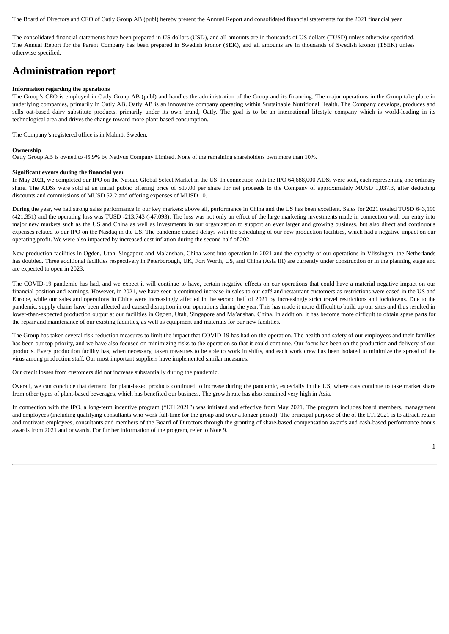The Board of Directors and CEO of Oatly Group AB (publ) hereby present the Annual Report and consolidated financial statements for the 2021 financial year.

The consolidated financial statements have been prepared in US dollars (USD), and all amounts are in thousands of US dollars (TUSD) unless otherwise specified. The Annual Report for the Parent Company has been prepared in Swedish kronor (SEK), and all amounts are in thousands of Swedish kronor (TSEK) unless otherwise specified.

## **Administration report**

#### **Information regarding the operations**

The Group's CEO is employed in Oatly Group AB (publ) and handles the administration of the Group and its financing. The major operations in the Group take place in underlying companies, primarily in Oatly AB. Oatly AB is an innovative company operating within Sustainable Nutritional Health. The Company develops, produces and sells oat-based dairy substitute products, primarily under its own brand, Oatly. The goal is to be an international lifestyle company which is world-leading in its technological area and drives the change toward more plant-based consumption.

The Company's registered office is in Malmö, Sweden.

#### **Ownership**

Oatly Group AB is owned to 45.9% by Nativus Company Limited. None of the remaining shareholders own more than 10%.

#### **Significant events during the financial year**

In May 2021, we completed our IPO on the Nasdaq Global Select Market in the US. In connection with the IPO 64,688,000 ADSs were sold, each representing one ordinary share. The ADSs were sold at an initial public offering price of \$17.00 per share for net proceeds to the Company of approximately MUSD 1,037.3, after deducting discounts and commissions of MUSD 52.2 and offering expenses of MUSD 10.

During the year, we had strong sales performance in our key markets: above all, performance in China and the US has been excellent. Sales for 2021 totaled TUSD 643,190 (421,351) and the operating loss was TUSD -213,743 (-47,093). The loss was not only an effect of the large marketing investments made in connection with our entry into major new markets such as the US and China as well as investments in our organization to support an ever larger and growing business, but also direct and continuous expenses related to our IPO on the Nasdaq in the US. The pandemic caused delays with the scheduling of our new production facilities, which had a negative impact on our operating profit. We were also impacted by increased cost inflation during the second half of 2021.

New production facilities in Ogden, Utah, Singapore and Ma'anshan, China went into operation in 2021 and the capacity of our operations in Vlissingen, the Netherlands has doubled. Three additional facilities respectively in Peterborough, UK, Fort Worth, US, and China (Asia III) are currently under construction or in the planning stage and are expected to open in 2023.

The COVID-19 pandemic has had, and we expect it will continue to have, certain negative effects on our operations that could have a material negative impact on our financial position and earnings. However, in 2021, we have seen a continued increase in sales to our café and restaurant customers as restrictions were eased in the US and Europe, while our sales and operations in China were increasingly affected in the second half of 2021 by increasingly strict travel restrictions and lockdowns. Due to the pandemic, supply chains have been affected and caused disruption in our operations during the year. This has made it more difficult to build up our sites and thus resulted in lower-than-expected production output at our facilities in Ogden, Utah, Singapore and Ma'anshan, China. In addition, it has become more difficult to obtain spare parts for the repair and maintenance of our existing facilities, as well as equipment and materials for our new facilities.

The Group has taken several risk-reduction measures to limit the impact that COVID-19 has had on the operation. The health and safety of our employees and their families has been our top priority, and we have also focused on minimizing risks to the operation so that it could continue. Our focus has been on the production and delivery of our products. Every production facility has, when necessary, taken measures to be able to work in shifts, and each work crew has been isolated to minimize the spread of the virus among production staff. Our most important suppliers have implemented similar measures.

Our credit losses from customers did not increase substantially during the pandemic.

Overall, we can conclude that demand for plant-based products continued to increase during the pandemic, especially in the US, where oats continue to take market share from other types of plant-based beverages, which has benefited our business. The growth rate has also remained very high in Asia.

In connection with the IPO, a long-term incentive program ("LTI 2021") was initiated and effective from May 2021. The program includes board members, management and employees (including qualifying consultants who work full-time for the group and over a longer period). The principal purpose of the of the LTI 2021 is to attract, retain and motivate employees, consultants and members of the Board of Directors through the granting of share-based compensation awards and cash-based performance bonus awards from 2021 and onwards. For further information of the program, refer to Note 9.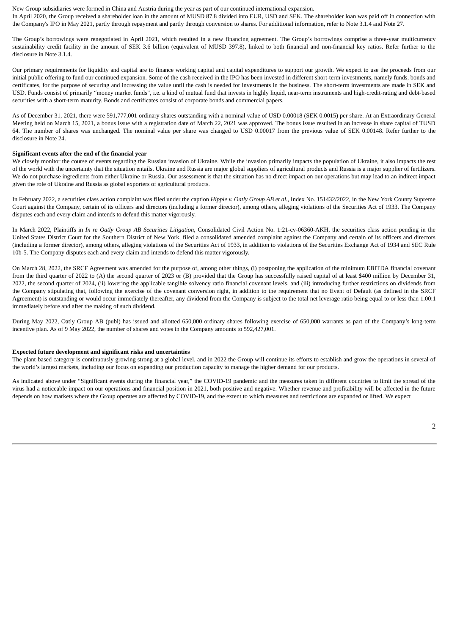New Group subsidiaries were formed in China and Austria during the year as part of our continued international expansion. In April 2020, the Group received a shareholder loan in the amount of MUSD 87.8 divided into EUR, USD and SEK. The shareholder loan was paid off in connection with the Company's IPO in May 2021, partly through repayment and partly through conversion to shares. For additional information, refer to Note 3.1.4 and Note 27.

The Group's borrowings were renegotiated in April 2021, which resulted in a new financing agreement. The Group's borrowings comprise a three-year multicurrency sustainability credit facility in the amount of SEK 3.6 billion (equivalent of MUSD 397.8), linked to both financial and non-financial key ratios. Refer further to the disclosure in Note 3.1.4.

Our primary requirements for liquidity and capital are to finance working capital and capital expenditures to support our growth. We expect to use the proceeds from our initial public offering to fund our continued expansion. Some of the cash received in the IPO has been invested in different short-term investments, namely funds, bonds and certificates, for the purpose of securing and increasing the value until the cash is needed for investments in the business. The short-term investments are made in SEK and USD. Funds consist of primarily "money market funds", i.e. a kind of mutual fund that invests in highly liquid, near-term instruments and high-credit-rating and debt-based securities with a short-term maturity. Bonds and certificates consist of corporate bonds and commercial papers.

As of December 31, 2021, there were 591,777,001 ordinary shares outstanding with a nominal value of USD 0.00018 (SEK 0.0015) per share. At an Extraordinary General Meeting held on March 15, 2021, a bonus issue with a registration date of March 22, 2021 was approved. The bonus issue resulted in an increase in share capital of TUSD 64. The number of shares was unchanged. The nominal value per share was changed to USD 0.00017 from the previous value of SEK 0.00148. Refer further to the disclosure in Note 24

#### **Significant events after the end of the financial year**

We closely monitor the course of events regarding the Russian invasion of Ukraine. While the invasion primarily impacts the population of Ukraine, it also impacts the rest of the world with the uncertainty that the situation entails. Ukraine and Russia are major global suppliers of agricultural products and Russia is a major supplier of fertilizers. We do not purchase ingredients from either Ukraine or Russia. Our assessment is that the situation has no direct impact on our operations but may lead to an indirect impact given the role of Ukraine and Russia as global exporters of agricultural products.

In February 2022, a securities class action complaint was filed under the caption *Hipple v. Oatly Group AB et al.*, Index No. 151432/2022, in the New York County Supreme Court against the Company, certain of its officers and directors (including a former director), among others, alleging violations of the Securities Act of 1933. The Company disputes each and every claim and intends to defend this matter vigorously.

In March 2022, Plaintiffs in *In re Oatly Group AB Securities Litigation*, Consolidated Civil Action No. 1:21-cv-06360-AKH, the securities class action pending in the United States District Court for the Southern District of New York, filed a consolidated amended complaint against the Company and certain of its officers and directors (including a former director), among others, alleging violations of the Securities Act of 1933, in addition to violations of the Securities Exchange Act of 1934 and SEC Rule 10b-5. The Company disputes each and every claim and intends to defend this matter vigorously.

On March 28, 2022, the SRCF Agreement was amended for the purpose of, among other things, (i) postponing the application of the minimum EBITDA financial covenant from the third quarter of 2022 to (A) the second quarter of 2023 or (B) provided that the Group has successfully raised capital of at least \$400 million by December 31, 2022, the second quarter of 2024, (ii) lowering the applicable tangible solvency ratio financial covenant levels, and (iii) introducing further restrictions on dividends from the Company stipulating that, following the exercise of the covenant conversion right, in addition to the requirement that no Event of Default (as defined in the SRCF Agreement) is outstanding or would occur immediately thereafter, any dividend from the Company is subject to the total net leverage ratio being equal to or less than 1.00:1 immediately before and after the making of such dividend.

During May 2022, Oatly Group AB (publ) has issued and allotted 650,000 ordinary shares following exercise of 650,000 warrants as part of the Company's long-term incentive plan. As of 9 May 2022, the number of shares and votes in the Company amounts to 592,427,001.

#### **Expected future development and significant risks and uncertainties**

The plant-based category is continuously growing strong at a global level, and in 2022 the Group will continue its efforts to establish and grow the operations in several of the world's largest markets, including our focus on expanding our production capacity to manage the higher demand for our products.

As indicated above under "Significant events during the financial year," the COVID-19 pandemic and the measures taken in different countries to limit the spread of the virus had a noticeable impact on our operations and financial position in 2021, both positive and negative. Whether revenue and profitability will be affected in the future depends on how markets where the Group operates are affected by COVID-19, and the extent to which measures and restrictions are expanded or lifted. We expect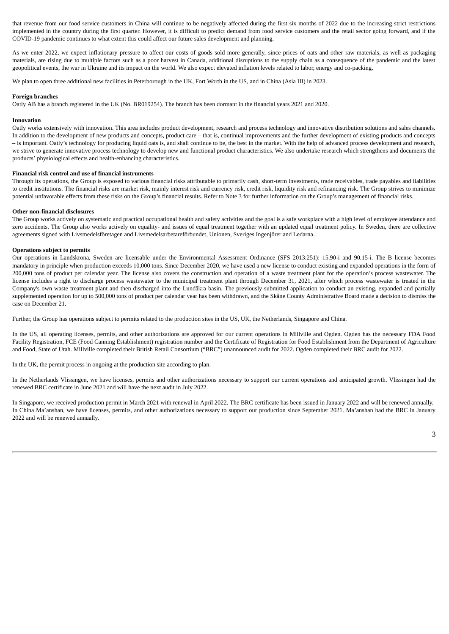that revenue from our food service customers in China will continue to be negatively affected during the first six months of 2022 due to the increasing strict restrictions implemented in the country during the first quarter. However, it is difficult to predict demand from food service customers and the retail sector going forward, and if the COVID-19 pandemic continues to what extent this could affect our future sales development and planning.

As we enter 2022, we expect inflationary pressure to affect our costs of goods sold more generally, since prices of oats and other raw materials, as well as packaging materials, are rising due to multiple factors such as a poor harvest in Canada, additional disruptions to the supply chain as a consequence of the pandemic and the latest geopolitical events, the war in Ukraine and its impact on the world. We also expect elevated inflation levels related to labor, energy and co-packing.

We plan to open three additional new facilities in Peterborough in the UK, Fort Worth in the US, and in China (Asia III) in 2023.

#### **Foreign branches**

Oatly AB has a branch registered in the UK (No. BR019254). The branch has been dormant in the financial years 2021 and 2020.

#### **Innovation**

Oatly works extensively with innovation. This area includes product development, research and process technology and innovative distribution solutions and sales channels. In addition to the development of new products and concepts, product care – that is, continual improvements and the further development of existing products and concepts – is important. Oatly's technology for producing liquid oats is, and shall continue to be, the best in the market. With the help of advanced process development and research, we strive to generate innovative process technology to develop new and functional product characteristics. We also undertake research which strengthens and documents the products' physiological effects and health-enhancing characteristics.

#### **Financial risk control and use of financial instruments**

Through its operations, the Group is exposed to various financial risks attributable to primarily cash, short-term investments, trade receivables, trade payables and liabilities to credit institutions. The financial risks are market risk, mainly interest risk and currency risk, credit risk, liquidity risk and refinancing risk. The Group strives to minimize potential unfavorable effects from these risks on the Group's financial results. Refer to Note 3 for further information on the Group's management of financial risks.

#### **Other non-financial disclosures**

The Group works actively on systematic and practical occupational health and safety activities and the goal is a safe workplace with a high level of employee attendance and zero accidents. The Group also works actively on equality- and issues of equal treatment together with an updated equal treatment policy. In Sweden, there are collective agreements signed with Livsmedelsföretagen and Livsmedelsarbetareförbundet, Unionen, Sveriges Ingenjörer and Ledarna.

#### **Operations subject to permits**

Our operations in Landskrona, Sweden are licensable under the Environmental Assessment Ordinance (SFS 2013:251): 15.90-i and 90.15-i. The B license becomes mandatory in principle when production exceeds 10,000 tons. Since December 2020, we have used a new license to conduct existing and expanded operations in the form of 200,000 tons of product per calendar year. The license also covers the construction and operation of a waste treatment plant for the operation's process wastewater. The license includes a right to discharge process wastewater to the municipal treatment plant through December 31, 2021, after which process wastewater is treated in the Company's own waste treatment plant and then discharged into the Lundåkra basin. The previously submitted application to conduct an existing, expanded and partially supplemented operation for up to 500,000 tons of product per calendar year has been withdrawn, and the Skåne County Administrative Board made a decision to dismiss the case on December 21.

Further, the Group has operations subject to permits related to the production sites in the US, UK, the Netherlands, Singapore and China.

In the US, all operating licenses, permits, and other authorizations are approved for our current operations in Millville and Ogden. Ogden has the necessary FDA Food Facility Registration, FCE (Food Canning Establishment) registration number and the Certificate of Registration for Food Establishment from the Department of Agriculture and Food, State of Utah. Millville completed their British Retail Consortium ("BRC") unannounced audit for 2022. Ogden completed their BRC audit for 2022.

In the UK, the permit process in ongoing at the production site according to plan.

In the Netherlands Vlissingen, we have licenses, permits and other authorizations necessary to support our current operations and anticipated growth. Vlissingen had the renewed BRC certificate in June 2021 and will have the next audit in July 2022.

In Singapore, we received production permit in March 2021 with renewal in April 2022. The BRC certificate has been issued in January 2022 and will be renewed annually. In China Ma'anshan, we have licenses, permits, and other authorizations necessary to support our production since September 2021. Ma'anshan had the BRC in January 2022 and will be renewed annually.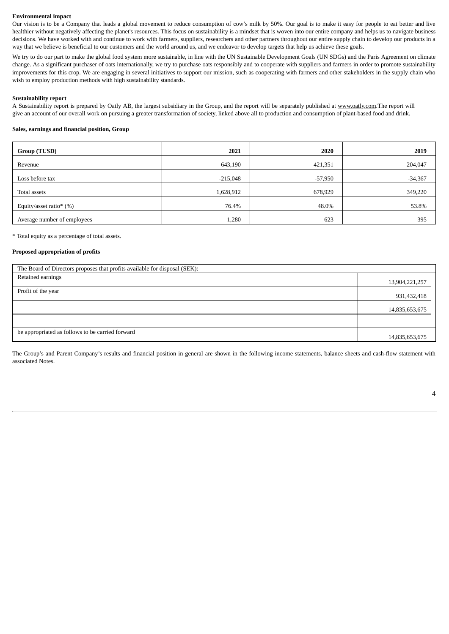#### **Environmental impact**

Our vision is to be a Company that leads a global movement to reduce consumption of cow's milk by 50%. Our goal is to make it easy for people to eat better and live healthier without negatively affecting the planet's resources. This focus on sustainability is a mindset that is woven into our entire company and helps us to navigate business decisions. We have worked with and continue to work with farmers, suppliers, researchers and other partners throughout our entire supply chain to develop our products in a way that we believe is beneficial to our customers and the world around us, and we endeavor to develop targets that help us achieve these goals.

We try to do our part to make the global food system more sustainable, in line with the UN Sustainable Development Goals (UN SDGs) and the Paris Agreement on climate change. As a significant purchaser of oats internationally, we try to purchase oats responsibly and to cooperate with suppliers and farmers in order to promote sustainability improvements for this crop. We are engaging in several initiatives to support our mission, such as cooperating with farmers and other stakeholders in the supply chain who wish to employ production methods with high sustainability standards.

#### **Sustainability report**

A Sustainability report is prepared by Oatly AB, the largest subsidiary in the Group, and the report will be separately published at www.oatly.com.The report will give an account of our overall work on pursuing a greater transformation of society, linked above all to production and consumption of plant-based food and drink.

#### **Sales, earnings and financial position, Group**

| Group (TUSD)                | 2021       | 2020    | 2019      |
|-----------------------------|------------|---------|-----------|
| Revenue                     | 643,190    | 421,351 | 204,047   |
| Loss before tax             | $-215,048$ | -57,950 | $-34,367$ |
| Total assets                | 1,628,912  | 678,929 | 349,220   |
| Equity/asset ratio* $(\%)$  | 76.4%      | 48.0%   | 53.8%     |
| Average number of employees | 1,280      | 623     | 395       |

\* Total equity as a percentage of total assets.

#### **Proposed appropriation of profits**

| The Board of Directors proposes that profits available for disposal (SEK): |                |  |  |  |  |
|----------------------------------------------------------------------------|----------------|--|--|--|--|
| Retained earnings                                                          | 13,904,221,257 |  |  |  |  |
| Profit of the year                                                         | 931,432,418    |  |  |  |  |
|                                                                            | 14,835,653,675 |  |  |  |  |
|                                                                            |                |  |  |  |  |
| be appropriated as follows to be carried forward                           | 14,835,653,675 |  |  |  |  |

The Group's and Parent Company's results and financial position in general are shown in the following income statements, balance sheets and cash-flow statement with associated Notes.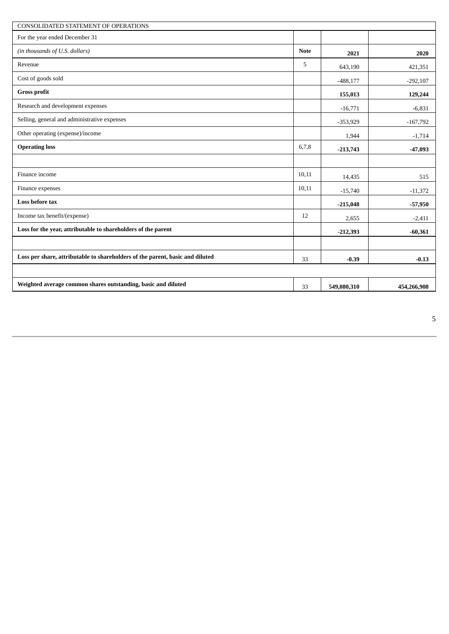| <b>CONSOLIDATED STATEMENT OF OPERATIONS</b>                                   |             |             |             |
|-------------------------------------------------------------------------------|-------------|-------------|-------------|
| For the year ended December 31                                                |             |             |             |
| (in thousands of U.S. dollars)                                                | <b>Note</b> | 2021        | 2020        |
| Revenue                                                                       | 5           | 643,190     | 421,351     |
| Cost of goods sold                                                            |             | $-488,177$  | $-292,107$  |
| <b>Gross profit</b>                                                           |             | 155,013     | 129,244     |
| Research and development expenses                                             |             | $-16,771$   | $-6,831$    |
| Selling, general and administrative expenses                                  |             | $-353,929$  | $-167,792$  |
| Other operating (expense)/income                                              |             | 1,944       | $-1,714$    |
| <b>Operating loss</b>                                                         | 6,7,8       | $-213,743$  | $-47,093$   |
|                                                                               |             |             |             |
| Finance income                                                                | 10,11       | 14,435      | 515         |
| Finance expenses                                                              | 10,11       | $-15,740$   | $-11,372$   |
| Loss before tax                                                               |             | $-215,048$  | $-57,950$   |
| Income tax benefit/(expense)                                                  | 12          | 2,655       | $-2,411$    |
| Loss for the year, attributable to shareholders of the parent                 |             | $-212,393$  | $-60,361$   |
|                                                                               |             |             |             |
| Loss per share, attributable to shareholders of the parent, basic and diluted | 33          | $-0.39$     | $-0.13$     |
|                                                                               |             |             |             |
| Weighted average common shares outstanding, basic and diluted                 | 33          | 549,080,310 | 454,266,908 |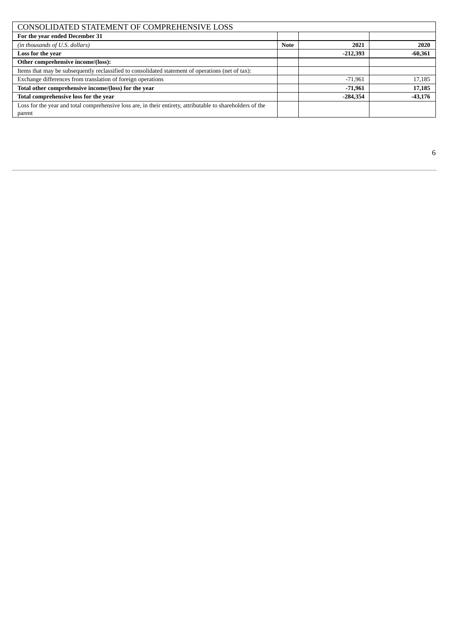| CONSOLIDATED STATEMENT OF COMPREHENSIVE LOSS                                                               |             |            |           |  |  |  |  |
|------------------------------------------------------------------------------------------------------------|-------------|------------|-----------|--|--|--|--|
| For the year ended December 31                                                                             |             |            |           |  |  |  |  |
| (in thousands of U.S. dollars)                                                                             | <b>Note</b> | 2021       | 2020      |  |  |  |  |
| Loss for the year                                                                                          |             | $-212,393$ | $-60,361$ |  |  |  |  |
| Other comprehensive income/(loss):                                                                         |             |            |           |  |  |  |  |
| Items that may be subsequently reclassified to consolidated statement of operations (net of tax):          |             |            |           |  |  |  |  |
| Exchange differences from translation of foreign operations                                                |             | $-71,961$  | 17,185    |  |  |  |  |
| Total other comprehensive income/(loss) for the year                                                       |             | $-71,961$  | 17,185    |  |  |  |  |
| Total comprehensive loss for the year                                                                      |             | $-284,354$ | $-43,176$ |  |  |  |  |
| Loss for the year and total comprehensive loss are, in their entirety, attributable to shareholders of the |             |            |           |  |  |  |  |
| parent                                                                                                     |             |            |           |  |  |  |  |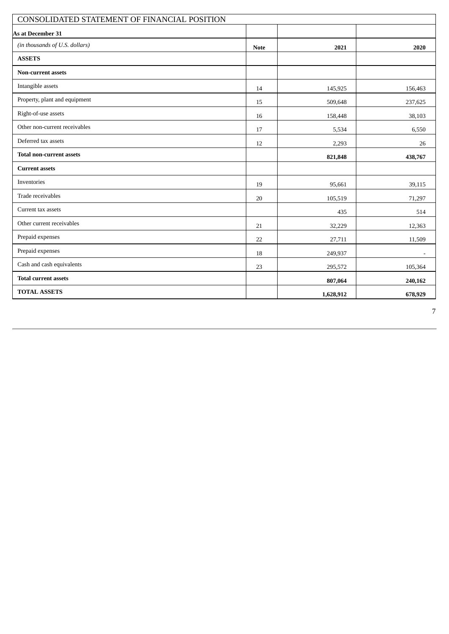| CONSOLIDATED STATEMENT OF FINANCIAL POSITION |             |           |         |  |  |  |  |
|----------------------------------------------|-------------|-----------|---------|--|--|--|--|
| As at December 31                            |             |           |         |  |  |  |  |
| (in thousands of U.S. dollars)               | <b>Note</b> | 2021      | 2020    |  |  |  |  |
| <b>ASSETS</b>                                |             |           |         |  |  |  |  |
| <b>Non-current assets</b>                    |             |           |         |  |  |  |  |
| Intangible assets                            | 14          | 145,925   | 156,463 |  |  |  |  |
| Property, plant and equipment                | 15          | 509,648   | 237,625 |  |  |  |  |
| Right-of-use assets                          | 16          | 158,448   | 38,103  |  |  |  |  |
| Other non-current receivables                | 17          | 5,534     | 6,550   |  |  |  |  |
| Deferred tax assets                          | 12          | 2,293     | 26      |  |  |  |  |
| <b>Total non-current assets</b>              |             | 821,848   | 438,767 |  |  |  |  |
| <b>Current assets</b>                        |             |           |         |  |  |  |  |
| Inventories                                  | 19          | 95,661    | 39,115  |  |  |  |  |
| Trade receivables                            | 20          | 105,519   | 71,297  |  |  |  |  |
| Current tax assets                           |             | 435       | 514     |  |  |  |  |
| Other current receivables                    | 21          | 32,229    | 12,363  |  |  |  |  |
| Prepaid expenses                             | 22          | 27,711    | 11,509  |  |  |  |  |
| Prepaid expenses                             | 18          | 249,937   | $\sim$  |  |  |  |  |
| Cash and cash equivalents                    | 23          | 295,572   | 105,364 |  |  |  |  |
| <b>Total current assets</b>                  |             | 807,064   | 240,162 |  |  |  |  |
| <b>TOTAL ASSETS</b>                          |             | 1,628,912 | 678,929 |  |  |  |  |

7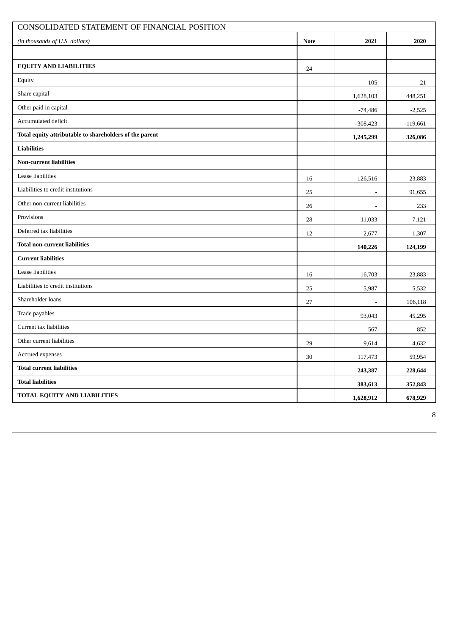| CONSOLIDATED STATEMENT OF FINANCIAL POSITION            |             |                |            |  |  |  |
|---------------------------------------------------------|-------------|----------------|------------|--|--|--|
| (in thousands of U.S. dollars)                          | <b>Note</b> | 2021           | 2020       |  |  |  |
|                                                         |             |                |            |  |  |  |
| <b>EQUITY AND LIABILITIES</b>                           | 24          |                |            |  |  |  |
| Equity                                                  |             | 105            | 21         |  |  |  |
| Share capital                                           |             | 1,628,103      | 448,251    |  |  |  |
| Other paid in capital                                   |             | $-74,486$      | $-2,525$   |  |  |  |
| Accumulated deficit                                     |             | $-308,423$     | $-119,661$ |  |  |  |
| Total equity attributable to shareholders of the parent |             | 1,245,299      | 326,086    |  |  |  |
| <b>Liabilities</b>                                      |             |                |            |  |  |  |
| <b>Non-current liabilities</b>                          |             |                |            |  |  |  |
| Lease liabilities                                       | 16          | 126,516        | 23,883     |  |  |  |
| Liabilities to credit institutions                      | 25          | $\blacksquare$ | 91,655     |  |  |  |
| Other non-current liabilities                           | 26          | $\overline{a}$ | 233        |  |  |  |
| Provisions                                              | 28          | 11,033         | 7,121      |  |  |  |
| Deferred tax liabilities                                | 12          | 2,677          | 1,307      |  |  |  |
| <b>Total non-current liabilities</b>                    |             | 140,226        | 124,199    |  |  |  |
| <b>Current liabilities</b>                              |             |                |            |  |  |  |
| Lease liabilities                                       | 16          | 16,703         | 23,883     |  |  |  |
| Liabilities to credit institutions                      | 25          | 5,987          | 5,532      |  |  |  |
| Shareholder loans                                       | 27          | ÷,             | 106,118    |  |  |  |
| Trade payables                                          |             | 93,043         | 45,295     |  |  |  |
| Current tax liabilities                                 |             | 567            | 852        |  |  |  |
| Other current liabilities                               | 29          | 9,614          | 4,632      |  |  |  |
| Accrued expenses                                        | 30          | 117,473        | 59,954     |  |  |  |
| <b>Total current liabilities</b>                        |             | 243,387        | 228,644    |  |  |  |
| <b>Total liabilities</b>                                |             | 383,613        | 352,843    |  |  |  |
| TOTAL EQUITY AND LIABILITIES                            |             | 1,628,912      | 678,929    |  |  |  |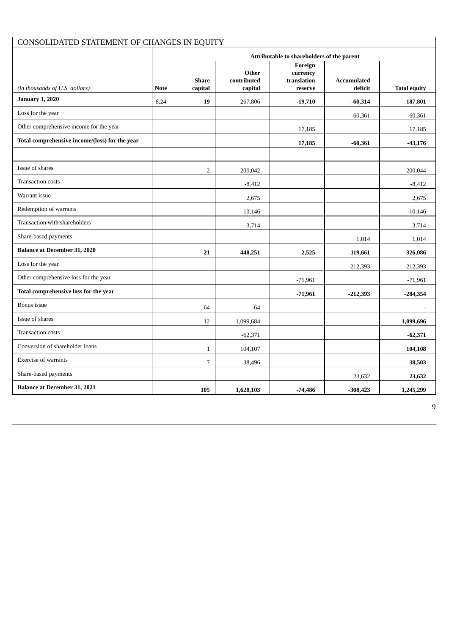| CONSOLIDATED STATEMENT OF CHANGES IN EQUITY    |             |                                            |                                 |                                               |                               |                     |  |
|------------------------------------------------|-------------|--------------------------------------------|---------------------------------|-----------------------------------------------|-------------------------------|---------------------|--|
|                                                |             | Attributable to shareholders of the parent |                                 |                                               |                               |                     |  |
| (in thousands of U.S. dollars)                 | <b>Note</b> | <b>Share</b><br>capital                    | Other<br>contributed<br>capital | Foreign<br>currency<br>translation<br>reserve | <b>Accumulated</b><br>deficit | <b>Total equity</b> |  |
| <b>January 1, 2020</b>                         | 8,24        | 19                                         | 267,806                         | $-19,710$                                     | $-60,314$                     | 187,801             |  |
| Loss for the year                              |             |                                            |                                 |                                               | $-60,361$                     | $-60,361$           |  |
| Other comprehensive income for the year        |             |                                            |                                 | 17,185                                        |                               | 17,185              |  |
| Total comprehensive income/(loss) for the year |             |                                            |                                 | 17,185                                        | $-60,361$                     | $-43,176$           |  |
|                                                |             |                                            |                                 |                                               |                               |                     |  |
| Issue of shares                                |             | $\overline{2}$                             | 200,042                         |                                               |                               | 200,044             |  |
| <b>Transaction costs</b>                       |             |                                            | $-8,412$                        |                                               |                               | $-8,412$            |  |
| Warrant issue                                  |             |                                            | 2,675                           |                                               |                               | 2,675               |  |
| Redemption of warrants                         |             |                                            | $-10,146$                       |                                               |                               | $-10,146$           |  |
| Transaction with shareholders                  |             |                                            | $-3,714$                        |                                               |                               | $-3,714$            |  |
| Share-based payments                           |             |                                            |                                 |                                               | 1,014                         | 1,014               |  |
| <b>Balance at December 31, 2020</b>            |             | 21                                         | 448,251                         | $-2,525$                                      | $-119,661$                    | 326,086             |  |
| Loss for the year                              |             |                                            |                                 |                                               | $-212,393$                    | $-212,393$          |  |
| Other comprehensive loss for the year          |             |                                            |                                 | $-71,961$                                     |                               | $-71,961$           |  |
| Total comprehensive loss for the year          |             |                                            |                                 | $-71,961$                                     | $-212,393$                    | $-284,354$          |  |
| Bonus issue                                    |             | 64                                         | $-64$                           |                                               |                               | $\blacksquare$      |  |
| Issue of shares                                |             | 12                                         | 1,099,684                       |                                               |                               | 1,099,696           |  |
| <b>Transaction costs</b>                       |             |                                            | $-62,371$                       |                                               |                               | $-62,371$           |  |
| Conversion of shareholder loans                |             | $1\,$                                      | 104,107                         |                                               |                               | 104,108             |  |
| <b>Exercise of warrants</b>                    |             | $\overline{7}$                             | 38,496                          |                                               |                               | 38,503              |  |
| Share-based payments                           |             |                                            |                                 |                                               | 23,632                        | 23,632              |  |
| <b>Balance at December 31, 2021</b>            |             | 105                                        | 1,628,103                       | $-74,486$                                     | $-308,423$                    | 1,245,299           |  |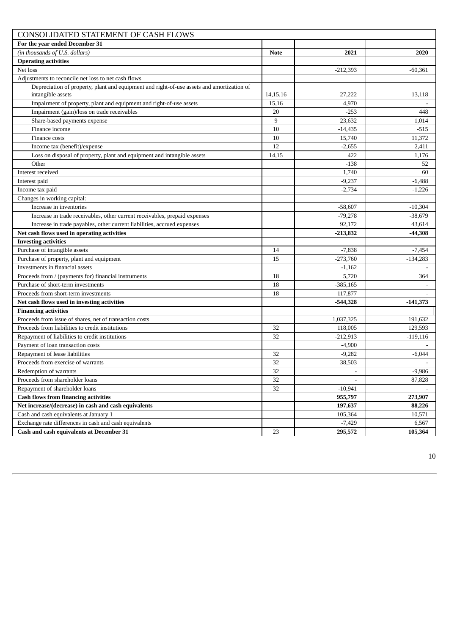| CONSOLIDATED STATEMENT OF CASH FLOWS                                                                           |             |                          |                    |
|----------------------------------------------------------------------------------------------------------------|-------------|--------------------------|--------------------|
| For the year ended December 31                                                                                 |             |                          |                    |
| (in thousands of U.S. dollars)                                                                                 | <b>Note</b> | 2021                     | 2020               |
| <b>Operating activities</b>                                                                                    |             |                          |                    |
| Net loss                                                                                                       |             | $-212,393$               | $-60,361$          |
| Adjustments to reconcile net loss to net cash flows                                                            |             |                          |                    |
| Depreciation of property, plant and equipment and right-of-use assets and amortization of<br>intangible assets | 14,15,16    | 27,222                   | 13,118             |
| Impairment of property, plant and equipment and right-of-use assets                                            | 15,16       | 4,970                    |                    |
| Impairment (gain)/loss on trade receivables                                                                    | 20          | $-253$                   | 448                |
| Share-based payments expense                                                                                   | 9           | 23,632                   | 1,014              |
| Finance income                                                                                                 | 10          | $-14,435$                | $-515$             |
| Finance costs                                                                                                  | 10          | 15,740                   | 11,372             |
| Income tax (benefit)/expense                                                                                   | 12          | $-2,655$                 | 2,411              |
| Loss on disposal of property, plant and equipment and intangible assets                                        | 14,15       | 422                      | 1,176              |
| Other                                                                                                          |             | $-138$                   | 52                 |
| Interest received                                                                                              |             | 1,740                    | 60                 |
| Interest paid                                                                                                  |             | $-9,237$                 | $-6,488$           |
| Income tax paid                                                                                                |             | $-2,734$                 | $-1,226$           |
| Changes in working capital:                                                                                    |             |                          |                    |
| Increase in inventories                                                                                        |             | $-58,607$                | $-10,304$          |
| Increase in trade receivables, other current receivables, prepaid expenses                                     |             | $-79,278$                | $-38,679$          |
| Increase in trade payables, other current liabilities, accrued expenses                                        |             | 92,172                   | 43,614             |
| Net cash flows used in operating activities                                                                    |             | $-213,832$               | -44,308            |
| <b>Investing activities</b>                                                                                    |             |                          |                    |
| Purchase of intangible assets                                                                                  | 14          | $-7,838$                 | $-7,454$           |
| Purchase of property, plant and equipment                                                                      | 15          | $-273,760$               | $-134,283$         |
| Investments in financial assets                                                                                |             | $-1,162$                 |                    |
| Proceeds from / (payments for) financial instruments                                                           | 18          | 5,720                    | 364                |
| Purchase of short-term investments                                                                             | 18          | $-385,165$               |                    |
| Proceeds from short-term investments                                                                           | 18          | 117,877                  |                    |
| Net cash flows used in investing activities                                                                    |             | $-544,328$               | $-141,373$         |
| <b>Financing activities</b>                                                                                    |             |                          |                    |
| Proceeds from issue of shares, net of transaction costs<br>Proceeds from liabilities to credit institutions    | 32          | 1,037,325                | 191,632<br>129,593 |
| Repayment of liabilities to credit institutions                                                                | 32          | 118,005                  |                    |
| Payment of loan transaction costs                                                                              |             | $-212,913$               | $-119,116$         |
| Repayment of lease liabilities                                                                                 | 32          | $-4,900$<br>$-9,282$     | $-6,044$           |
| Proceeds from exercise of warrants                                                                             | 32          | 38,503                   | $\sim$             |
| Redemption of warrants                                                                                         | 32          | $\overline{\phantom{a}}$ | $-9,986$           |
| Proceeds from shareholder loans                                                                                | 32          |                          | 87,828             |
| Repayment of shareholder loans                                                                                 | 32          | $-10,941$                |                    |
| <b>Cash flows from financing activities</b>                                                                    |             | 955,797                  | 273,907            |
| Net increase/(decrease) in cash and cash equivalents                                                           |             | 197,637                  | 88,226             |
| Cash and cash equivalents at January 1                                                                         |             | 105,364                  | 10,571             |
| Exchange rate differences in cash and cash equivalents                                                         |             | $-7,429$                 | 6,567              |
| Cash and cash equivalents at December 31                                                                       | 23          | 295,572                  | 105,364            |
|                                                                                                                |             |                          |                    |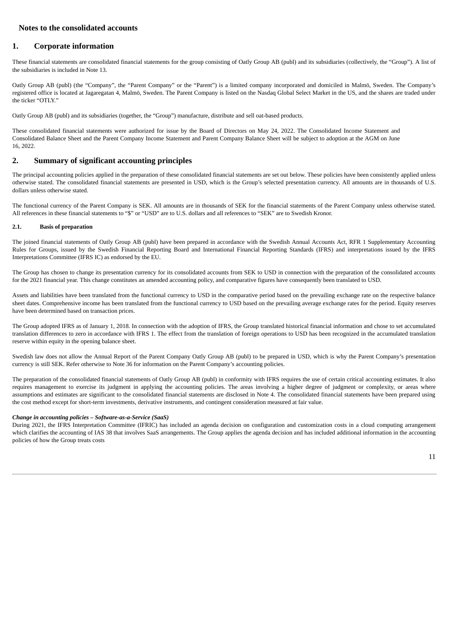## **Notes to the consolidated accounts**

## **1. Corporate information**

These financial statements are consolidated financial statements for the group consisting of Oatly Group AB (publ) and its subsidiaries (collectively, the "Group"). A list of the subsidiaries is included in Note 13.

Oatly Group AB (publ) (the "Company", the "Parent Company" or the "Parent") is a limited company incorporated and domiciled in Malmö, Sweden. The Company's registered office is located at Jagaregatan 4, Malmö, Sweden. The Parent Company is listed on the Nasdaq Global Select Market in the US, and the shares are traded under the ticker "OTLY"

Oatly Group AB (publ) and its subsidiaries (together, the "Group") manufacture, distribute and sell oat-based products.

These consolidated financial statements were authorized for issue by the Board of Directors on May 24, 2022. The Consolidated Income Statement and Consolidated Balance Sheet and the Parent Company Income Statement and Parent Company Balance Sheet will be subject to adoption at the AGM on June 16, 2022.

### **2. Summary of significant accounting principles**

The principal accounting policies applied in the preparation of these consolidated financial statements are set out below. These policies have been consistently applied unless otherwise stated. The consolidated financial statements are presented in USD, which is the Group's selected presentation currency. All amounts are in thousands of U.S. dollars unless otherwise stated.

The functional currency of the Parent Company is SEK. All amounts are in thousands of SEK for the financial statements of the Parent Company unless otherwise stated. All references in these financial statements to "\$" or "USD" are to U.S. dollars and all references to "SEK" are to Swedish Kronor.

### **2.1. Basis of preparation**

The joined financial statements of Oatly Group AB (publ) have been prepared in accordance with the Swedish Annual Accounts Act, RFR 1 Supplementary Accounting Rules for Groups, issued by the Swedish Financial Reporting Board and International Financial Reporting Standards (IFRS) and interpretations issued by the IFRS Interpretations Committee (IFRS IC) as endorsed by the EU.

The Group has chosen to change its presentation currency for its consolidated accounts from SEK to USD in connection with the preparation of the consolidated accounts for the 2021 financial year. This change constitutes an amended accounting policy, and comparative figures have consequently been translated to USD.

Assets and liabilities have been translated from the functional currency to USD in the comparative period based on the prevailing exchange rate on the respective balance sheet dates. Comprehensive income has been translated from the functional currency to USD based on the prevailing average exchange rates for the period. Equity reserves have been determined based on transaction prices.

The Group adopted IFRS as of January 1, 2018. In connection with the adoption of IFRS, the Group translated historical financial information and chose to set accumulated translation differences to zero in accordance with IFRS 1. The effect from the translation of foreign operations to USD has been recognized in the accumulated translation reserve within equity in the opening balance sheet.

Swedish law does not allow the Annual Report of the Parent Company Oatly Group AB (publ) to be prepared in USD, which is why the Parent Company's presentation currency is still SEK. Refer otherwise to Note 36 for information on the Parent Company's accounting policies.

The preparation of the consolidated financial statements of Oatly Group AB (publ) in conformity with IFRS requires the use of certain critical accounting estimates. It also requires management to exercise its judgment in applying the accounting policies. The areas involving a higher degree of judgment or complexity, or areas where assumptions and estimates are significant to the consolidated financial statements are disclosed in Note 4. The consolidated financial statements have been prepared using the cost method except for short-term investments, derivative instruments, and contingent consideration measured at fair value.

#### *Change in accounting policies – Software-as-a-Service (SaaS)*

During 2021, the IFRS Interpretation Committee (IFRIC) has included an agenda decision on configuration and customization costs in a cloud computing arrangement which clarifies the accounting of IAS 38 that involves SaaS arrangements. The Group applies the agenda decision and has included additional information in the accounting policies of how the Group treats costs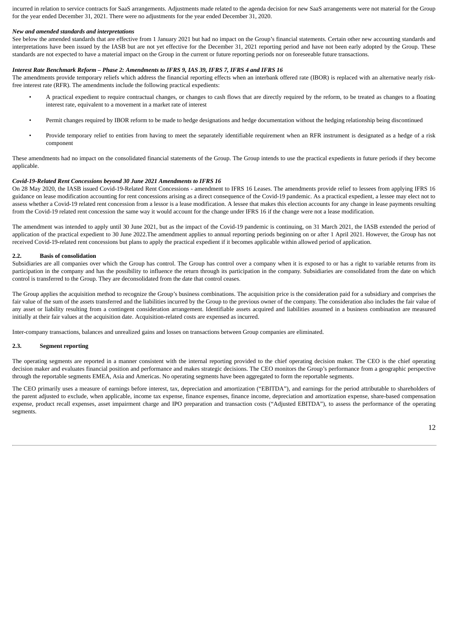incurred in relation to service contracts for SaaS arrangements. Adjustments made related to the agenda decision for new SaaS arrangements were not material for the Group for the year ended December 31, 2021. There were no adjustments for the year ended December 31, 2020.

#### *New and amended standards and interpretations*

See below the amended standards that are effective from 1 January 2021 but had no impact on the Group's financial statements. Certain other new accounting standards and interpretations have been issued by the IASB but are not yet effective for the December 31, 2021 reporting period and have not been early adopted by the Group. These standards are not expected to have a material impact on the Group in the current or future reporting periods nor on foreseeable future transactions.

#### *Interest Rate Benchmark Reform – Phase 2: Amendments to IFRS 9, IAS 39, IFRS 7, IFRS 4 and IFRS 16*

The amendments provide temporary reliefs which address the financial reporting effects when an interbank offered rate (IBOR) is replaced with an alternative nearly riskfree interest rate (RFR). The amendments include the following practical expedients:

- A practical expedient to require contractual changes, or changes to cash flows that are directly required by the reform, to be treated as changes to a floating interest rate, equivalent to a movement in a market rate of interest
- Permit changes required by IBOR reform to be made to hedge designations and hedge documentation without the hedging relationship being discontinued
- Provide temporary relief to entities from having to meet the separately identifiable requirement when an RFR instrument is designated as a hedge of a risk component

These amendments had no impact on the consolidated financial statements of the Group. The Group intends to use the practical expedients in future periods if they become applicable.

#### *Covid-19-Related Rent Concessions beyond 30 June 2021 Amendments to IFRS 16*

On 28 May 2020, the IASB issued Covid-19-Related Rent Concessions - amendment to IFRS 16 Leases. The amendments provide relief to lessees from applying IFRS 16 guidance on lease modification accounting for rent concessions arising as a direct consequence of the Covid-19 pandemic. As a practical expedient, a lessee may elect not to assess whether a Covid-19 related rent concession from a lessor is a lease modification. A lessee that makes this election accounts for any change in lease payments resulting from the Covid-19 related rent concession the same way it would account for the change under IFRS 16 if the change were not a lease modification.

The amendment was intended to apply until 30 June 2021, but as the impact of the Covid-19 pandemic is continuing, on 31 March 2021, the IASB extended the period of application of the practical expedient to 30 June 2022.The amendment applies to annual reporting periods beginning on or after 1 April 2021. However, the Group has not received Covid-19-related rent concessions but plans to apply the practical expedient if it becomes applicable within allowed period of application.

#### **2.2. Basis of consolidation**

Subsidiaries are all companies over which the Group has control. The Group has control over a company when it is exposed to or has a right to variable returns from its participation in the company and has the possibility to influence the return through its participation in the company. Subsidiaries are consolidated from the date on which control is transferred to the Group. They are deconsolidated from the date that control ceases.

The Group applies the acquisition method to recognize the Group's business combinations. The acquisition price is the consideration paid for a subsidiary and comprises the fair value of the sum of the assets transferred and the liabilities incurred by the Group to the previous owner of the company. The consideration also includes the fair value of any asset or liability resulting from a contingent consideration arrangement. Identifiable assets acquired and liabilities assumed in a business combination are measured initially at their fair values at the acquisition date. Acquisition-related costs are expensed as incurred.

Inter-company transactions, balances and unrealized gains and losses on transactions between Group companies are eliminated.

#### **2.3. Segment reporting**

The operating segments are reported in a manner consistent with the internal reporting provided to the chief operating decision maker. The CEO is the chief operating decision maker and evaluates financial position and performance and makes strategic decisions. The CEO monitors the Group's performance from a geographic perspective through the reportable segments EMEA, Asia and Americas. No operating segments have been aggregated to form the reportable segments.

The CEO primarily uses a measure of earnings before interest, tax, depreciation and amortization ("EBITDA"), and earnings for the period attributable to shareholders of the parent adjusted to exclude, when applicable, income tax expense, finance expenses, finance income, depreciation and amortization expense, share-based compensation expense, product recall expenses, asset impairment charge and IPO preparation and transaction costs ("Adjusted EBITDA"), to assess the performance of the operating segments.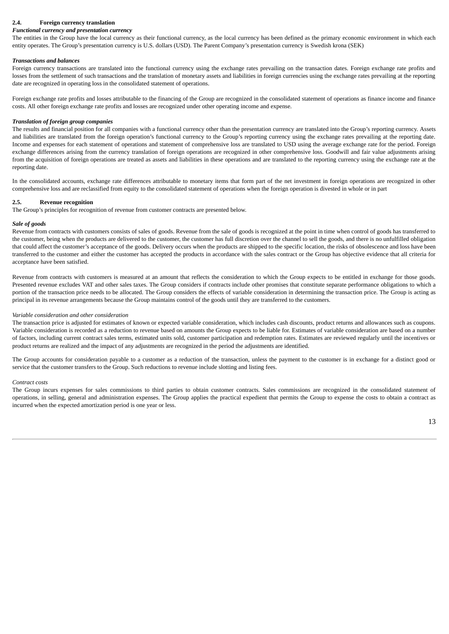#### **2.4. Foreign currency translation**

#### *Functional currency and presentation currency*

The entities in the Group have the local currency as their functional currency, as the local currency has been defined as the primary economic environment in which each entity operates. The Group's presentation currency is U.S. dollars (USD). The Parent Company's presentation currency is Swedish krona (SEK)

#### *Transactions and balances*

Foreign currency transactions are translated into the functional currency using the exchange rates prevailing on the transaction dates. Foreign exchange rate profits and losses from the settlement of such transactions and the translation of monetary assets and liabilities in foreign currencies using the exchange rates prevailing at the reporting date are recognized in operating loss in the consolidated statement of operations.

Foreign exchange rate profits and losses attributable to the financing of the Group are recognized in the consolidated statement of operations as finance income and finance costs. All other foreign exchange rate profits and losses are recognized under other operating income and expense.

#### *Translation of foreign group companies*

The results and financial position for all companies with a functional currency other than the presentation currency are translated into the Group's reporting currency. Assets and liabilities are translated from the foreign operation's functional currency to the Group's reporting currency using the exchange rates prevailing at the reporting date. Income and expenses for each statement of operations and statement of comprehensive loss are translated to USD using the average exchange rate for the period. Foreign exchange differences arising from the currency translation of foreign operations are recognized in other comprehensive loss. Goodwill and fair value adjustments arising from the acquisition of foreign operations are treated as assets and liabilities in these operations and are translated to the reporting currency using the exchange rate at the reporting date.

In the consolidated accounts, exchange rate differences attributable to monetary items that form part of the net investment in foreign operations are recognized in other comprehensive loss and are reclassified from equity to the consolidated statement of operations when the foreign operation is divested in whole or in part

#### **2.5. Revenue recognition**

The Group's principles for recognition of revenue from customer contracts are presented below.

#### *Sale of goods*

Revenue from contracts with customers consists of sales of goods. Revenue from the sale of goods is recognized at the point in time when control of goods has transferred to the customer, being when the products are delivered to the customer, the customer has full discretion over the channel to sell the goods, and there is no unfulfilled obligation that could affect the customer's acceptance of the goods. Delivery occurs when the products are shipped to the specific location, the risks of obsolescence and loss have been transferred to the customer and either the customer has accepted the products in accordance with the sales contract or the Group has objective evidence that all criteria for acceptance have been satisfied.

Revenue from contracts with customers is measured at an amount that reflects the consideration to which the Group expects to be entitled in exchange for those goods. Presented revenue excludes VAT and other sales taxes. The Group considers if contracts include other promises that constitute separate performance obligations to which a portion of the transaction price needs to be allocated. The Group considers the effects of variable consideration in determining the transaction price. The Group is acting as principal in its revenue arrangements because the Group maintains control of the goods until they are transferred to the customers.

#### *Variable consideration and other consideration*

The transaction price is adjusted for estimates of known or expected variable consideration, which includes cash discounts, product returns and allowances such as coupons. Variable consideration is recorded as a reduction to revenue based on amounts the Group expects to be liable for. Estimates of variable consideration are based on a number of factors, including current contract sales terms, estimated units sold, customer participation and redemption rates. Estimates are reviewed regularly until the incentives or product returns are realized and the impact of any adjustments are recognized in the period the adjustments are identified.

The Group accounts for consideration payable to a customer as a reduction of the transaction, unless the payment to the customer is in exchange for a distinct good or service that the customer transfers to the Group. Such reductions to revenue include slotting and listing fees.

#### *Contract costs*

The Group incurs expenses for sales commissions to third parties to obtain customer contracts. Sales commissions are recognized in the consolidated statement of operations, in selling, general and administration expenses. The Group applies the practical expedient that permits the Group to expense the costs to obtain a contract as incurred when the expected amortization period is one year or less.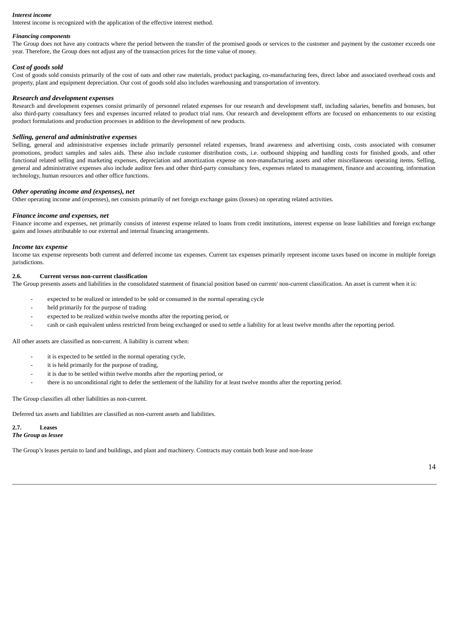#### *Interest income*

Interest income is recognized with the application of the effective interest method.

#### *Financing components*

The Group does not have any contracts where the period between the transfer of the promised goods or services to the customer and payment by the customer exceeds one year. Therefore, the Group does not adjust any of the transaction prices for the time value of money.

#### *Cost of goods sold*

Cost of goods sold consists primarily of the cost of oats and other raw materials, product packaging, co-manufacturing fees, direct labor and associated overhead costs and property, plant and equipment depreciation. Our cost of goods sold also includes warehousing and transportation of inventory.

#### *Research and development expenses*

Research and development expenses consist primarily of personnel related expenses for our research and development staff, including salaries, benefits and bonuses, but also third-party consultancy fees and expenses incurred related to product trial runs. Our research and development efforts are focused on enhancements to our existing product formulations and production processes in addition to the development of new products.

#### *Selling, general and administrative expenses*

Selling, general and administrative expenses include primarily personnel related expenses, brand awareness and advertising costs, costs associated with consumer promotions, product samples and sales aids. These also include customer distribution costs, i.e. outbound shipping and handling costs for finished goods, and other functional related selling and marketing expenses, depreciation and amortization expense on non-manufacturing assets and other miscellaneous operating items. Selling, general and administrative expenses also include auditor fees and other third-party consultancy fees, expenses related to management, finance and accounting, information technology, human resources and other office functions.

#### *Other operating income and (expenses), net*

Other operating income and (expenses), net consists primarily of net foreign exchange gains (losses) on operating related activities.

#### *Finance income and expenses, net*

Finance income and expenses, net primarily consists of interest expense related to loans from credit institutions, interest expense on lease liabilities and foreign exchange gains and losses attributable to our external and internal financing arrangements.

#### *Income tax expense*

Income tax expense represents both current and deferred income tax expenses. Current tax expenses primarily represent income taxes based on income in multiple foreign jurisdictions.

#### **2.6. Current versus non-current classification**

The Group presents assets and liabilities in the consolidated statement of financial position based on current/ non-current classification. An asset is current when it is:

- expected to be realized or intended to be sold or consumed in the normal operating cycle
- held primarily for the purpose of trading
- expected to be realized within twelve months after the reporting period, or
- cash or cash equivalent unless restricted from being exchanged or used to settle a liability for at least twelve months after the reporting period.

All other assets are classified as non-current. A liability is current when:

- it is expected to be settled in the normal operating cycle,
- it is held primarily for the purpose of trading,
- it is due to be settled within twelve months after the reporting period, or
- there is no unconditional right to defer the settlement of the liability for at least twelve months after the reporting period.

The Group classifies all other liabilities as non-current.

Deferred tax assets and liabilities are classified as non-current assets and liabilities.

#### **2.7. Leases** *The Group as lessee*

The Group's leases pertain to land and buildings, and plant and machinery. Contracts may contain both lease and non-lease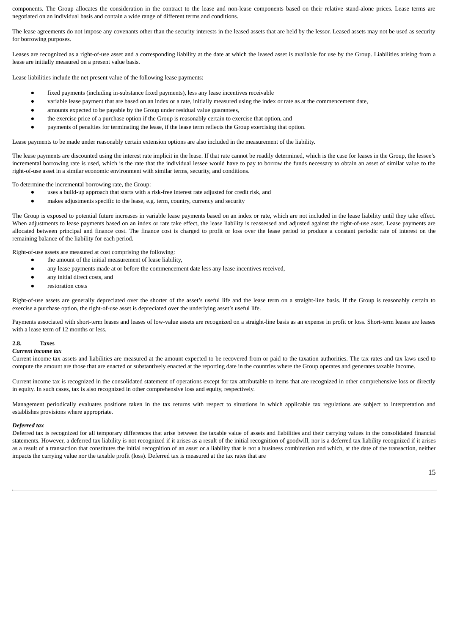components. The Group allocates the consideration in the contract to the lease and non-lease components based on their relative stand-alone prices. Lease terms are negotiated on an individual basis and contain a wide range of different terms and conditions.

The lease agreements do not impose any covenants other than the security interests in the leased assets that are held by the lessor. Leased assets may not be used as security for borrowing purposes.

Leases are recognized as a right-of-use asset and a corresponding liability at the date at which the leased asset is available for use by the Group. Liabilities arising from a lease are initially measured on a present value basis.

Lease liabilities include the net present value of the following lease payments:

- fixed payments (including in-substance fixed payments), less any lease incentives receivable
- variable lease payment that are based on an index or a rate, initially measured using the index or rate as at the commencement date,
- amounts expected to be payable by the Group under residual value guarantees,
- the exercise price of a purchase option if the Group is reasonably certain to exercise that option, and
- payments of penalties for terminating the lease, if the lease term reflects the Group exercising that option.

Lease payments to be made under reasonably certain extension options are also included in the measurement of the liability.

The lease payments are discounted using the interest rate implicit in the lease. If that rate cannot be readily determined, which is the case for leases in the Group, the lessee's incremental borrowing rate is used, which is the rate that the individual lessee would have to pay to borrow the funds necessary to obtain an asset of similar value to the right-of-use asset in a similar economic environment with similar terms, security, and conditions.

To determine the incremental borrowing rate, the Group:

- uses a build-up approach that starts with a risk-free interest rate adjusted for credit risk, and
- makes adjustments specific to the lease, e.g. term, country, currency and security

The Group is exposed to potential future increases in variable lease payments based on an index or rate, which are not included in the lease liability until they take effect. When adjustments to lease payments based on an index or rate take effect, the lease liability is reassessed and adjusted against the right-of-use asset. Lease payments are allocated between principal and finance cost. The finance cost is charged to profit or loss over the lease period to produce a constant periodic rate of interest on the remaining balance of the liability for each period.

Right-of-use assets are measured at cost comprising the following:

- the amount of the initial measurement of lease liability,
- any lease payments made at or before the commencement date less any lease incentives received,
- any initial direct costs, and
- restoration costs

Right-of-use assets are generally depreciated over the shorter of the asset's useful life and the lease term on a straight-line basis. If the Group is reasonably certain to exercise a purchase option, the right-of-use asset is depreciated over the underlying asset's useful life.

Payments associated with short-term leases and leases of low-value assets are recognized on a straight-line basis as an expense in profit or loss. Short-term leases are leases with a lease term of 12 months or less.

#### **2.8. Taxes**

#### *Current income tax*

Current income tax assets and liabilities are measured at the amount expected to be recovered from or paid to the taxation authorities. The tax rates and tax laws used to compute the amount are those that are enacted or substantively enacted at the reporting date in the countries where the Group operates and generates taxable income.

Current income tax is recognized in the consolidated statement of operations except for tax attributable to items that are recognized in other comprehensive loss or directly in equity. In such cases, tax is also recognized in other comprehensive loss and equity, respectively.

Management periodically evaluates positions taken in the tax returns with respect to situations in which applicable tax regulations are subject to interpretation and establishes provisions where appropriate.

#### *Deferred tax*

Deferred tax is recognized for all temporary differences that arise between the taxable value of assets and liabilities and their carrying values in the consolidated financial statements. However, a deferred tax liability is not recognized if it arises as a result of the initial recognition of goodwill, nor is a deferred tax liability recognized if it arises as a result of a transaction that constitutes the initial recognition of an asset or a liability that is not a business combination and which, at the date of the transaction, neither impacts the carrying value nor the taxable profit (loss). Deferred tax is measured at the tax rates that are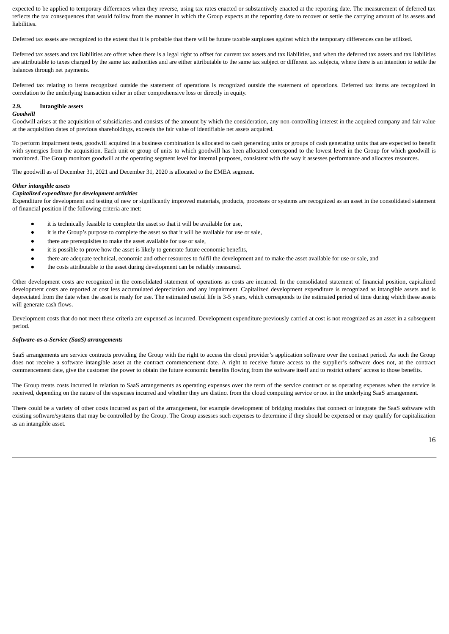expected to be applied to temporary differences when they reverse, using tax rates enacted or substantively enacted at the reporting date. The measurement of deferred tax reflects the tax consequences that would follow from the manner in which the Group expects at the reporting date to recover or settle the carrying amount of its assets and liabilities.

Deferred tax assets are recognized to the extent that it is probable that there will be future taxable surpluses against which the temporary differences can be utilized.

Deferred tax assets and tax liabilities are offset when there is a legal right to offset for current tax assets and tax liabilities, and when the deferred tax assets and tax liabilities are attributable to taxes charged by the same tax authorities and are either attributable to the same tax subject or different tax subjects, where there is an intention to settle the balances through net payments.

Deferred tax relating to items recognized outside the statement of operations is recognized outside the statement of operations. Deferred tax items are recognized in correlation to the underlying transaction either in other comprehensive loss or directly in equity.

#### **2.9. Intangible assets**

#### *Goodwill*

Goodwill arises at the acquisition of subsidiaries and consists of the amount by which the consideration, any non-controlling interest in the acquired company and fair value at the acquisition dates of previous shareholdings, exceeds the fair value of identifiable net assets acquired.

To perform impairment tests, goodwill acquired in a business combination is allocated to cash generating units or groups of cash generating units that are expected to benefit with synergies from the acquisition. Each unit or group of units to which goodwill has been allocated correspond to the lowest level in the Group for which goodwill is monitored. The Group monitors goodwill at the operating segment level for internal purposes, consistent with the way it assesses performance and allocates resources.

The goodwill as of December 31, 2021 and December 31, 2020 is allocated to the EMEA segment.

#### *Other intangible assets*

#### *Capitalized expenditure for development activities*

Expenditure for development and testing of new or significantly improved materials, products, processes or systems are recognized as an asset in the consolidated statement of financial position if the following criteria are met:

- it is technically feasible to complete the asset so that it will be available for use,
- it is the Group's purpose to complete the asset so that it will be available for use or sale,
- there are prerequisites to make the asset available for use or sale,
- it is possible to prove how the asset is likely to generate future economic benefits,
- there are adequate technical, economic and other resources to fulfil the development and to make the asset available for use or sale, and
- the costs attributable to the asset during development can be reliably measured.

Other development costs are recognized in the consolidated statement of operations as costs are incurred. In the consolidated statement of financial position, capitalized development costs are reported at cost less accumulated depreciation and any impairment. Capitalized development expenditure is recognized as intangible assets and is depreciated from the date when the asset is ready for use. The estimated useful life is 3-5 years, which corresponds to the estimated period of time during which these assets will generate cash flows.

Development costs that do not meet these criteria are expensed as incurred. Development expenditure previously carried at cost is not recognized as an asset in a subsequent period.

#### *Software-as-a-Service (SaaS) arrangements*

SaaS arrangements are service contracts providing the Group with the right to access the cloud provider's application software over the contract period. As such the Group does not receive a software intangible asset at the contract commencement date. A right to receive future access to the supplier's software does not, at the contract commencement date, give the customer the power to obtain the future economic benefits flowing from the software itself and to restrict others' access to those benefits.

The Group treats costs incurred in relation to SaaS arrangements as operating expenses over the term of the service contract or as operating expenses when the service is received, depending on the nature of the expenses incurred and whether they are distinct from the cloud computing service or not in the underlying SaaS arrangement.

There could be a variety of other costs incurred as part of the arrangement, for example development of bridging modules that connect or integrate the SaaS software with existing software/systems that may be controlled by the Group. The Group assesses such expenses to determine if they should be expensed or may qualify for capitalization as an intangible asset.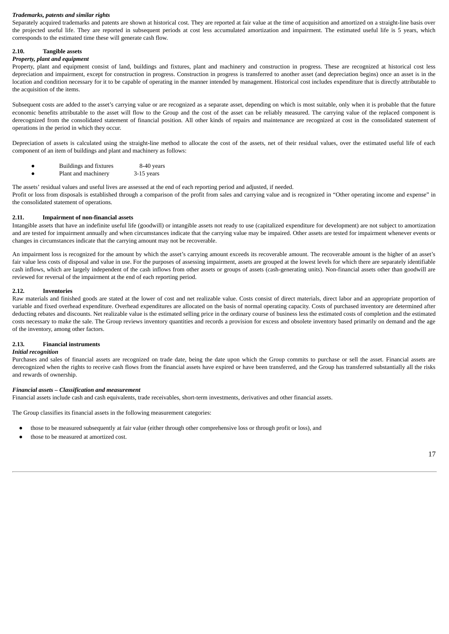#### *Trademarks, patents and similar rights*

Separately acquired trademarks and patents are shown at historical cost. They are reported at fair value at the time of acquisition and amortized on a straight-line basis over the projected useful life. They are reported in subsequent periods at cost less accumulated amortization and impairment. The estimated useful life is 5 years, which corresponds to the estimated time these will generate cash flow.

#### **2.10. Tangible assets**

#### *Property, plant and equipment*

Property, plant and equipment consist of land, buildings and fixtures, plant and machinery and construction in progress. These are recognized at historical cost less depreciation and impairment, except for construction in progress. Construction in progress is transferred to another asset (and depreciation begins) once an asset is in the location and condition necessary for it to be capable of operating in the manner intended by management. Historical cost includes expenditure that is directly attributable to the acquisition of the items.

Subsequent costs are added to the asset's carrying value or are recognized as a separate asset, depending on which is most suitable, only when it is probable that the future economic benefits attributable to the asset will flow to the Group and the cost of the asset can be reliably measured. The carrying value of the replaced component is derecognized from the consolidated statement of financial position. All other kinds of repairs and maintenance are recognized at cost in the consolidated statement of operations in the period in which they occur.

Depreciation of assets is calculated using the straight-line method to allocate the cost of the assets, net of their residual values, over the estimated useful life of each component of an item of buildings and plant and machinery as follows:

| Buildings and fixtures | 8-40 years |
|------------------------|------------|
| Plant and machinery    | 3-15 years |

The assets' residual values and useful lives are assessed at the end of each reporting period and adjusted, if needed. Profit or loss from disposals is established through a comparison of the profit from sales and carrying value and is recognized in "Other operating income and expense" in the consolidated statement of operations.

#### **2.11. Impairment of non-financial assets**

Intangible assets that have an indefinite useful life (goodwill) or intangible assets not ready to use (capitalized expenditure for development) are not subject to amortization and are tested for impairment annually and when circumstances indicate that the carrying value may be impaired. Other assets are tested for impairment whenever events or changes in circumstances indicate that the carrying amount may not be recoverable.

An impairment loss is recognized for the amount by which the asset's carrying amount exceeds its recoverable amount. The recoverable amount is the higher of an asset's fair value less costs of disposal and value in use. For the purposes of assessing impairment, assets are grouped at the lowest levels for which there are separately identifiable cash inflows, which are largely independent of the cash inflows from other assets or groups of assets (cash-generating units). Non-financial assets other than goodwill are reviewed for reversal of the impairment at the end of each reporting period.

#### **2.12. Inventories**

Raw materials and finished goods are stated at the lower of cost and net realizable value. Costs consist of direct materials, direct labor and an appropriate proportion of variable and fixed overhead expenditure. Overhead expenditures are allocated on the basis of normal operating capacity. Costs of purchased inventory are determined after deducting rebates and discounts. Net realizable value is the estimated selling price in the ordinary course of business less the estimated costs of completion and the estimated costs necessary to make the sale. The Group reviews inventory quantities and records a provision for excess and obsolete inventory based primarily on demand and the age of the inventory, among other factors.

#### **2.13. Financial instruments**

#### *Initial recognition*

Purchases and sales of financial assets are recognized on trade date, being the date upon which the Group commits to purchase or sell the asset. Financial assets are derecognized when the rights to receive cash flows from the financial assets have expired or have been transferred, and the Group has transferred substantially all the risks and rewards of ownership.

#### *Financial assets – Classification and measurement*

Financial assets include cash and cash equivalents, trade receivables, short-term investments, derivatives and other financial assets.

The Group classifies its financial assets in the following measurement categories:

- those to be measured subsequently at fair value (either through other comprehensive loss or through profit or loss), and
- those to be measured at amortized cost.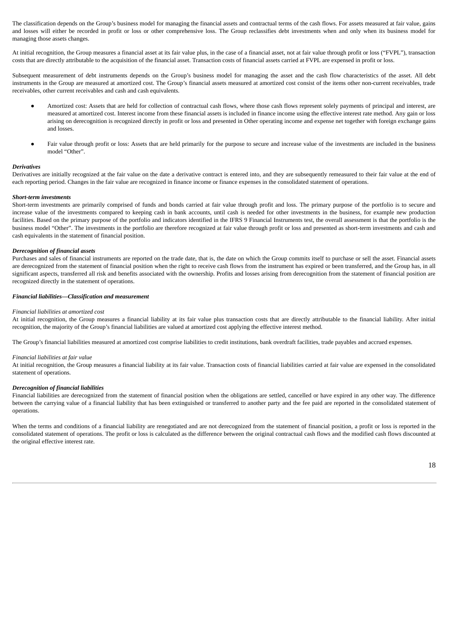The classification depends on the Group's business model for managing the financial assets and contractual terms of the cash flows. For assets measured at fair value, gains and losses will either be recorded in profit or loss or other comprehensive loss. The Group reclassifies debt investments when and only when its business model for managing those assets changes.

At initial recognition, the Group measures a financial asset at its fair value plus, in the case of a financial asset, not at fair value through profit or loss ("FVPL"), transaction costs that are directly attributable to the acquisition of the financial asset. Transaction costs of financial assets carried at FVPL are expensed in profit or loss.

Subsequent measurement of debt instruments depends on the Group's business model for managing the asset and the cash flow characteristics of the asset. All debt instruments in the Group are measured at amortized cost. The Group's financial assets measured at amortized cost consist of the items other non-current receivables, trade receivables, other current receivables and cash and cash equivalents.

- Amortized cost: Assets that are held for collection of contractual cash flows, where those cash flows represent solely payments of principal and interest, are measured at amortized cost. Interest income from these financial assets is included in finance income using the effective interest rate method. Any gain or loss arising on derecognition is recognized directly in profit or loss and presented in Other operating income and expense net together with foreign exchange gains and losses.
- Fair value through profit or loss: Assets that are held primarily for the purpose to secure and increase value of the investments are included in the business model "Other".

#### *Derivatives*

Derivatives are initially recognized at the fair value on the date a derivative contract is entered into, and they are subsequently remeasured to their fair value at the end of each reporting period. Changes in the fair value are recognized in finance income or finance expenses in the consolidated statement of operations.

#### *Short-term investments*

Short-term investments are primarily comprised of funds and bonds carried at fair value through profit and loss. The primary purpose of the portfolio is to secure and increase value of the investments compared to keeping cash in bank accounts, until cash is needed for other investments in the business, for example new production facilities. Based on the primary purpose of the portfolio and indicators identified in the IFRS 9 Financial Instruments test, the overall assessment is that the portfolio is the business model "Other". The investments in the portfolio are therefore recognized at fair value through profit or loss and presented as short-term investments and cash and cash equivalents in the statement of financial position.

#### *Derecognition of financial assets*

Purchases and sales of financial instruments are reported on the trade date, that is, the date on which the Group commits itself to purchase or sell the asset. Financial assets are derecognized from the statement of financial position when the right to receive cash flows from the instrument has expired or been transferred, and the Group has, in all significant aspects, transferred all risk and benefits associated with the ownership. Profits and losses arising from derecognition from the statement of financial position are recognized directly in the statement of operations.

#### *Financial liabilities—Classification and measurement*

#### *Financial liabilities at amortized cost*

At initial recognition, the Group measures a financial liability at its fair value plus transaction costs that are directly attributable to the financial liability. After initial recognition, the majority of the Group's financial liabilities are valued at amortized cost applying the effective interest method.

The Group's financial liabilities measured at amortized cost comprise liabilities to credit institutions, bank overdraft facilities, trade payables and accrued expenses.

#### *Financial liabilities at fair value*

At initial recognition, the Group measures a financial liability at its fair value. Transaction costs of financial liabilities carried at fair value are expensed in the consolidated statement of operations.

#### *Derecognition of financial liabilities*

Financial liabilities are derecognized from the statement of financial position when the obligations are settled, cancelled or have expired in any other way. The difference between the carrying value of a financial liability that has been extinguished or transferred to another party and the fee paid are reported in the consolidated statement of operations.

When the terms and conditions of a financial liability are renegotiated and are not derecognized from the statement of financial position, a profit or loss is reported in the consolidated statement of operations. The profit or loss is calculated as the difference between the original contractual cash flows and the modified cash flows discounted at the original effective interest rate.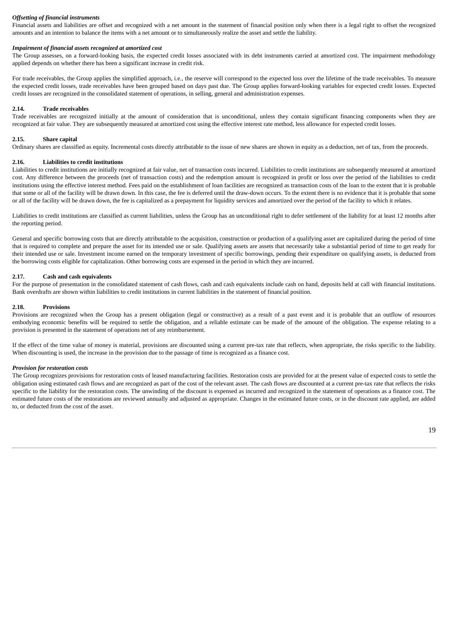#### *Offsetting of financial instruments*

Financial assets and liabilities are offset and recognized with a net amount in the statement of financial position only when there is a legal right to offset the recognized amounts and an intention to balance the items with a net amount or to simultaneously realize the asset and settle the liability.

#### *Impairment of financial assets recognized at amortized cost*

The Group assesses, on a forward-looking basis, the expected credit losses associated with its debt instruments carried at amortized cost. The impairment methodology applied depends on whether there has been a significant increase in credit risk.

For trade receivables, the Group applies the simplified approach, i.e., the reserve will correspond to the expected loss over the lifetime of the trade receivables. To measure the expected credit losses, trade receivables have been grouped based on days past due. The Group applies forward-looking variables for expected credit losses. Expected credit losses are recognized in the consolidated statement of operations, in selling, general and administration expenses.

#### **2.14. Trade receivables**

Trade receivables are recognized initially at the amount of consideration that is unconditional, unless they contain significant financing components when they are recognized at fair value. They are subsequently measured at amortized cost using the effective interest rate method, less allowance for expected credit losses.

#### **2.15. Share capital**

Ordinary shares are classified as equity. Incremental costs directly attributable to the issue of new shares are shown in equity as a deduction, net of tax, from the proceeds.

#### **2.16. Liabilities to credit institutions**

Liabilities to credit institutions are initially recognized at fair value, net of transaction costs incurred. Liabilities to credit institutions are subsequently measured at amortized cost. Any difference between the proceeds (net of transaction costs) and the redemption amount is recognized in profit or loss over the period of the liabilities to credit institutions using the effective interest method. Fees paid on the establishment of loan facilities are recognized as transaction costs of the loan to the extent that it is probable that some or all of the facility will be drawn down. In this case, the fee is deferred until the draw-down occurs. To the extent there is no evidence that it is probable that some or all of the facility will be drawn down, the fee is capitalized as a prepayment for liquidity services and amortized over the period of the facility to which it relates.

Liabilities to credit institutions are classified as current liabilities, unless the Group has an unconditional right to defer settlement of the liability for at least 12 months after the reporting period.

General and specific borrowing costs that are directly attributable to the acquisition, construction or production of a qualifying asset are capitalized during the period of time that is required to complete and prepare the asset for its intended use or sale. Qualifying assets are assets that necessarily take a substantial period of time to get ready for their intended use or sale. Investment income earned on the temporary investment of specific borrowings, pending their expenditure on qualifying assets, is deducted from the borrowing costs eligible for capitalization. Other borrowing costs are expensed in the period in which they are incurred.

#### **2.17. Cash and cash equivalents**

For the purpose of presentation in the consolidated statement of cash flows, cash and cash equivalents include cash on hand, deposits held at call with financial institutions. Bank overdrafts are shown within liabilities to credit institutions in current liabilities in the statement of financial position.

#### **2.18. Provisions**

Provisions are recognized when the Group has a present obligation (legal or constructive) as a result of a past event and it is probable that an outflow of resources embodying economic benefits will be required to settle the obligation, and a reliable estimate can be made of the amount of the obligation. The expense relating to a provision is presented in the statement of operations net of any reimbursement.

If the effect of the time value of money is material, provisions are discounted using a current pre-tax rate that reflects, when appropriate, the risks specific to the liability. When discounting is used, the increase in the provision due to the passage of time is recognized as a finance cost.

#### *Provision for restoration costs*

The Group recognizes provisions for restoration costs of leased manufacturing facilities. Restoration costs are provided for at the present value of expected costs to settle the obligation using estimated cash flows and are recognized as part of the cost of the relevant asset. The cash flows are discounted at a current pre-tax rate that reflects the risks specific to the liability for the restoration costs. The unwinding of the discount is expensed as incurred and recognized in the statement of operations as a finance cost. The estimated future costs of the restorations are reviewed annually and adjusted as appropriate. Changes in the estimated future costs, or in the discount rate applied, are added to, or deducted from the cost of the asset.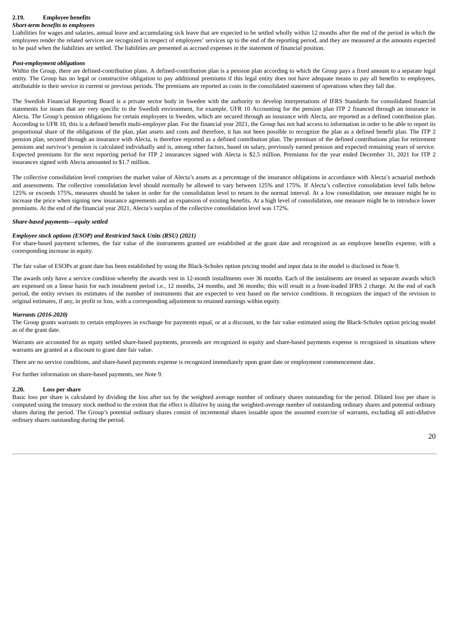## **2.19. Employee benefits**

#### *Short-term benefits to employees*

Liabilities for wages and salaries, annual leave and accumulating sick leave that are expected to be settled wholly within 12 months after the end of the period in which the employees render the related services are recognized in respect of employees' services up to the end of the reporting period, and they are measured at the amounts expected to be paid when the liabilities are settled. The liabilities are presented as accrued expenses in the statement of financial position.

#### *Post-employment obligations*

Within the Group, there are defined-contribution plans. A defined-contribution plan is a pension plan according to which the Group pays a fixed amount to a separate legal entity. The Group has no legal or constructive obligation to pay additional premiums if this legal entity does not have adequate means to pay all benefits to employees, attributable to their service in current or previous periods. The premiums are reported as costs in the consolidated statement of operations when they fall due.

The Swedish Financial Reporting Board is a private sector body in Sweden with the authority to develop interpretations of IFRS Standards for consolidated financial statements for issues that are very specific to the Swedish environment, for example, UFR 10 Accounting for the pension plan ITP 2 financed through an insurance in Alecta. The Group's pension obligations for certain employees in Sweden, which are secured through an insurance with Alecta, are reported as a defined contribution plan. According to UFR 10, this is a defined benefit multi-employer plan. For the financial year 2021, the Group has not had access to information in order to be able to report its proportional share of the obligations of the plan, plan assets and costs and therefore, it has not been possible to recognize the plan as a defined benefit plan. The ITP 2 pension plan, secured through an insurance with Alecta, is therefore reported as a defined contribution plan. The premium of the defined contributions plan for retirement pensions and survivor's pension is calculated individually and is, among other factors, based on salary, previously earned pension and expected remaining years of service. Expected premiums for the next reporting period for ITP 2 insurances signed with Alecta is \$2.5 million. Premiums for the year ended December 31, 2021 for ITP 2 insurances signed with Alecta amounted to \$1.7 million.

The collective consolidation level comprises the market value of Alecta's assets as a percentage of the insurance obligations in accordance with Alecta's actuarial methods and assessments. The collective consolidation level should normally be allowed to vary between 125% and 175%. If Alecta's collective consolidation level falls below 125% or exceeds 175%, measures should be taken in order for the consolidation level to return to the normal interval. At a low consolidation, one measure might be to increase the price when signing new insurance agreements and an expansion of existing benefits. At a high level of consolidation, one measure might be to introduce lower premiums. At the end of the financial year 2021, Alecta's surplus of the collective consolidation level was 172%.

#### *Share-based payments—equity settled*

#### *Employee stock options (ESOP) and Restricted Stock Units (RSU) (2021)*

For share-based payment schemes, the fair value of the instruments granted are established at the grant date and recognized as an employee benefits expense, with a corresponding increase in equity.

The fair value of ESOPs at grant date has been established by using the Black-Scholes option pricing model and input data in the model is disclosed in Note 9.

The awards only have a service condition whereby the awards vest in 12-month installments over 36 months. Each of the instalments are treated as separate awards which are expensed on a linear basis for each instalment period i.e., 12 months, 24 months, and 36 months; this will result in a front-loaded IFRS 2 charge. At the end of each period, the entity revises its estimates of the number of instruments that are expected to vest based on the service conditions. It recognizes the impact of the revision to original estimates, if any, in profit or loss, with a corresponding adjustment to retained earnings within equity.

#### *Warrants (2016-2020)*

The Group grants warrants to certain employees in exchange for payments equal, or at a discount, to the fair value estimated using the Black-Scholes option pricing model as of the grant date.

Warrants are accounted for as equity settled share-based payments, proceeds are recognized in equity and share-based payments expense is recognized in situations where warrants are granted at a discount to grant date fair value.

There are no service conditions, and share-based payments expense is recognized immediately upon grant date or employment commencement date.

For further information on share-based payments, see Note 9.

#### **2.20. Loss per share**

Basic loss per share is calculated by dividing the loss after tax by the weighted average number of ordinary shares outstanding for the period. Diluted loss per share is computed using the treasury stock method to the extent that the effect is dilutive by using the weighted-average number of outstanding ordinary shares and potential ordinary shares during the period. The Group's potential ordinary shares consist of incremental shares issuable upon the assumed exercise of warrants, excluding all anti-dilutive ordinary shares outstanding during the period.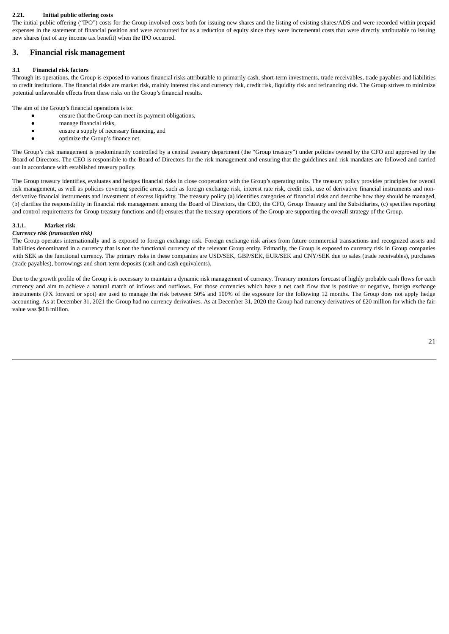#### **2.21. Initial public offering costs**

The initial public offering ("IPO") costs for the Group involved costs both for issuing new shares and the listing of existing shares/ADS and were recorded within prepaid expenses in the statement of financial position and were accounted for as a reduction of equity since they were incremental costs that were directly attributable to issuing new shares (net of any income tax benefit) when the IPO occurred.

#### **3. Financial risk management**

#### **3.1 Financial risk factors**

Through its operations, the Group is exposed to various financial risks attributable to primarily cash, short-term investments, trade receivables, trade payables and liabilities to credit institutions. The financial risks are market risk, mainly interest risk and currency risk, credit risk, liquidity risk and refinancing risk. The Group strives to minimize potential unfavorable effects from these risks on the Group's financial results.

The aim of the Group's financial operations is to:

- ensure that the Group can meet its payment obligations,
	- manage financial risks,
	- ensure a supply of necessary financing, and
	- optimize the Group's finance net.

The Group's risk management is predominantly controlled by a central treasury department (the "Group treasury") under policies owned by the CFO and approved by the Board of Directors. The CEO is responsible to the Board of Directors for the risk management and ensuring that the guidelines and risk mandates are followed and carried out in accordance with established treasury policy.

The Group treasury identifies, evaluates and hedges financial risks in close cooperation with the Group's operating units. The treasury policy provides principles for overall risk management, as well as policies covering specific areas, such as foreign exchange risk, interest rate risk, credit risk, use of derivative financial instruments and nonderivative financial instruments and investment of excess liquidity. The treasury policy (a) identifies categories of financial risks and describe how they should be managed, (b) clarifies the responsibility in financial risk management among the Board of Directors, the CEO, the CFO, Group Treasury and the Subsidiaries, (c) specifies reporting and control requirements for Group treasury functions and (d) ensures that the treasury operations of the Group are supporting the overall strategy of the Group.

#### **3.1.1. Market risk**

#### *Currency risk (transaction risk)*

The Group operates internationally and is exposed to foreign exchange risk. Foreign exchange risk arises from future commercial transactions and recognized assets and liabilities denominated in a currency that is not the functional currency of the relevant Group entity. Primarily, the Group is exposed to currency risk in Group companies with SEK as the functional currency. The primary risks in these companies are USD/SEK, GBP/SEK, EUR/SEK and CNY/SEK due to sales (trade receivables), purchases (trade payables), borrowings and short-term deposits (cash and cash equivalents).

Due to the growth profile of the Group it is necessary to maintain a dynamic risk management of currency. Treasury monitors forecast of highly probable cash flows for each currency and aim to achieve a natural match of inflows and outflows. For those currencies which have a net cash flow that is positive or negative, foreign exchange instruments (FX forward or spot) are used to manage the risk between 50% and 100% of the exposure for the following 12 months. The Group does not apply hedge accounting. As at December 31, 2021 the Group had no currency derivatives. As at December 31, 2020 the Group had currency derivatives of £20 million for which the fair value was \$0.8 million.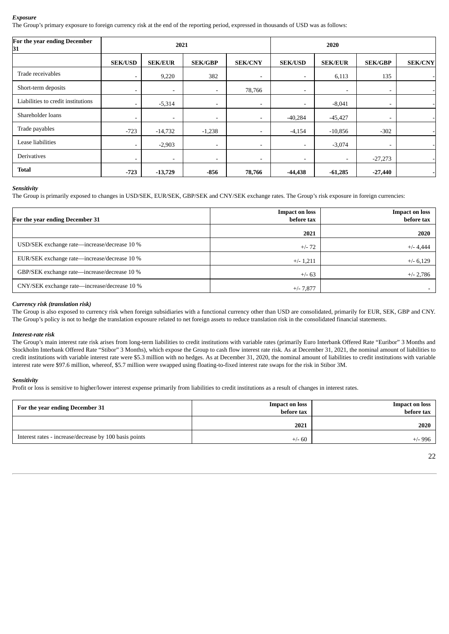#### *Exposure*

The Group's primary exposure to foreign currency risk at the end of the reporting period, expressed in thousands of USD was as follows:

| For the year ending December<br>31 |                          |                          | 2021                     |                          | 2020                     |                |                          |                |
|------------------------------------|--------------------------|--------------------------|--------------------------|--------------------------|--------------------------|----------------|--------------------------|----------------|
|                                    | <b>SEK/USD</b>           | <b>SEK/EUR</b>           | <b>SEK/GBP</b>           | <b>SEK/CNY</b>           | <b>SEK/USD</b>           | <b>SEK/EUR</b> | <b>SEK/GBP</b>           | <b>SEK/CNY</b> |
| Trade receivables                  | $\overline{\phantom{a}}$ | 9,220                    | 382                      | $\overline{\phantom{a}}$ | $\overline{\phantom{a}}$ | 6,113          | 135                      |                |
| Short-term deposits                | $\overline{\phantom{a}}$ | $\sim$                   | $\overline{\phantom{a}}$ | 78,766                   | $\overline{\phantom{a}}$ | ۰.             | $\overline{\phantom{a}}$ |                |
| Liabilities to credit institutions | -                        | $-5,314$                 | $\overline{\phantom{a}}$ | $\overline{\phantom{a}}$ | $\overline{\phantom{a}}$ | $-8,041$       | $\overline{\phantom{a}}$ |                |
| Shareholder loans                  | ۰                        | $\overline{\phantom{a}}$ | ۰.                       | ۰                        | $-40,284$                | $-45,427$      | $\overline{\phantom{a}}$ |                |
| Trade payables                     | $-723$                   | $-14,732$                | $-1,238$                 | $\overline{\phantom{a}}$ | $-4,154$                 | $-10,856$      | $-302$                   |                |
| Lease liabilities                  | $\sim$                   | $-2,903$                 | $\overline{\phantom{a}}$ | $\sim$                   | $\overline{\phantom{a}}$ | $-3,074$       | $\overline{\phantom{a}}$ |                |
| <b>Derivatives</b>                 | $\overline{\phantom{a}}$ | $\overline{\phantom{a}}$ | $\overline{\phantom{a}}$ | ۰                        | $\overline{\phantom{a}}$ | ۰.             | $-27,273$                |                |
| <b>Total</b>                       | $-723$                   | $-13,729$                | -856                     | 78,766                   | $-44,438$                | $-61,285$      | $-27,440$                |                |

#### *Sensitivity*

The Group is primarily exposed to changes in USD/SEK, EUR/SEK, GBP/SEK and CNY/SEK exchange rates. The Group's risk exposure in foreign currencies:

| For the year ending December 31              | <b>Impact on loss</b><br>before tax | <b>Impact on loss</b><br>before tax |
|----------------------------------------------|-------------------------------------|-------------------------------------|
|                                              | 2021                                | 2020                                |
| USD/SEK exchange rate—increase/decrease 10 % | $+/- 72$                            | $+/- 4,444$                         |
| EUR/SEK exchange rate—increase/decrease 10 % | $+/- 1,211$                         | $+/- 6,129$                         |
| GBP/SEK exchange rate—increase/decrease 10 % | $+/- 63$                            | $+/- 2,786$                         |
| CNY/SEK exchange rate—increase/decrease 10 % | $+/- 7,877$                         |                                     |

#### *Currency risk (translation risk)*

The Group is also exposed to currency risk when foreign subsidiaries with a functional currency other than USD are consolidated, primarily for EUR, SEK, GBP and CNY. The Group's policy is not to hedge the translation exposure related to net foreign assets to reduce translation risk in the consolidated financial statements.

#### *Interest-rate risk*

The Group's main interest rate risk arises from long-term liabilities to credit institutions with variable rates (primarily Euro Interbank Offered Rate "Euribor" 3 Months and Stockholm Interbank Offered Rate "Stibor" 3 Months), which expose the Group to cash flow interest rate risk. As at December 31, 2021, the nominal amount of liabilities to credit institutions with variable interest rate were \$5.3 million with no hedges. As at December 31, 2020, the nominal amount of liabilities to credit institutions with variable interest rate were \$97.6 million, whereof, \$5.7 million were swapped using floating-to-fixed interest rate swaps for the risk in Stibor 3M.

#### *Sensitivity*

Profit or loss is sensitive to higher/lower interest expense primarily from liabilities to credit institutions as a result of changes in interest rates.

| For the year ending December 31                        | <b>Impact on loss</b><br>before tax | <b>Impact on loss</b><br>before tax |
|--------------------------------------------------------|-------------------------------------|-------------------------------------|
|                                                        | 2021                                | 2020                                |
| Interest rates - increase/decrease by 100 basis points | $+/- 60$                            | +/- 996                             |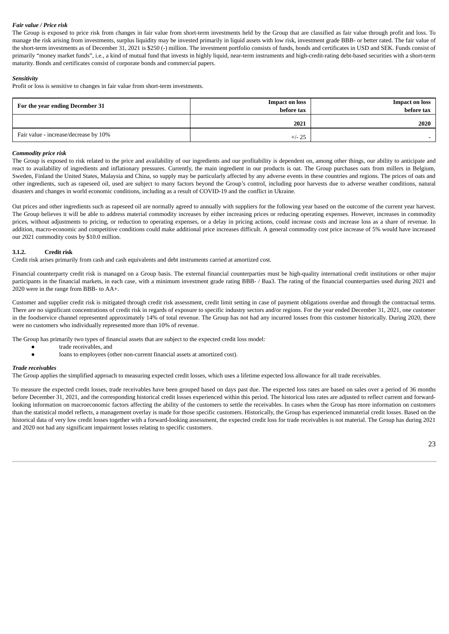#### *Fair value / Price risk*

The Group is exposed to price risk from changes in fair value from short-term investments held by the Group that are classified as fair value through profit and loss. To manage the risk arising from investments, surplus liquidity may be invested primarily in liquid assets with low risk, investment grade BBB- or better rated. The fair value of the short-term investments as of December 31, 2021 is \$250 (-) million. The investment portfolio consists of funds, bonds and certificates in USD and SEK. Funds consist of primarily "money market funds", i.e., a kind of mutual fund that invests in highly liquid, near-term instruments and high-credit-rating debt-based securities with a short-term maturity. Bonds and certificates consist of corporate bonds and commercial papers.

#### *Sensitivity*

Profit or loss is sensitive to changes in fair value from short-term investments.

| For the year ending December 31       | <b>Impact on loss</b><br>before tax | <b>Impact on loss</b><br>before tax |
|---------------------------------------|-------------------------------------|-------------------------------------|
|                                       | 2021                                | 2020                                |
| Fair value - increase/decrease by 10% | $+/- 25$                            |                                     |

#### *Commodity price risk*

The Group is exposed to risk related to the price and availability of our ingredients and our profitability is dependent on, among other things, our ability to anticipate and react to availability of ingredients and inflationary pressures. Currently, the main ingredient in our products is oat. The Group purchases oats from millers in Belgium, Sweden, Finland the United States, Malaysia and China, so supply may be particularly affected by any adverse events in these countries and regions. The prices of oats and other ingredients, such as rapeseed oil, used are subject to many factors beyond the Group's control, including poor harvests due to adverse weather conditions, natural disasters and changes in world economic conditions, including as a result of COVID-19 and the conflict in Ukraine.

Oat prices and other ingredients such as rapeseed oil are normally agreed to annually with suppliers for the following year based on the outcome of the current year harvest. The Group believes it will be able to address material commodity increases by either increasing prices or reducing operating expenses. However, increases in commodity prices, without adjustments to pricing, or reduction to operating expenses, or a delay in pricing actions, could increase costs and increase loss as a share of revenue. In addition, macro-economic and competitive conditions could make additional price increases difficult. A general commodity cost price increase of 5% would have increased our 2021 commodity costs by \$10.0 million.

#### **3.1.2. Credit risk**

Credit risk arises primarily from cash and cash equivalents and debt instruments carried at amortized cost.

Financial counterparty credit risk is managed on a Group basis. The external financial counterparties must be high-quality international credit institutions or other major participants in the financial markets, in each case, with a minimum investment grade rating BBB- / Baa3. The rating of the financial counterparties used during 2021 and 2020 were in the range from BBB- to AA+.

Customer and supplier credit risk is mitigated through credit risk assessment, credit limit setting in case of payment obligations overdue and through the contractual terms. There are no significant concentrations of credit risk in regards of exposure to specific industry sectors and/or regions. For the year ended December 31, 2021, one customer in the foodservice channel represented approximately 14% of total revenue. The Group has not had any incurred losses from this customer historically. During 2020, there were no customers who individually represented more than 10% of revenue.

The Group has primarily two types of financial assets that are subject to the expected credit loss model:

- trade receivables, and
- loans to employees (other non-current financial assets at amortized cost).

#### *Trade receivables*

The Group applies the simplified approach to measuring expected credit losses, which uses a lifetime expected loss allowance for all trade receivables.

To measure the expected credit losses, trade receivables have been grouped based on days past due. The expected loss rates are based on sales over a period of 36 months before December 31, 2021, and the corresponding historical credit losses experienced within this period. The historical loss rates are adjusted to reflect current and forwardlooking information on macroeconomic factors affecting the ability of the customers to settle the receivables. In cases when the Group has more information on customers than the statistical model reflects, a management overlay is made for those specific customers. Historically, the Group has experienced immaterial credit losses. Based on the historical data of very low credit losses together with a forward-looking assessment, the expected credit loss for trade receivables is not material. The Group has during 2021 and 2020 not had any significant impairment losses relating to specific customers.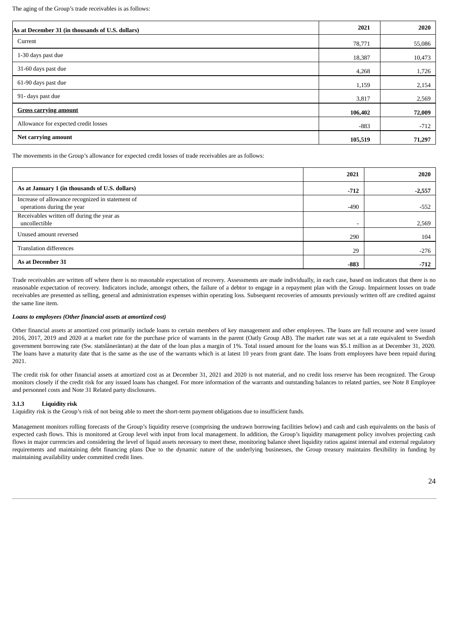The aging of the Group's trade receivables is as follows:

| As at December 31 (in thousands of U.S. dollars) | 2021    | 2020   |
|--------------------------------------------------|---------|--------|
| Current                                          | 78,771  | 55,086 |
| 1-30 days past due                               | 18,387  | 10,473 |
| 31-60 days past due                              | 4,268   | 1,726  |
| 61-90 days past due                              | 1,159   | 2,154  |
| 91- days past due                                | 3,817   | 2,569  |
| <b>Gross carrying amount</b>                     | 106,402 | 72,009 |
| Allowance for expected credit losses             | $-883$  | $-712$ |
| Net carrying amount                              | 105,519 | 71,297 |

The movements in the Group's allowance for expected credit losses of trade receivables are as follows:

|                                                                                | 2021   | 2020     |
|--------------------------------------------------------------------------------|--------|----------|
| As at January 1 (in thousands of U.S. dollars)                                 | $-712$ | $-2,557$ |
| Increase of allowance recognized in statement of<br>operations during the year | $-490$ | $-552$   |
| Receivables written off during the year as<br>uncollectible                    |        | 2,569    |
| Unused amount reversed                                                         | 290    | 104      |
| <b>Translation differences</b>                                                 | 29     | $-276$   |
| As at December 31                                                              | $-883$ | $-712$   |

Trade receivables are written off where there is no reasonable expectation of recovery. Assessments are made individually, in each case, based on indicators that there is no reasonable expectation of recovery. Indicators include, amongst others, the failure of a debtor to engage in a repayment plan with the Group. Impairment losses on trade receivables are presented as selling, general and administration expenses within operating loss. Subsequent recoveries of amounts previously written off are credited against the same line item.

#### *Loans to employees (Other financial assets at amortized cost)*

Other financial assets at amortized cost primarily include loans to certain members of key management and other employees. The loans are full recourse and were issued 2016, 2017, 2019 and 2020 at a market rate for the purchase price of warrants in the parent (Oatly Group AB). The market rate was set at a rate equivalent to Swedish government borrowing rate (Sw. statslåneräntan) at the date of the loan plus a margin of 1%. Total issued amount for the loans was \$5.1 million as at December 31, 2020. The loans have a maturity date that is the same as the use of the warrants which is at latest 10 years from grant date. The loans from employees have been repaid during 2021.

The credit risk for other financial assets at amortized cost as at December 31, 2021 and 2020 is not material, and no credit loss reserve has been recognized. The Group monitors closely if the credit risk for any issued loans has changed. For more information of the warrants and outstanding balances to related parties, see Note 8 Employee and personnel costs and Note 31 Related party disclosures.

#### **3.1.3 Liquidity risk**

Liquidity risk is the Group's risk of not being able to meet the short-term payment obligations due to insufficient funds.

Management monitors rolling forecasts of the Group's liquidity reserve (comprising the undrawn borrowing facilities below) and cash and cash equivalents on the basis of expected cash flows. This is monitored at Group level with input from local management. In addition, the Group's liquidity management policy involves projecting cash flows in major currencies and considering the level of liquid assets necessary to meet these, monitoring balance sheet liquidity ratios against internal and external regulatory requirements and maintaining debt financing plans Due to the dynamic nature of the underlying businesses, the Group treasury maintains flexibility in funding by maintaining availability under committed credit lines.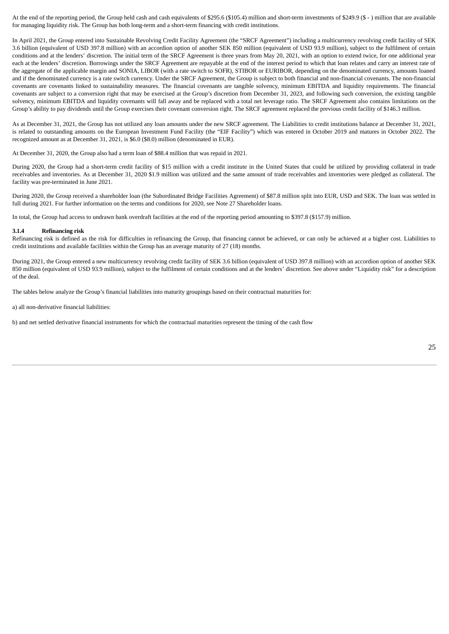At the end of the reporting period, the Group held cash and cash equivalents of \$295.6 (\$105.4) million and short-term investments of \$249.9 (\$ - ) million that are available for managing liquidity risk. The Group has both long-term and a short-term financing with credit institutions.

In April 2021, the Group entered into Sustainable Revolving Credit Facility Agreement (the "SRCF Agreement") including a multicurrency revolving credit facility of SEK 3.6 billion (equivalent of USD 397.8 million) with an accordion option of another SEK 850 million (equivalent of USD 93.9 million), subject to the fulfilment of certain conditions and at the lenders' discretion. The initial term of the SRCF Agreement is three years from May 20, 2021, with an option to extend twice, for one additional year each at the lenders' discretion. Borrowings under the SRCF Agreement are repayable at the end of the interest period to which that loan relates and carry an interest rate of the aggregate of the applicable margin and SONIA, LIBOR (with a rate switch to SOFR), STIBOR or EURIBOR, depending on the denominated currency, amounts loaned and if the denominated currency is a rate switch currency. Under the SRCF Agreement, the Group is subject to both financial and non-financial covenants. The non-financial covenants are covenants linked to sustainability measures. The financial covenants are tangible solvency, minimum EBITDA and liquidity requirements. The financial covenants are subject to a conversion right that may be exercised at the Group's discretion from December 31, 2023, and following such conversion, the existing tangible solvency, minimum EBITDA and liquidity covenants will fall away and be replaced with a total net leverage ratio. The SRCF Agreement also contains limitations on the Group's ability to pay dividends until the Group exercises their covenant conversion right. The SRCF agreement replaced the previous credit facility of \$146.3 million.

As at December 31, 2021, the Group has not utilized any loan amounts under the new SRCF agreement. The Liabilities to credit institutions balance at December 31, 2021, is related to outstanding amounts on the European Investment Fund Facility (the "EIF Facility") which was entered in October 2019 and matures in October 2022. The recognized amount as at December 31, 2021, is \$6.0 (\$8.0) million (denominated in EUR).

At December 31, 2020, the Group also had a term loan of \$88.4 million that was repaid in 2021.

During 2020, the Group had a short-term credit facility of \$15 million with a credit institute in the United States that could be utilized by providing collateral in trade receivables and inventories. As at December 31, 2020 \$1.9 million was utilized and the same amount of trade receivables and inventories were pledged as collateral. The facility was pre-terminated in June 2021.

During 2020, the Group received a shareholder loan (the Subordinated Bridge Facilities Agreement) of \$87.8 million split into EUR, USD and SEK. The loan was settled in full during 2021. For further information on the terms and conditions for 2020, see Note 27 Shareholder loans.

In total, the Group had access to undrawn bank overdraft facilities at the end of the reporting period amounting to \$397.8 (\$157.9) million.

#### **3.1.4 Refinancing risk**

Refinancing risk is defined as the risk for difficulties in refinancing the Group, that financing cannot be achieved, or can only be achieved at a higher cost. Liabilities to credit institutions and available facilities within the Group has an average maturity of 27 (18) months.

During 2021, the Group entered a new multicurrency revolving credit facility of SEK 3.6 billion (equivalent of USD 397.8 million) with an accordion option of another SEK 850 million (equivalent of USD 93.9 million), subject to the fulfilment of certain conditions and at the lenders' discretion. See above under "Liquidity risk" for a description of the deal.

The tables below analyze the Group's financial liabilities into maturity groupings based on their contractual maturities for:

a) all non-derivative financial liabilities:

b) and net settled derivative financial instruments for which the contractual maturities represent the timing of the cash flow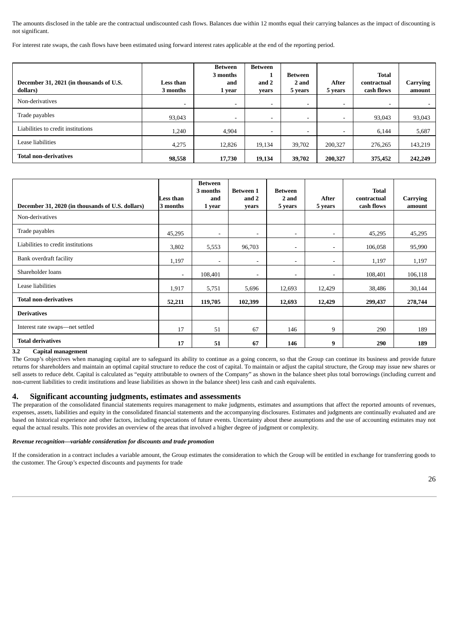The amounts disclosed in the table are the contractual undiscounted cash flows. Balances due within 12 months equal their carrying balances as the impact of discounting is not significant.

For interest rate swaps, the cash flows have been estimated using forward interest rates applicable at the end of the reporting period.

| December 31, 2021 (in thousands of U.S.<br>dollars) | Less than<br>3 months | Between<br>3 months<br>and<br>1 year | Between<br>and 2<br>years | Between<br>2 and<br>5 years | After<br>5 years         | <b>Total</b><br>contractual<br>cash flows | Carrying<br>amount |
|-----------------------------------------------------|-----------------------|--------------------------------------|---------------------------|-----------------------------|--------------------------|-------------------------------------------|--------------------|
| Non-derivatives                                     | ٠.                    | $\sim$                               |                           | $\overline{\phantom{a}}$    | $\overline{\phantom{a}}$ |                                           |                    |
| Trade payables                                      | 93,043                | $\sim$                               |                           | $\overline{\phantom{a}}$    | $\overline{\phantom{a}}$ | 93,043                                    | 93,043             |
| Liabilities to credit institutions                  | 1,240                 | 4,904                                |                           | $\overline{\phantom{a}}$    | -                        | 6,144                                     | 5,687              |
| Lease liabilities                                   | 4,275                 | 12,826                               | 19,134                    | 39,702                      | 200,327                  | 276,265                                   | 143,219            |
| <b>Total non-derivatives</b>                        | 98,558                | 17,730                               | 19,134                    | 39,702                      | 200,327                  | 375,452                                   | 242,249            |

| December 31, 2020 (in thousands of U.S. dollars) | Less than<br>3 months | <b>Between</b><br>3 months<br>and<br>1 year | <b>Between 1</b><br>and 2<br>vears | <b>Between</b><br>2 and<br>5 years | After<br>5 years         | <b>Total</b><br>contractual<br>cash flows | Carrying<br>amount |
|--------------------------------------------------|-----------------------|---------------------------------------------|------------------------------------|------------------------------------|--------------------------|-------------------------------------------|--------------------|
| Non-derivatives                                  |                       |                                             |                                    |                                    |                          |                                           |                    |
| Trade payables                                   | 45,295                | $\blacksquare$                              | ۰.                                 | $\blacksquare$                     | ۰                        | 45,295                                    | 45,295             |
| Liabilities to credit institutions               | 3,802                 | 5,553                                       | 96,703                             | $\blacksquare$                     | ۰                        | 106,058                                   | 95,990             |
| Bank overdraft facility                          | 1,197                 | $\overline{\phantom{a}}$                    | $\overline{\phantom{a}}$           | $\overline{\phantom{a}}$           | $\overline{\phantom{a}}$ | 1,197                                     | 1,197              |
| Shareholder loans                                | $\sim$                | 108,401                                     | $\overline{\phantom{a}}$           | ۰.                                 | $\overline{\phantom{a}}$ | 108,401                                   | 106,118            |
| Lease liabilities                                | 1,917                 | 5,751                                       | 5,696                              | 12,693                             | 12,429                   | 38,486                                    | 30,144             |
| <b>Total non-derivatives</b>                     | 52,211                | 119,705                                     | 102,399                            | 12,693                             | 12,429                   | 299,437                                   | 278,744            |
| <b>Derivatives</b>                               |                       |                                             |                                    |                                    |                          |                                           |                    |
| Interest rate swaps-net settled                  | 17                    | 51                                          | 67                                 | 146                                | 9                        | 290                                       | 189                |
| <b>Total derivatives</b>                         | 17                    | 51                                          | 67                                 | 146                                | 9                        | 290                                       | 189                |

### **3.2 Capital management**

The Group's objectives when managing capital are to safeguard its ability to continue as a going concern, so that the Group can continue its business and provide future returns for shareholders and maintain an optimal capital structure to reduce the cost of capital. To maintain or adjust the capital structure, the Group may issue new shares or sell assets to reduce debt. Capital is calculated as "equity attributable to owners of the Company" as shown in the balance sheet plus total borrowings (including current and non-current liabilities to credit institutions and lease liabilities as shown in the balance sheet) less cash and cash equivalents.

#### **4. Significant accounting judgments, estimates and assessments**

The preparation of the consolidated financial statements requires management to make judgments, estimates and assumptions that affect the reported amounts of revenues, expenses, assets, liabilities and equity in the consolidated financial statements and the accompanying disclosures. Estimates and judgments are continually evaluated and are based on historical experience and other factors, including expectations of future events. Uncertainty about these assumptions and the use of accounting estimates may not equal the actual results. This note provides an overview of the areas that involved a higher degree of judgment or complexity.

#### *Revenue recognition—variable consideration for discounts and trade promotion*

If the consideration in a contract includes a variable amount, the Group estimates the consideration to which the Group will be entitled in exchange for transferring goods to the customer. The Group's expected discounts and payments for trade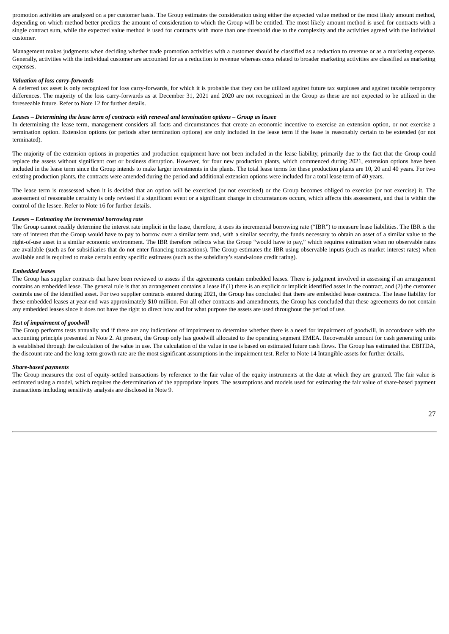promotion activities are analyzed on a per customer basis. The Group estimates the consideration using either the expected value method or the most likely amount method, depending on which method better predicts the amount of consideration to which the Group will be entitled. The most likely amount method is used for contracts with a single contract sum, while the expected value method is used for contracts with more than one threshold due to the complexity and the activities agreed with the individual customer.

Management makes judgments when deciding whether trade promotion activities with a customer should be classified as a reduction to revenue or as a marketing expense. Generally, activities with the individual customer are accounted for as a reduction to revenue whereas costs related to broader marketing activities are classified as marketing expenses.

#### *Valuation of loss carry-forwards*

A deferred tax asset is only recognized for loss carry-forwards, for which it is probable that they can be utilized against future tax surpluses and against taxable temporary differences. The majority of the loss carry-forwards as at December 31, 2021 and 2020 are not recognized in the Group as these are not expected to be utilized in the foreseeable future. Refer to Note 12 for further details.

#### *Leases – Determining the lease term of contracts with renewal and termination options – Group as lessee*

In determining the lease term, management considers all facts and circumstances that create an economic incentive to exercise an extension option, or not exercise a termination option. Extension options (or periods after termination options) are only included in the lease term if the lease is reasonably certain to be extended (or not terminated).

The majority of the extension options in properties and production equipment have not been included in the lease liability, primarily due to the fact that the Group could replace the assets without significant cost or business disruption. However, for four new production plants, which commenced during 2021, extension options have been included in the lease term since the Group intends to make larger investments in the plants. The total lease terms for these production plants are 10, 20 and 40 years. For two existing production plants, the contracts were amended during the period and additional extension options were included for a total lease term of 40 years.

The lease term is reassessed when it is decided that an option will be exercised (or not exercised) or the Group becomes obliged to exercise (or not exercise) it. The assessment of reasonable certainty is only revised if a significant event or a significant change in circumstances occurs, which affects this assessment, and that is within the control of the lessee. Refer to Note 16 for further details.

#### *Leases – Estimating the incremental borrowing rate*

The Group cannot readily determine the interest rate implicit in the lease, therefore, it uses its incremental borrowing rate ("IBR") to measure lease liabilities. The IBR is the rate of interest that the Group would have to pay to borrow over a similar term and, with a similar security, the funds necessary to obtain an asset of a similar value to the right-of-use asset in a similar economic environment. The IBR therefore reflects what the Group "would have to pay," which requires estimation when no observable rates are available (such as for subsidiaries that do not enter financing transactions). The Group estimates the IBR using observable inputs (such as market interest rates) when available and is required to make certain entity specific estimates (such as the subsidiary's stand-alone credit rating).

#### *Embedded leases*

The Group has supplier contracts that have been reviewed to assess if the agreements contain embedded leases. There is judgment involved in assessing if an arrangement contains an embedded lease. The general rule is that an arrangement contains a lease if (1) there is an explicit or implicit identified asset in the contract, and (2) the customer controls use of the identified asset. For two supplier contracts entered during 2021, the Group has concluded that there are embedded lease contracts. The lease liability for these embedded leases at year-end was approximately \$10 million. For all other contracts and amendments, the Group has concluded that these agreements do not contain any embedded leases since it does not have the right to direct how and for what purpose the assets are used throughout the period of use.

#### *Test of impairment of goodwill*

The Group performs tests annually and if there are any indications of impairment to determine whether there is a need for impairment of goodwill, in accordance with the accounting principle presented in Note 2. At present, the Group only has goodwill allocated to the operating segment EMEA. Recoverable amount for cash generating units is established through the calculation of the value in use. The calculation of the value in use is based on estimated future cash flows. The Group has estimated that EBITDA, the discount rate and the long-term growth rate are the most significant assumptions in the impairment test. Refer to Note 14 Intangible assets for further details.

#### *Share-based payments*

The Group measures the cost of equity-settled transactions by reference to the fair value of the equity instruments at the date at which they are granted. The fair value is estimated using a model, which requires the determination of the appropriate inputs. The assumptions and models used for estimating the fair value of share-based payment transactions including sensitivity analysis are disclosed in Note 9.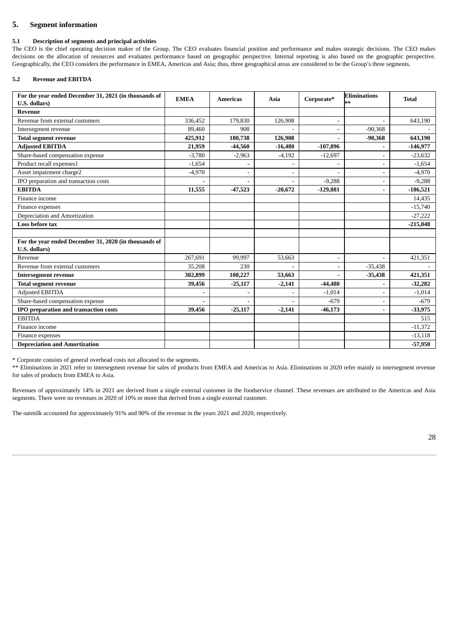## **5. Segment information**

#### **5.1 Description of segments and principal activities**

The CEO is the chief operating decision maker of the Group. The CEO evaluates financial position and performance and makes strategic decisions. The CEO makes decisions on the allocation of resources and evaluates performance based on geographic perspective. Internal reporting is also based on the geographic perspective. Geographically, the CEO considers the performance in EMEA, Americas and Asia; thus, three geographical areas are considered to be the Group's three segments.

#### **5.2 Revenue and EBITDA**

| For the year ended December 31, 2021 (in thousands of<br>U.S. dollars) | <b>EMEA</b> | <b>Americas</b> | Asia      | Corporate*     | <b>Eliminations</b><br>** | <b>Total</b> |
|------------------------------------------------------------------------|-------------|-----------------|-----------|----------------|---------------------------|--------------|
| <b>Revenue</b>                                                         |             |                 |           |                |                           |              |
| Revenue from external customers                                        | 336,452     | 179,830         | 126,908   | $\blacksquare$ |                           | 643,190      |
| Intersegment revenue                                                   | 89,460      | 908             |           |                | $-90,368$                 |              |
| <b>Total segment revenue</b>                                           | 425,912     | 180,738         | 126,908   |                | $-90,368$                 | 643,190      |
| <b>Adjusted EBITDA</b>                                                 | 21,959      | $-44,560$       | $-16,480$ | $-107,896$     |                           | $-146,977$   |
| Share-based compensation expense                                       | $-3,780$    | $-2,963$        | $-4,192$  | $-12,697$      |                           | $-23,632$    |
| Product recall expenses1                                               | $-1,654$    |                 |           |                | $\blacksquare$            | $-1,654$     |
| Asset impairment charge2                                               | $-4,970$    |                 |           |                |                           | $-4,970$     |
| IPO preparation and transaction costs                                  |             |                 |           | $-9,288$       | $\overline{\phantom{a}}$  | $-9,288$     |
| <b>EBITDA</b>                                                          | 11,555      | $-47,523$       | $-20,672$ | $-129,881$     |                           | $-186,521$   |
| Finance income                                                         |             |                 |           |                |                           | 14,435       |
| Finance expenses                                                       |             |                 |           |                |                           | $-15,740$    |
| Depreciation and Amortization                                          |             |                 |           |                |                           | $-27,222$    |
| Loss before tax                                                        |             |                 |           |                |                           | $-215,048$   |
|                                                                        |             |                 |           |                |                           |              |
| For the year ended December 31, 2020 (in thousands of<br>U.S. dollars) |             |                 |           |                |                           |              |
| Revenue                                                                | 267,691     | 99,997          | 53,663    |                |                           | 421,351      |
| Revenue from external customers                                        | 35,208      | 230             |           |                | $-35,438$                 |              |
| <b>Intersegment revenue</b>                                            | 302,899     | 100,227         | 53,663    |                | $-35,438$                 | 421,351      |
| <b>Total segment revenue</b>                                           | 39,456      | $-25,117$       | $-2,141$  | $-44,480$      |                           | $-32,282$    |
| <b>Adjusted EBITDA</b>                                                 |             |                 |           | $-1,014$       |                           | $-1,014$     |
| Share-based compensation expense                                       |             |                 |           | $-679$         |                           | $-679$       |
| IPO preparation and transaction costs                                  | 39,456      | $-25,117$       | $-2,141$  | $-46,173$      |                           | $-33,975$    |
| <b>EBITDA</b>                                                          |             |                 |           |                |                           | 515          |
| Finance income                                                         |             |                 |           |                |                           | $-11,372$    |
| Finance expenses                                                       |             |                 |           |                |                           | $-13,118$    |
| <b>Depreciation and Amortization</b>                                   |             |                 |           |                |                           | $-57,950$    |

\* Corporate consists of general overhead costs not allocated to the segments.

\*\* Eliminations in 2021 refer to intersegment revenue for sales of products from EMEA and Americas to Asia. Eliminations in 2020 refer mainly to intersegment revenue for sales of products from EMEA to Asia.

Revenues of approximately 14% in 2021 are derived from a single external customer in the foodservice channel. These revenues are attributed to the Americas and Asia segments. There were no revenues in 2020 of 10% or more that derived from a single external customer.

The oatmilk accounted for approximately 91% and 90% of the revenue in the years 2021 and 2020, respectively.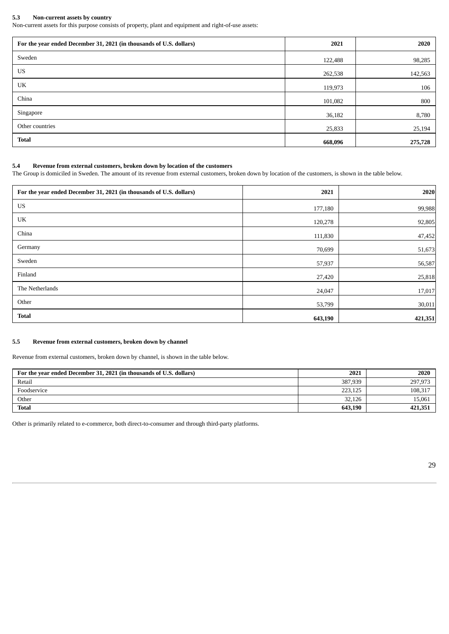#### **5.3 Non-current assets by country**

Non-current assets for this purpose consists of property, plant and equipment and right-of-use assets:

| For the year ended December 31, 2021 (in thousands of U.S. dollars) | 2021    | 2020    |
|---------------------------------------------------------------------|---------|---------|
| Sweden                                                              | 122,488 | 98,285  |
| US                                                                  | 262,538 | 142,563 |
| UK                                                                  | 119,973 | 106     |
| China                                                               | 101,082 | 800     |
| Singapore                                                           | 36,182  | 8,780   |
| Other countries                                                     | 25,833  | 25,194  |
| <b>Total</b>                                                        | 668,096 | 275,728 |

### **5.4 Revenue from external customers, broken down by location of the customers**

The Group is domiciled in Sweden. The amount of its revenue from external customers, broken down by location of the customers, is shown in the table below.

| For the year ended December 31, 2021 (in thousands of U.S. dollars) | 2021    | 2020    |
|---------------------------------------------------------------------|---------|---------|
| US                                                                  | 177,180 | 99,988  |
| UK                                                                  | 120,278 | 92,805  |
| China                                                               | 111,830 | 47,452  |
| Germany                                                             | 70,699  | 51,673  |
| Sweden                                                              | 57,937  | 56,587  |
| Finland                                                             | 27,420  | 25,818  |
| The Netherlands                                                     | 24,047  | 17,017  |
| Other                                                               | 53,799  | 30,011  |
| <b>Total</b>                                                        | 643,190 | 421,351 |

#### **5.5 Revenue from external customers, broken down by channel**

Revenue from external customers, broken down by channel, is shown in the table below.

| For the year ended December 31, 2021 (in thousands of U.S. dollars) | 2021    | 2020    |
|---------------------------------------------------------------------|---------|---------|
| Retail                                                              | 387,939 | 297,973 |
| Foodservice                                                         | 223.125 | 108,317 |
| Other                                                               | 32,126  | 15,061  |
| <b>Total</b>                                                        | 643,190 | 421,351 |

Other is primarily related to e-commerce, both direct-to-consumer and through third-party platforms.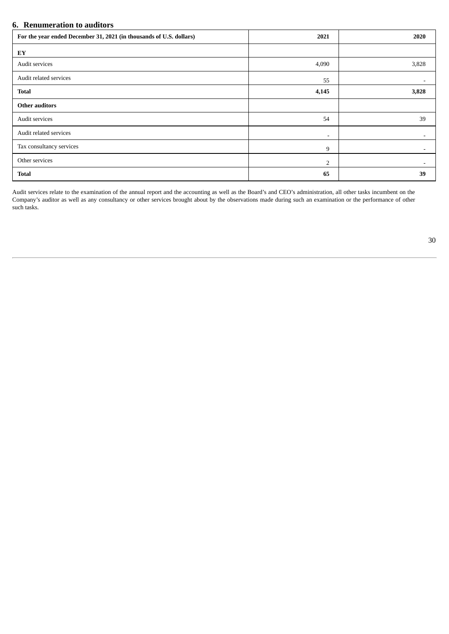## **6. Renumeration to auditors**

| For the year ended December 31, 2021 (in thousands of U.S. dollars) | 2021  | 2020                     |
|---------------------------------------------------------------------|-------|--------------------------|
| EY                                                                  |       |                          |
| Audit services                                                      | 4,090 | 3,828                    |
| Audit related services                                              | 55    |                          |
| <b>Total</b>                                                        | 4,145 | 3,828                    |
| <b>Other auditors</b>                                               |       |                          |
| Audit services                                                      | 54    | 39                       |
| Audit related services                                              | ۰.    |                          |
| Tax consultancy services                                            | 9     | $\overline{\phantom{0}}$ |
| Other services                                                      | 2     |                          |
| <b>Total</b>                                                        | 65    | 39                       |

Audit services relate to the examination of the annual report and the accounting as well as the Board's and CEO's administration, all other tasks incumbent on the Company's auditor as well as any consultancy or other services brought about by the observations made during such an examination or the performance of other such tasks.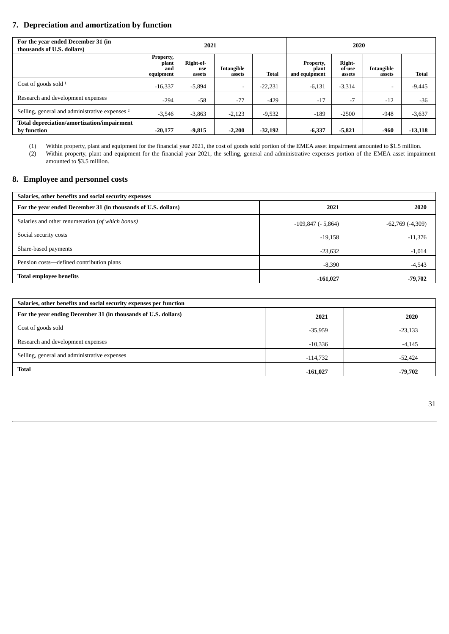## **7. Depreciation and amortization by function**

| For the year ended December 31 (in<br>thousands of U.S. dollars) | 2021                                          |                            |                      |              | 2020                                |                            |                      |           |
|------------------------------------------------------------------|-----------------------------------------------|----------------------------|----------------------|--------------|-------------------------------------|----------------------------|----------------------|-----------|
|                                                                  | <b>Property,</b><br>plant<br>and<br>equipment | Right-of-<br>use<br>assets | Intangible<br>assets | <b>Total</b> | Property,<br>plant<br>and equipment | Right-<br>of-use<br>assets | Intangible<br>assets | Total     |
| Cost of goods sold $1$                                           | $-16,337$                                     | $-5,894$                   |                      | $-22,231$    | $-6,131$                            | $-3,314$                   | ۰                    | $-9,445$  |
| Research and development expenses                                | $-294$                                        | $-58$                      | $-77$                | $-429$       | $-17$                               | $-7$                       | $-12$                | $-36$     |
| Selling, general and administrative expenses <sup>2</sup>        | $-3,546$                                      | $-3,863$                   | $-2.123$             | $-9,532$     | $-189$                              | $-2500$                    | $-948$               | $-3,637$  |
| Total depreciation/amortization/impairment<br>by function        | $-20,177$                                     | $-9,815$                   | $-2,200$             | $-32,192$    | $-6,337$                            | $-5,821$                   | -960                 | $-13,118$ |

(1) Within property, plant and equipment for the financial year 2021, the cost of goods sold portion of the EMEA asset impairment amounted to \$1.5 million.

(2) Within property, plant and equipment for the financial year 2021, the selling, general and administrative expenses portion of the EMEA asset impairment amounted to \$3.5 million.

## **8. Employee and personnel costs**

| Salaries, other benefits and social security expenses         |                         |                      |  |  |  |
|---------------------------------------------------------------|-------------------------|----------------------|--|--|--|
| For the year ended December 31 (in thousands of U.S. dollars) | 2021                    | 2020                 |  |  |  |
| Salaries and other renumeration (of which bonus)              | $-109,847$ ( $-5,864$ ) | $-62,769$ $(-4,309)$ |  |  |  |
| Social security costs                                         | $-19,158$               | $-11,376$            |  |  |  |
| Share-based payments                                          | $-23,632$               | $-1,014$             |  |  |  |
| Pension costs—defined contribution plans                      | $-8,390$                | $-4,543$             |  |  |  |
| <b>Total employee benefits</b>                                | $-161,027$              | -79,702              |  |  |  |

| Salaries, other benefits and social security expenses per function |            |           |  |  |  |
|--------------------------------------------------------------------|------------|-----------|--|--|--|
| For the year ending December 31 (in thousands of U.S. dollars)     | 2021       | 2020      |  |  |  |
| Cost of goods sold                                                 | $-35,959$  | $-23,133$ |  |  |  |
| Research and development expenses                                  | $-10,336$  | $-4,145$  |  |  |  |
| Selling, general and administrative expenses                       | $-114,732$ | $-52,424$ |  |  |  |
| <b>Total</b>                                                       | $-161,027$ | -79,702   |  |  |  |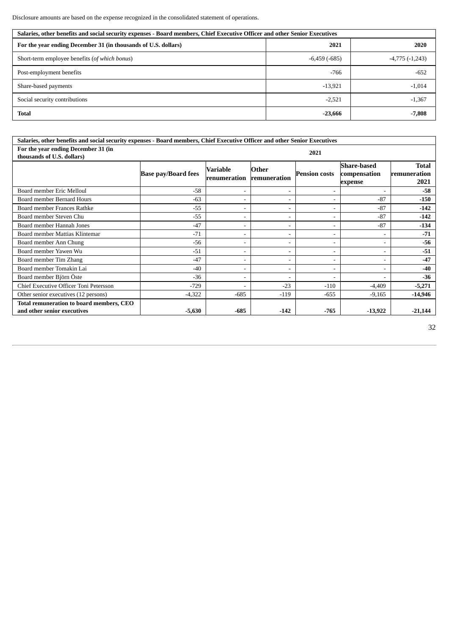Disclosure amounts are based on the expense recognized in the consolidated statement of operations.

| Salaries, other benefits and social security expenses - Board members, Chief Executive Officer and other Senior Executives |                     |                     |  |  |  |
|----------------------------------------------------------------------------------------------------------------------------|---------------------|---------------------|--|--|--|
| For the year ending December 31 (in thousands of U.S. dollars)                                                             | 2021                | 2020                |  |  |  |
| Short-term employee benefits (of which bonus)                                                                              | $-6,459$ ( $-685$ ) | $-4,775$ $(-1,243)$ |  |  |  |
| Post-employment benefits                                                                                                   | $-766$              | $-652$              |  |  |  |
| Share-based payments                                                                                                       | $-13,921$           | $-1,014$            |  |  |  |
| Social security contributions                                                                                              | $-2.521$            | $-1,367$            |  |  |  |
| <b>Total</b>                                                                                                               | $-23,666$           | $-7,808$            |  |  |  |

| Salaries, other benefits and social security expenses - Board members, Chief Executive Officer and other Senior Executives |                            |                          |                              |                          |                                               |                                      |  |
|----------------------------------------------------------------------------------------------------------------------------|----------------------------|--------------------------|------------------------------|--------------------------|-----------------------------------------------|--------------------------------------|--|
| For the year ending December 31 (in<br>2021<br>thousands of U.S. dollars)                                                  |                            |                          |                              |                          |                                               |                                      |  |
|                                                                                                                            | <b>Base pay/Board fees</b> | Variable<br>renumeration | Other<br>remuneration        | <b>Pension costs</b>     | <b>Share-based</b><br>compensation<br>expense | <b>Total</b><br>remuneration<br>2021 |  |
| Board member Eric Melloul                                                                                                  | $-58$                      | $\overline{\phantom{a}}$ | ۰                            |                          | ۰                                             | $-58$                                |  |
| Board member Bernard Hours                                                                                                 | $-63$                      |                          | ۰                            |                          | $-87$                                         | $-150$                               |  |
| Board member Frances Rathke                                                                                                | $-55$                      |                          | ۰                            |                          | $-87$                                         | $-142$                               |  |
| Board member Steven Chu                                                                                                    | $-55$                      | $\overline{\phantom{a}}$ | ۰                            | ۰                        | $-87$                                         | $-142$                               |  |
| Board member Hannah Jones                                                                                                  | $-47$                      | $\overline{\phantom{a}}$ | ۰                            | $\overline{\phantom{a}}$ | $-87$                                         | $-134$                               |  |
| Board member Mattias Klintemar                                                                                             | $-71$                      | $\overline{\phantom{a}}$ | ۰                            | $\overline{\phantom{a}}$ |                                               | $-71$                                |  |
| Board member Ann Chung                                                                                                     | $-56$                      | $\overline{\phantom{a}}$ | ۰                            |                          | ۰                                             | $-56$                                |  |
| Board member Yawen Wu                                                                                                      | $-51$                      |                          | ۰                            |                          | -                                             | $-51$                                |  |
| Board member Tim Zhang                                                                                                     | $-47$                      |                          | ۰                            |                          |                                               | $-47$                                |  |
| Board member Tomakin Lai                                                                                                   | $-40$                      | $\overline{\phantom{a}}$ | $\qquad \qquad \blacksquare$ | $\overline{\phantom{a}}$ | ۰.                                            | $-40$                                |  |
| Board member Björn Öste                                                                                                    | $-36$                      |                          | ۰                            |                          |                                               | $-36$                                |  |
| Chief Executive Officer Toni Petersson                                                                                     | $-729$                     |                          | $-23$                        | $-110$                   | $-4,409$                                      | $-5,271$                             |  |
| Other senior executives (12 persons)                                                                                       | $-4,322$                   | $-685$                   | $-119$                       | $-655$                   | $-9,165$                                      | $-14,946$                            |  |
| Total remuneration to board members, CEO<br>and other senior executives                                                    | $-5,630$                   | $-685$                   | $-142$                       | $-765$                   | $-13,922$                                     | $-21,144$                            |  |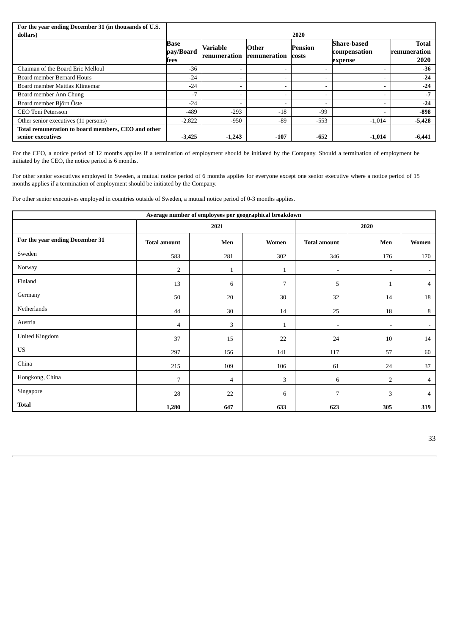| For the year ending December 31 (in thousands of U.S.                   |                                  |                                 |                              |                         |                                               |                               |
|-------------------------------------------------------------------------|----------------------------------|---------------------------------|------------------------------|-------------------------|-----------------------------------------------|-------------------------------|
| dollars)                                                                |                                  |                                 |                              | 2020                    |                                               |                               |
|                                                                         | <b>Base</b><br>pay/Board<br>fees | <b>Variable</b><br>renumeration | <b>Other</b><br>remuneration | Pension<br><b>costs</b> | <b>Share-based</b><br>compensation<br>expense | Total<br>remuneration<br>2020 |
| Chaiman of the Board Eric Melloul                                       | $-36$                            | ۰                               | $\overline{\phantom{a}}$     |                         |                                               | $-36$                         |
| Board member Bernard Hours                                              | $-24$                            | -                               | $\overline{\phantom{a}}$     |                         |                                               | $-24$                         |
| Board member Mattias Klintemar                                          | $-24$                            | ۰                               | $\overline{\phantom{a}}$     |                         | $\overline{\phantom{a}}$                      | $-24$                         |
| Board member Ann Chung                                                  | $-7$                             | ۰                               | $\overline{\phantom{a}}$     |                         |                                               | $-7$                          |
| Board member Björn Öste                                                 | $-24$                            | ۰                               | $\overline{\phantom{a}}$     |                         | -                                             | $-24$                         |
| CEO Toni Petersson                                                      | $-489$                           | $-293$                          | $-18$                        | $-99$                   | -                                             | $-898$                        |
| Other senior executives (11 persons)                                    | $-2,822$                         | $-950$                          | $-89$                        | $-553$                  | $-1,014$                                      | $-5,428$                      |
| Total remuneration to board members, CEO and other<br>senior executives | $-3,425$                         | $-1,243$                        | $-107$                       | $-652$                  | $-1,014$                                      | $-6,441$                      |

For the CEO, a notice period of 12 months applies if a termination of employment should be initiated by the Company. Should a termination of employment be initiated by the CEO, the notice period is 6 months.

For other senior executives employed in Sweden, a mutual notice period of 6 months applies for everyone except one senior executive where a notice period of 15 months applies if a termination of employment should be initiated by the Company.

For other senior executives employed in countries outside of Sweden, a mutual notice period of 0-3 months applies.

| Average number of employees per geographical breakdown |                     |                |              |                          |                          |                |  |
|--------------------------------------------------------|---------------------|----------------|--------------|--------------------------|--------------------------|----------------|--|
|                                                        |                     | 2021           |              |                          | 2020                     |                |  |
| For the year ending December 31                        | <b>Total amount</b> | Men            | Women        | <b>Total amount</b>      | Men                      | Women          |  |
| Sweden                                                 | 583                 | 281            | 302          | 346                      | 176                      | 170            |  |
| Norway                                                 | 2                   | $\mathbf{1}$   | $\mathbf{1}$ | $\overline{\phantom{a}}$ | $\overline{\phantom{a}}$ | $\sim$         |  |
| Finland                                                | 13                  | 6              | 7            | 5                        | $\mathbf{1}$             | $\overline{4}$ |  |
| Germany                                                | 50                  | 20             | 30           | 32                       | 14                       | 18             |  |
| Netherlands                                            | 44                  | $30\,$         | 14           | 25                       | 18                       | 8              |  |
| Austria                                                | 4                   | 3              | $\mathbf{1}$ | $\blacksquare$           | $\overline{\phantom{0}}$ | $\sim$         |  |
| <b>United Kingdom</b>                                  | 37                  | 15             | 22           | 24                       | 10                       | 14             |  |
| US                                                     | 297                 | 156            | 141          | 117                      | 57                       | 60             |  |
| China                                                  | 215                 | 109            | 106          | 61                       | 24                       | 37             |  |
| Hongkong, China                                        | 7                   | $\overline{4}$ | 3            | 6                        | $\overline{2}$           | $\overline{4}$ |  |
| Singapore                                              | 28                  | 22             | 6            | 7                        | 3                        | 4              |  |
| <b>Total</b>                                           | 1,280               | 647            | 633          | 623                      | 305                      | 319            |  |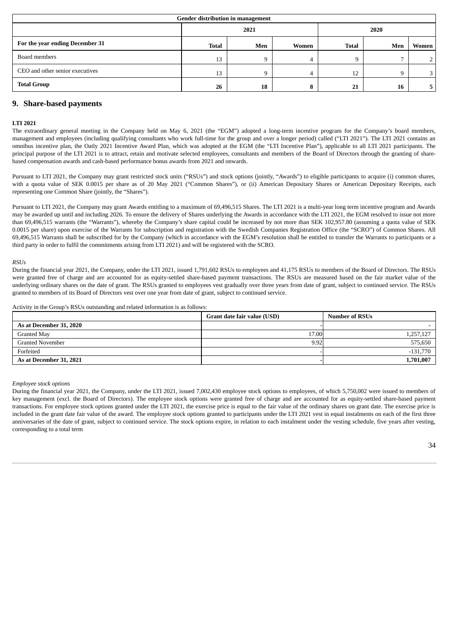| Gender distribution in management |              |     |       |              |     |       |
|-----------------------------------|--------------|-----|-------|--------------|-----|-------|
|                                   | 2020<br>2021 |     |       |              |     |       |
| For the year ending December 31   | <b>Total</b> | Men | Women | <b>Total</b> | Men | Women |
| Board members                     | 13           |     | 4     | 9            |     | n     |
| CEO and other senior executives   | 13           |     | 4     | 12           | Q   | 3     |
| <b>Total Group</b>                | 26           | 18  | 8     | 21           | 16  |       |

### **9. Share-based payments**

#### **LTI 2021**

The extraordinary general meeting in the Company held on May 6, 2021 (the "EGM") adopted a long-term incentive program for the Company's board members, management and employees (including qualifying consultants who work full-time for the group and over a longer period) called ("LTI 2021"). The LTI 2021 contains an omnibus incentive plan, the Oatly 2021 Incentive Award Plan, which was adopted at the EGM (the "LTI Incentive Plan"), applicable to all LTI 2021 participants. The principal purpose of the LTI 2021 is to attract, retain and motivate selected employees, consultants and members of the Board of Directors through the granting of sharebased compensation awards and cash-based performance bonus awards from 2021 and onwards.

Pursuant to LTI 2021, the Company may grant restricted stock units ("RSUs") and stock options (jointly, "Awards") to eligible participants to acquire (i) common shares, with a quota value of SEK 0.0015 per share as of 20 May 2021 ("Common Shares"), or (ii) American Depositary Shares or American Depositary Receipts, each representing one Common Share (jointly, the "Shares").

Pursuant to LTI 2021, the Company may grant Awards entitling to a maximum of 69,496,515 Shares. The LTI 2021 is a multi-year long term incentive program and Awards may be awarded up until and including 2026. To ensure the delivery of Shares underlying the Awards in accordance with the LTI 2021, the EGM resolved to issue not more than 69,496,515 warrants (the "Warrants"), whereby the Company's share capital could be increased by not more than SEK 102,957.80 (assuming a quota value of SEK 0.0015 per share) upon exercise of the Warrants for subscription and registration with the Swedish Companies Registration Office (the "SCRO") of Common Shares. All 69,496,515 Warrants shall be subscribed for by the Company (which in accordance with the EGM's resolution shall be entitled to transfer the Warrants to participants or a third party in order to fulfil the commitments arising from LTI 2021) and will be registered with the SCRO.

#### *RSUs*

During the financial year 2021, the Company, under the LTI 2021, issued 1,791,602 RSUs to employees and 41,175 RSUs to members of the Board of Directors. The RSUs were granted free of charge and are accounted for as equity-settled share-based payment transactions. The RSUs are measured based on the fair market value of the underlying ordinary shares on the date of grant. The RSUs granted to employees vest gradually over three years from date of grant, subject to continued service. The RSUs granted to members of its Board of Directors vest over one year from date of grant, subject to continued service.

Activity in the Group's RSUs outstanding and related information is as follows:

|                         | Grant date fair value (USD) | <b>Number of RSUs</b> |
|-------------------------|-----------------------------|-----------------------|
| As at December 31, 2020 |                             |                       |
| Granted May             | 17.00                       | 1,257,127             |
| <b>Granted November</b> | 9.92                        | 575,650               |
| Forfeited               |                             | $-131,770$            |
| As at December 31, 2021 |                             | 1,701,007             |

*Employee stock options*

During the financial year 2021, the Company, under the LTI 2021, issued 7,002,430 employee stock options to employees, of which 5,750,002 were issued to members of key management (excl. the Board of Directors). The employee stock options were granted free of charge and are accounted for as equity-settled share-based payment transactions. For employee stock options granted under the LTI 2021, the exercise price is equal to the fair value of the ordinary shares on grant date. The exercise price is included in the grant date fair value of the award. The employee stock options granted to participants under the LTI 2021 vest in equal instalments on each of the first three anniversaries of the date of grant, subject to continued service. The stock options expire, in relation to each instalment under the vesting schedule, five years after vesting, corresponding to a total term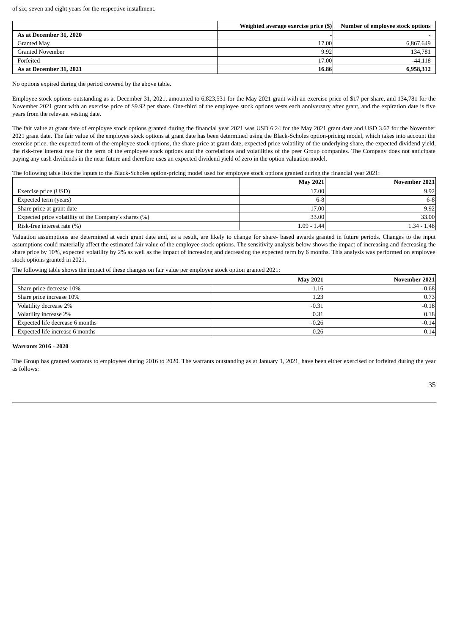of six, seven and eight years for the respective installment.

|                         | Weighted average exercise price (\$) | Number of employee stock options |
|-------------------------|--------------------------------------|----------------------------------|
| As at December 31, 2020 |                                      |                                  |
| Granted May             | 17.00                                | 6,867,649                        |
| <b>Granted November</b> | 9.92                                 | 134,781                          |
| Forfeited               | 17.00                                | $-44,118$                        |
| As at December 31, 2021 | 16.86                                | 6,958,312                        |

No options expired during the period covered by the above table.

Employee stock options outstanding as at December 31, 2021, amounted to 6,823,531 for the May 2021 grant with an exercise price of \$17 per share, and 134,781 for the November 2021 grant with an exercise price of \$9.92 per share. One-third of the employee stock options vests each anniversary after grant, and the expiration date is five years from the relevant vesting date.

The fair value at grant date of employee stock options granted during the financial year 2021 was USD 6.24 for the May 2021 grant date and USD 3.67 for the November 2021 grant date. The fair value of the employee stock options at grant date has been determined using the Black-Scholes option-pricing model, which takes into account the exercise price, the expected term of the employee stock options, the share price at grant date, expected price volatility of the underlying share, the expected dividend yield, the risk-free interest rate for the term of the employee stock options and the correlations and volatilities of the peer Group companies. The Company does not anticipate paying any cash dividends in the near future and therefore uses an expected dividend yield of zero in the option valuation model.

The following table lists the inputs to the Black-Scholes option-pricing model used for employee stock options granted during the financial year 2021:

|                                                       | <b>May 2021</b> | November 2021 |
|-------------------------------------------------------|-----------------|---------------|
| Exercise price (USD)                                  | 17.00           | 9.92          |
| Expected term (years)                                 | $6-8$           | $6-8$         |
| Share price at grant date                             | 17.00           | 9.92          |
| Expected price volatility of the Company's shares (%) | 33.00           | 33.00         |
| Risk-free interest rate (%)                           | 1.09 - 1.44     | $1.34 - 1.48$ |

Valuation assumptions are determined at each grant date and, as a result, are likely to change for share- based awards granted in future periods. Changes to the input assumptions could materially affect the estimated fair value of the employee stock options. The sensitivity analysis below shows the impact of increasing and decreasing the share price by 10%, expected volatility by 2% as well as the impact of increasing and decreasing the expected term by 6 months. This analysis was performed on employee stock options granted in 2021.

The following table shows the impact of these changes on fair value per employee stock option granted 2021:

|                                 | <b>May 2021</b> | November 2021 |
|---------------------------------|-----------------|---------------|
| Share price decrease 10%        | $-1.16$         | $-0.68$       |
| Share price increase 10%        | 1.23.           | 0.73          |
| Volatility decrease 2%          | $-0.31$         | $-0.18$       |
| Volatility increase 2%          | 0.31            | 0.18          |
| Expected life decrease 6 months | $-0.26$         | $-0.14$       |
| Expected life increase 6 months | 0.26            | 0.14          |

#### **Warrants 2016 - 2020**

The Group has granted warrants to employees during 2016 to 2020. The warrants outstanding as at January 1, 2021, have been either exercised or forfeited during the year as follows: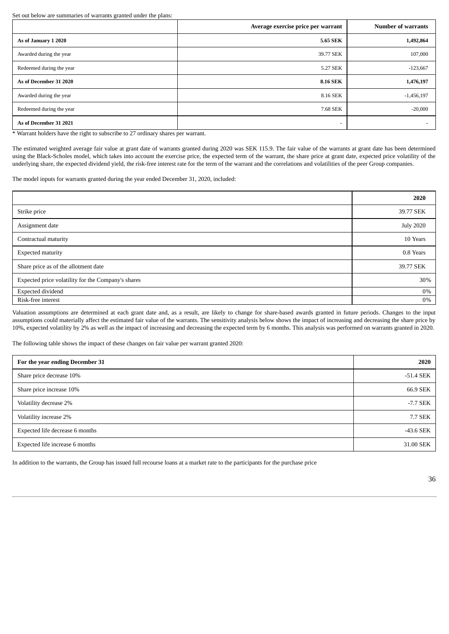Set out below are summaries of warrants granted under the plans:

|                                                                 | Average exercise price per warrant | <b>Number of warrants</b> |
|-----------------------------------------------------------------|------------------------------------|---------------------------|
| As of January 1 2020                                            | 5.65 SEK                           | 1,492,864                 |
| Awarded during the year                                         | 39.77 SEK                          | 107,000                   |
| Redeemed during the year                                        | 5.27 SEK                           | $-123,667$                |
| As of December 31 2020                                          | <b>8.16 SEK</b>                    | 1,476,197                 |
| Awarded during the year                                         | 8.16 SEK                           | $-1,456,197$              |
| Redeemed during the year                                        | 7.68 SEK                           | $-20,000$                 |
| As of December 31 2021<br>그 그는 그 그는 그는 그는 그는 그는 그만 그만 그만 그만 없다. | $\overline{\phantom{a}}$           |                           |

\* Warrant holders have the right to subscribe to 27 ordinary shares per warrant.

The estimated weighted average fair value at grant date of warrants granted during 2020 was SEK 115.9. The fair value of the warrants at grant date has been determined using the Black-Scholes model, which takes into account the exercise price, the expected term of the warrant, the share price at grant date, expected price volatility of the underlying share, the expected dividend yield, the risk-free interest rate for the term of the warrant and the correlations and volatilities of the peer Group companies.

The model inputs for warrants granted during the year ended December 31, 2020, included:

|                                                    | 2020             |
|----------------------------------------------------|------------------|
| Strike price                                       | 39.77 SEK        |
| Assignment date                                    | <b>July 2020</b> |
| Contractual maturity                               | 10 Years         |
| <b>Expected maturity</b>                           | 0.8 Years        |
| Share price as of the allotment date               | 39.77 SEK        |
| Expected price volatility for the Company's shares | 30%              |
| <b>Expected dividend</b>                           | 0%               |
| Risk-free interest                                 | 0%               |

Valuation assumptions are determined at each grant date and, as a result, are likely to change for share-based awards granted in future periods. Changes to the input assumptions could materially affect the estimated fair value of the warrants. The sensitivity analysis below shows the impact of increasing and decreasing the share price by 10%, expected volatility by 2% as well as the impact of increasing and decreasing the expected term by 6 months. This analysis was performed on warrants granted in 2020.

The following table shows the impact of these changes on fair value per warrant granted 2020:

| For the year ending December 31 | 2020        |
|---------------------------------|-------------|
| Share price decrease 10%        | $-51.4$ SEK |
| Share price increase 10%        | 66.9 SEK    |
| Volatility decrease 2%          | -7.7 SEK    |
| Volatility increase 2%          | 7.7 SEK     |
| Expected life decrease 6 months | $-43.6$ SEK |
| Expected life increase 6 months | 31.00 SEK   |

In addition to the warrants, the Group has issued full recourse loans at a market rate to the participants for the purchase price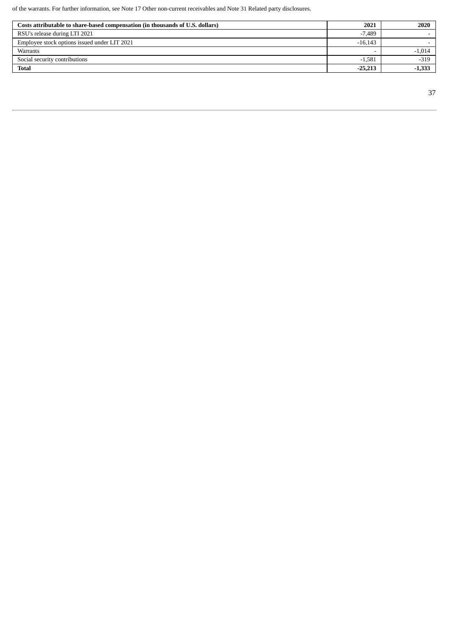of the warrants. For further information, see Note 17 Other non-current receivables and Note 31 Related party disclosures.

| Costs attributable to share-based compensation (in thousands of U.S. dollars) | 2021      | 2020     |
|-------------------------------------------------------------------------------|-----------|----------|
| RSU's release during LTI 2021                                                 | $-7.489$  |          |
| Employee stock options issued under LIT 2021                                  | $-16.143$ |          |
| Warrants                                                                      |           | $-1,014$ |
| Social security contributions                                                 | $-1.581$  | $-319$   |
| <b>Total</b>                                                                  | $-25,213$ | $-1,333$ |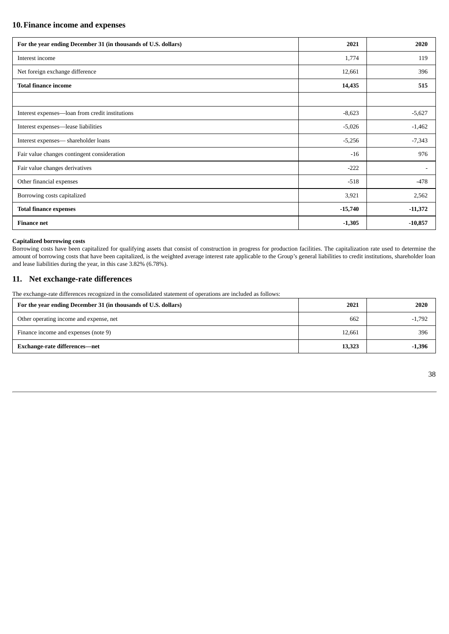## **10.Finance income and expenses**

| For the year ending December 31 (in thousands of U.S. dollars) | 2021      | 2020      |
|----------------------------------------------------------------|-----------|-----------|
| Interest income                                                | 1,774     | 119       |
| Net foreign exchange difference                                | 12,661    | 396       |
| <b>Total finance income</b>                                    | 14,435    | 515       |
|                                                                |           |           |
| Interest expenses-loan from credit institutions                | $-8,623$  | $-5,627$  |
| Interest expenses-lease liabilities                            | $-5,026$  | $-1,462$  |
| Interest expenses— shareholder loans                           | $-5,256$  | $-7,343$  |
| Fair value changes contingent consideration                    | $-16$     | 976       |
| Fair value changes derivatives                                 | $-222$    |           |
| Other financial expenses                                       | $-518$    | $-478$    |
| Borrowing costs capitalized                                    | 3,921     | 2,562     |
| <b>Total finance expenses</b>                                  | $-15,740$ | $-11,372$ |
| <b>Finance net</b>                                             | $-1,305$  | $-10,857$ |

#### **Capitalized borrowing costs**

Borrowing costs have been capitalized for qualifying assets that consist of construction in progress for production facilities. The capitalization rate used to determine the amount of borrowing costs that have been capitalized, is the weighted average interest rate applicable to the Group's general liabilities to credit institutions, shareholder loan and lease liabilities during the year, in this case 3.82% (6.78%).

### **11. Net exchange-rate differences**

The exchange-rate differences recognized in the consolidated statement of operations are included as follows:

| For the year ending December 31 (in thousands of U.S. dollars) | 2021   | 2020     |
|----------------------------------------------------------------|--------|----------|
| Other operating income and expense, net                        | 662    | $-1,792$ |
| Finance income and expenses (note 9)                           | 12,661 | 396      |
| Exchange-rate differences-net                                  | 13,323 | $-1,396$ |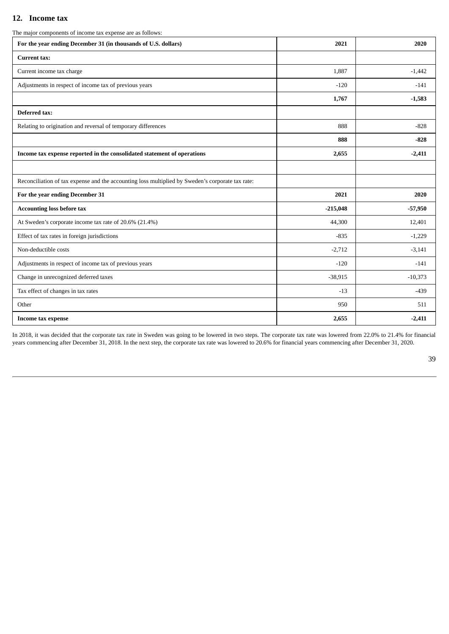# **12. Income tax**

|  | The major components of income tax expense are as follows: |  |  |  |
|--|------------------------------------------------------------|--|--|--|
|  |                                                            |  |  |  |

| - 17<br>For the year ending December 31 (in thousands of U.S. dollars)                           | 2021       | 2020      |
|--------------------------------------------------------------------------------------------------|------------|-----------|
| Current tax:                                                                                     |            |           |
| Current income tax charge                                                                        | 1,887      | $-1,442$  |
| Adjustments in respect of income tax of previous years                                           | $-120$     | $-141$    |
|                                                                                                  | 1,767      | $-1,583$  |
| <b>Deferred tax:</b>                                                                             |            |           |
| Relating to origination and reversal of temporary differences                                    | 888        | $-828$    |
|                                                                                                  | 888        | $-828$    |
| Income tax expense reported in the consolidated statement of operations                          | 2,655      | $-2,411$  |
|                                                                                                  |            |           |
| Reconciliation of tax expense and the accounting loss multiplied by Sweden's corporate tax rate: |            |           |
| For the year ending December 31                                                                  | 2021       | 2020      |
| <b>Accounting loss before tax</b>                                                                | $-215,048$ | $-57,950$ |
| At Sweden's corporate income tax rate of 20.6% (21.4%)                                           | 44,300     | 12,401    |
| Effect of tax rates in foreign jurisdictions                                                     | $-835$     | $-1,229$  |
| Non-deductible costs                                                                             | $-2,712$   | $-3,141$  |
| Adjustments in respect of income tax of previous years                                           | $-120$     | $-141$    |
| Change in unrecognized deferred taxes                                                            | $-38,915$  | $-10,373$ |
| Tax effect of changes in tax rates                                                               | $-13$      | $-439$    |
| Other                                                                                            | 950        | 511       |
| Income tax expense                                                                               | 2,655      | $-2,411$  |

In 2018, it was decided that the corporate tax rate in Sweden was going to be lowered in two steps. The corporate tax rate was lowered from 22.0% to 21.4% for financial years commencing after December 31, 2018. In the next step, the corporate tax rate was lowered to 20.6% for financial years commencing after December 31, 2020.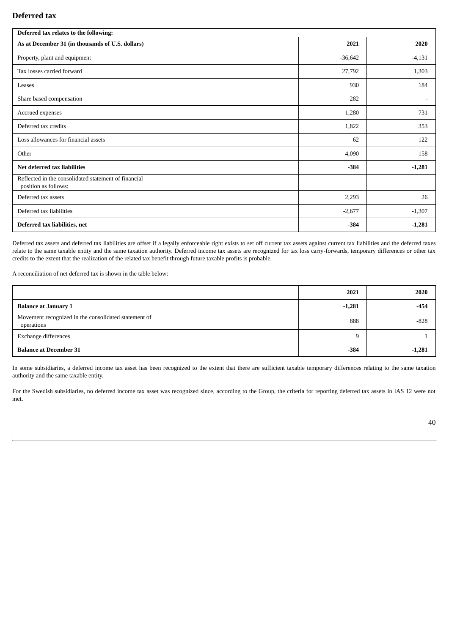## **Deferred tax**

| Deferred tax relates to the following:                                       |           |                |  |  |
|------------------------------------------------------------------------------|-----------|----------------|--|--|
| As at December 31 (in thousands of U.S. dollars)                             | 2021      | 2020           |  |  |
| Property, plant and equipment                                                | $-36,642$ | $-4,131$       |  |  |
| Tax losses carried forward                                                   | 27,792    | 1,303          |  |  |
| Leases                                                                       | 930       | 184            |  |  |
| Share based compensation                                                     | 282       | $\blacksquare$ |  |  |
| Accrued expenses                                                             | 1,280     | 731            |  |  |
| Deferred tax credits                                                         | 1,822     | 353            |  |  |
| Loss allowances for financial assets                                         | 62        | 122            |  |  |
| Other                                                                        | 4,090     | 158            |  |  |
| Net deferred tax liabilities                                                 | $-384$    | $-1,281$       |  |  |
| Reflected in the consolidated statement of financial<br>position as follows: |           |                |  |  |
| Deferred tax assets                                                          | 2,293     | 26             |  |  |
| Deferred tax liabilities                                                     | $-2,677$  | $-1,307$       |  |  |
| Deferred tax liabilities, net                                                | $-384$    | $-1,281$       |  |  |

Deferred tax assets and deferred tax liabilities are offset if a legally enforceable right exists to set off current tax assets against current tax liabilities and the deferred taxes relate to the same taxable entity and the same taxation authority. Deferred income tax assets are recognized for tax loss carry-forwards, temporary differences or other tax credits to the extent that the realization of the related tax benefit through future taxable profits is probable.

A reconciliation of net deferred tax is shown in the table below:

|                                                                    | 2021     | 2020     |
|--------------------------------------------------------------------|----------|----------|
| <b>Balance at January 1</b>                                        | $-1,281$ | $-454$   |
| Movement recognized in the consolidated statement of<br>operations | 888      | $-828$   |
| Exchange differences                                               | 9        |          |
| <b>Balance at December 31</b>                                      | $-384$   | $-1,281$ |

In some subsidiaries, a deferred income tax asset has been recognized to the extent that there are sufficient taxable temporary differences relating to the same taxation authority and the same taxable entity.

For the Swedish subsidiaries, no deferred income tax asset was recognized since, according to the Group, the criteria for reporting deferred tax assets in IAS 12 were not met.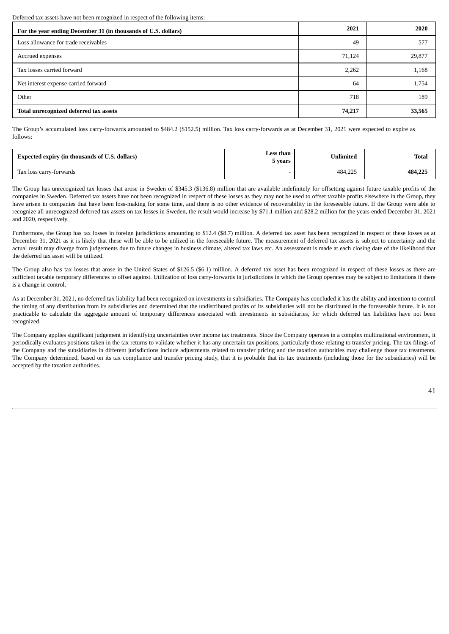Deferred tax assets have not been recognized in respect of the following items:

| For the year ending December 31 (in thousands of U.S. dollars) | 2021   | 2020   |
|----------------------------------------------------------------|--------|--------|
| Loss allowance for trade receivables                           | 49     | 577    |
| Accrued expenses                                               | 71,124 | 29,877 |
| Tax losses carried forward                                     | 2,262  | 1,168  |
| Net interest expense carried forward                           | 64     | 1,754  |
| Other                                                          | 718    | 189    |
| Total unrecognized deferred tax assets                         | 74,217 | 33,565 |

The Group's accumulated loss carry-forwards amounted to \$484.2 (\$152.5) million. Tax loss carry-forwards as at December 31, 2021 were expected to expire as follows:

| Expected expiry (in thousands of U.S. dollars) | Less than<br>5 vears | Unlimited | Total   |
|------------------------------------------------|----------------------|-----------|---------|
| Tax loss carry-forwards                        |                      | 484,225   | 484,225 |

The Group has unrecognized tax losses that arose in Sweden of \$345.3 (\$136.8) million that are available indefinitely for offsetting against future taxable profits of the companies in Sweden. Deferred tax assets have not been recognized in respect of these losses as they may not be used to offset taxable profits elsewhere in the Group, they have arisen in companies that have been loss-making for some time, and there is no other evidence of recoverability in the foreseeable future. If the Group were able to recognize all unrecognized deferred tax assets on tax losses in Sweden, the result would increase by \$71.1 million and \$28.2 million for the years ended December 31, 2021 and 2020, respectively.

Furthermore, the Group has tax losses in foreign jurisdictions amounting to \$12.4 (\$8.7) million. A deferred tax asset has been recognized in respect of these losses as at December 31, 2021 as it is likely that these will be able to be utilized in the foreseeable future. The measurement of deferred tax assets is subject to uncertainty and the actual result may diverge from judgements due to future changes in business climate, altered tax laws etc. An assessment is made at each closing date of the likelihood that the deferred tax asset will be utilized.

The Group also has tax losses that arose in the United States of \$126.5 (\$6.1) million. A deferred tax asset has been recognized in respect of these losses as there are sufficient taxable temporary differences to offset against. Utilization of loss carry-forwards in jurisdictions in which the Group operates may be subject to limitations if there is a change in control.

As at December 31, 2021, no deferred tax liability had been recognized on investments in subsidiaries. The Company has concluded it has the ability and intention to control the timing of any distribution from its subsidiaries and determined that the undistributed profits of its subsidiaries will not be distributed in the foreseeable future. It is not practicable to calculate the aggregate amount of temporary differences associated with investments in subsidiaries, for which deferred tax liabilities have not been recognized.

The Company applies significant judgement in identifying uncertainties over income tax treatments. Since the Company operates in a complex multinational environment, it periodically evaluates positions taken in the tax returns to validate whether it has any uncertain tax positions, particularly those relating to transfer pricing. The tax filings of the Company and the subsidiaries in different jurisdictions include adjustments related to transfer pricing and the taxation authorities may challenge those tax treatments. The Company determined, based on its tax compliance and transfer pricing study, that it is probable that its tax treatments (including those for the subsidiaries) will be accepted by the taxation authorities.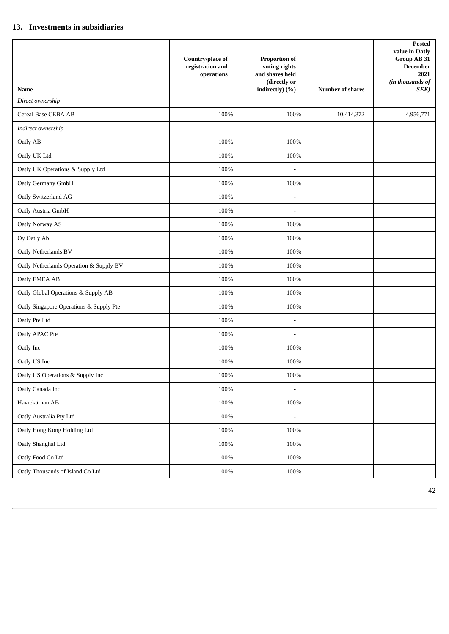## **13. Investments in subsidiaries**

|                                                                                                                                                                                                                                                                                 | Country/place of<br>registration and<br>operations                                                    | <b>Proportion of</b><br>voting rights<br>and shares held<br>(directly or<br>indirectly) (%)                      | Number of shares | <b>Posted</b><br>value in Oatly<br>Group AB 31<br><b>December</b><br>2021<br>(in thousands of<br>SEK) |
|---------------------------------------------------------------------------------------------------------------------------------------------------------------------------------------------------------------------------------------------------------------------------------|-------------------------------------------------------------------------------------------------------|------------------------------------------------------------------------------------------------------------------|------------------|-------------------------------------------------------------------------------------------------------|
| <b>Name</b><br>Direct ownership                                                                                                                                                                                                                                                 |                                                                                                       |                                                                                                                  |                  |                                                                                                       |
| Cereal Base CEBA AB                                                                                                                                                                                                                                                             | 100%                                                                                                  | 100%                                                                                                             | 10,414,372       | 4,956,771                                                                                             |
| Indirect ownership                                                                                                                                                                                                                                                              |                                                                                                       |                                                                                                                  |                  |                                                                                                       |
| Oatly AB                                                                                                                                                                                                                                                                        | 100%                                                                                                  | 100%                                                                                                             |                  |                                                                                                       |
| Oatly UK Ltd                                                                                                                                                                                                                                                                    | 100%                                                                                                  | 100%                                                                                                             |                  |                                                                                                       |
| Oatly UK Operations & Supply Ltd                                                                                                                                                                                                                                                | 100%                                                                                                  | $\blacksquare$                                                                                                   |                  |                                                                                                       |
| Oatly Germany GmbH                                                                                                                                                                                                                                                              | 100%                                                                                                  | 100%                                                                                                             |                  |                                                                                                       |
| Oatly Switzerland AG                                                                                                                                                                                                                                                            | 100%                                                                                                  | $\overline{\phantom{m}}$                                                                                         |                  |                                                                                                       |
| Oatly Austria GmbH                                                                                                                                                                                                                                                              | 100%                                                                                                  | $\overline{\phantom{a}}$                                                                                         |                  |                                                                                                       |
| Oatly Norway AS                                                                                                                                                                                                                                                                 | 100%                                                                                                  | 100%                                                                                                             |                  |                                                                                                       |
| Oy Oatly Ab                                                                                                                                                                                                                                                                     | 100%                                                                                                  | 100%                                                                                                             |                  |                                                                                                       |
| Oatly Netherlands BV                                                                                                                                                                                                                                                            | 100%                                                                                                  | 100%                                                                                                             |                  |                                                                                                       |
| Oatly Netherlands Operation & Supply BV                                                                                                                                                                                                                                         | 100%                                                                                                  | 100%                                                                                                             |                  |                                                                                                       |
| Oatly EMEA AB                                                                                                                                                                                                                                                                   | 100%                                                                                                  | 100%                                                                                                             |                  |                                                                                                       |
| Oatly Global Operations & Supply AB                                                                                                                                                                                                                                             | 100%                                                                                                  | 100%                                                                                                             |                  |                                                                                                       |
| Oatly Singapore Operations & Supply Pte                                                                                                                                                                                                                                         | 100%                                                                                                  | 100%                                                                                                             |                  |                                                                                                       |
|                                                                                                                                                                                                                                                                                 |                                                                                                       | $\overline{\phantom{a}}$                                                                                         |                  |                                                                                                       |
|                                                                                                                                                                                                                                                                                 |                                                                                                       | $\blacksquare$                                                                                                   |                  |                                                                                                       |
|                                                                                                                                                                                                                                                                                 |                                                                                                       |                                                                                                                  |                  |                                                                                                       |
|                                                                                                                                                                                                                                                                                 |                                                                                                       |                                                                                                                  |                  |                                                                                                       |
|                                                                                                                                                                                                                                                                                 |                                                                                                       |                                                                                                                  |                  |                                                                                                       |
|                                                                                                                                                                                                                                                                                 |                                                                                                       |                                                                                                                  |                  |                                                                                                       |
|                                                                                                                                                                                                                                                                                 |                                                                                                       |                                                                                                                  |                  |                                                                                                       |
|                                                                                                                                                                                                                                                                                 |                                                                                                       |                                                                                                                  |                  |                                                                                                       |
|                                                                                                                                                                                                                                                                                 |                                                                                                       |                                                                                                                  |                  |                                                                                                       |
|                                                                                                                                                                                                                                                                                 |                                                                                                       |                                                                                                                  |                  |                                                                                                       |
|                                                                                                                                                                                                                                                                                 |                                                                                                       |                                                                                                                  |                  |                                                                                                       |
|                                                                                                                                                                                                                                                                                 |                                                                                                       |                                                                                                                  |                  |                                                                                                       |
| Oatly Pte Ltd<br>Oatly APAC Pte<br>Oatly Inc<br>Oatly US Inc<br>Oatly US Operations & Supply Inc<br>Oatly Canada Inc<br>Havrekärnan AB<br>Oatly Australia Pty Ltd<br>Oatly Hong Kong Holding Ltd<br>Oatly Shanghai Ltd<br>Oatly Food Co Ltd<br>Oatly Thousands of Island Co Ltd | 100%<br>100%<br>100%<br>100%<br>$100\%$<br>100%<br>100%<br>100%<br>100%<br>$100\%$<br>100%<br>$100\%$ | 100%<br>100%<br>$100\%$<br>$\overline{\phantom{a}}$<br>100%<br>$\blacksquare$<br>100%<br>100%<br>100%<br>$100\%$ |                  |                                                                                                       |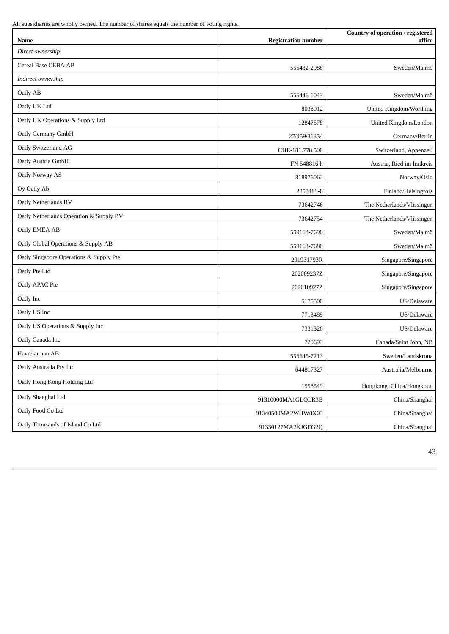All subsidiaries are wholly owned. The number of shares equals the number of voting rights.

| Name                                    | <b>Registration number</b> | Country of operation / registered<br>office |
|-----------------------------------------|----------------------------|---------------------------------------------|
| Direct ownership                        |                            |                                             |
| Cereal Base CEBA AB                     | 556482-2988                | Sweden/Malmö                                |
| Indirect ownership                      |                            |                                             |
| Oatly AB                                | 556446-1043                | Sweden/Malmö                                |
| Oatly UK Ltd                            | 8038012                    | United Kingdom/Worthing                     |
| Oatly UK Operations & Supply Ltd        | 12847578                   | United Kingdom/London                       |
| Oatly Germany GmbH                      | 27/459/31354               | Germany/Berlin                              |
| Oatly Switzerland AG                    | CHE-181.778.500            | Switzerland, Appenzell                      |
| Oatly Austria GmbH                      | FN 548816 h                | Austria, Ried im Innkreis                   |
| Oatly Norway AS                         | 818976062                  | Norway/Oslo                                 |
| Oy Oatly Ab                             | 2858489-6                  | Finland/Helsingfors                         |
| Oatly Netherlands BV                    | 73642746                   | The Netherlands/Vlissingen                  |
| Oatly Netherlands Operation & Supply BV | 73642754                   | The Netherlands/Vlissingen                  |
| Oatly EMEA AB                           | 559163-7698                | Sweden/Malmö                                |
| Oatly Global Operations & Supply AB     | 559163-7680                | Sweden/Malmö                                |
| Oatly Singapore Operations & Supply Pte | 201931793R                 | Singapore/Singapore                         |
| Oatly Pte Ltd                           | 202009237Z                 | Singapore/Singapore                         |
| Oatly APAC Pte                          | 202010927Z                 | Singapore/Singapore                         |
| Oatly Inc                               | 5175500                    | US/Delaware                                 |
| Oatly US Inc                            | 7713489                    | US/Delaware                                 |
| Oatly US Operations & Supply Inc        | 7331326                    | US/Delaware                                 |
| Oatly Canada Inc                        | 720693                     | Canada/Saint John, NB                       |
| Havrekärnan AB                          | 556645-7213                | Sweden/Landskrona                           |
| Oatly Australia Pty Ltd                 | 644817327                  | Australia/Melbourne                         |
| Oatly Hong Kong Holding Ltd             | 1558549                    | Hongkong, China/Hongkong                    |
| Oatly Shanghai Ltd                      | 91310000MA1GLQLR3B         | China/Shanghai                              |
| Oatly Food Co Ltd                       | 91340500MA2WHW8X03         | China/Shanghai                              |
| Oatly Thousands of Island Co Ltd        | 91330127MA2KJGFG2Q         | China/Shanghai                              |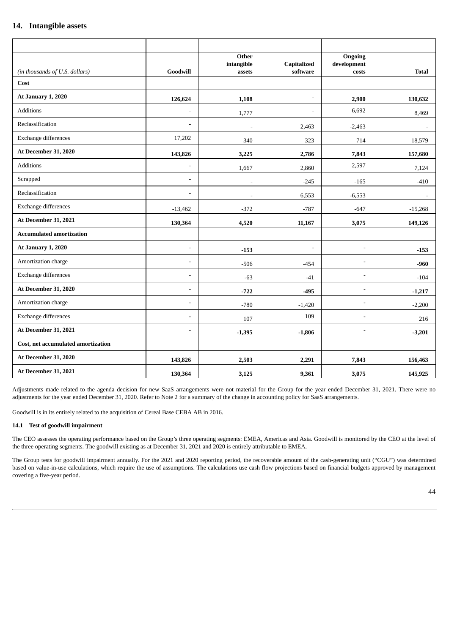## **14. Intangible assets**

|                                    |                          | Other<br>intangible      | Capitalized              | Ongoing<br>development |              |
|------------------------------------|--------------------------|--------------------------|--------------------------|------------------------|--------------|
| (in thousands of U.S. dollars)     | Goodwill                 | assets                   | software                 | costs                  | <b>Total</b> |
| Cost                               |                          |                          |                          |                        |              |
| <b>At January 1, 2020</b>          | 126,624                  | 1,108                    | $\overline{\phantom{a}}$ | 2,900                  | 130,632      |
| Additions                          |                          | 1,777                    | $\overline{\phantom{a}}$ | 6,692                  | 8,469        |
| Reclassification                   | L,                       | $\blacksquare$           | 2,463                    | $-2,463$               | $\sim$       |
| Exchange differences               | 17,202                   | 340                      | 323                      | 714                    | 18,579       |
| At December 31, 2020               | 143,826                  | 3,225                    | 2,786                    | 7,843                  | 157,680      |
| Additions                          | $\overline{\phantom{a}}$ | 1,667                    | 2,860                    | 2,597                  | 7,124        |
| Scrapped                           | ÷                        | $\overline{\phantom{a}}$ | $-245$                   | $-165$                 | $-410$       |
| Reclassification                   | $\sim$                   | $\blacksquare$           | 6,553                    | $-6,553$               | $\sim$       |
| Exchange differences               | $-13,462$                | $-372$                   | $-787$                   | $-647$                 | $-15,268$    |
| At December 31, 2021               | 130,364                  | 4,520                    | 11,167                   | 3,075                  | 149,126      |
| <b>Accumulated amortization</b>    |                          |                          |                          |                        |              |
| At January 1, 2020                 | ÷,                       | $-153$                   | $\blacksquare$           | $\overline{a}$         | $-153$       |
| Amortization charge                | ÷                        | $-506$                   | $-454$                   | $\overline{a}$         | $-960$       |
| Exchange differences               | ÷,                       | $-63$                    | $-41$                    | $\overline{a}$         | $-104$       |
| At December 31, 2020               |                          | $-722$                   | $-495$                   | ä,                     | $-1,217$     |
| Amortization charge                | $\overline{\phantom{a}}$ | $-780$                   | $-1,420$                 | $\overline{a}$         | $-2,200$     |
| Exchange differences               | ÷.                       | 107                      | 109                      | ä,                     | 216          |
| At December 31, 2021               | ÷                        | $-1,395$                 | $-1,806$                 | $\blacksquare$         | $-3,201$     |
| Cost, net accumulated amortization |                          |                          |                          |                        |              |
| At December 31, 2020               | 143,826                  | 2,503                    | 2,291                    | 7,843                  | 156,463      |
| At December 31, 2021               | 130,364                  | 3,125                    | 9,361                    | 3,075                  | 145,925      |

Adjustments made related to the agenda decision for new SaaS arrangements were not material for the Group for the year ended December 31, 2021. There were no adjustments for the year ended December 31, 2020. Refer to Note 2 for a summary of the change in accounting policy for SaaS arrangements.

Goodwill is in its entirely related to the acquisition of Cereal Base CEBA AB in 2016.

### **14.1 Test of goodwill impairment**

The CEO assesses the operating performance based on the Group's three operating segments: EMEA, Americas and Asia. Goodwill is monitored by the CEO at the level of the three operating segments. The goodwill existing as at December 31, 2021 and 2020 is entirely attributable to EMEA.

The Group tests for goodwill impairment annually. For the 2021 and 2020 reporting period, the recoverable amount of the cash-generating unit ("CGU") was determined based on value-in-use calculations, which require the use of assumptions. The calculations use cash flow projections based on financial budgets approved by management covering a five-year period.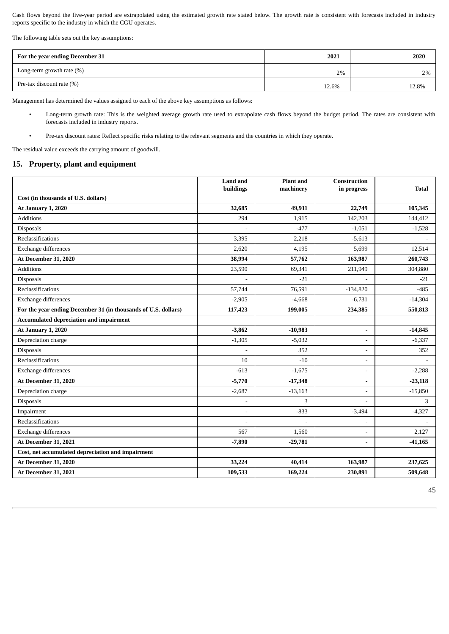Cash flows beyond the five-year period are extrapolated using the estimated growth rate stated below. The growth rate is consistent with forecasts included in industry reports specific to the industry in which the CGU operates.

The following table sets out the key assumptions:

| For the year ending December 31 | 2021  | 2020  |
|---------------------------------|-------|-------|
| Long-term growth rate $(\%)$    | 2%    | 2%    |
| Pre-tax discount rate (%)       | 12.6% | 12.8% |

Management has determined the values assigned to each of the above key assumptions as follows:

- Long-term growth rate: This is the weighted average growth rate used to extrapolate cash flows beyond the budget period. The rates are consistent with forecasts included in industry reports.
- Pre-tax discount rates: Reflect specific risks relating to the relevant segments and the countries in which they operate.

The residual value exceeds the carrying amount of goodwill.

### **15. Property, plant and equipment**

|                                                                | <b>Land and</b><br>buildings | <b>Plant</b> and<br>machinery | Construction<br>in progress | <b>Total</b> |
|----------------------------------------------------------------|------------------------------|-------------------------------|-----------------------------|--------------|
| Cost (in thousands of U.S. dollars)                            |                              |                               |                             |              |
| At January 1, 2020                                             | 32,685                       | 49,911                        | 22,749                      | 105,345      |
| <b>Additions</b>                                               | 294                          | 1,915                         | 142,203                     | 144,412      |
| <b>Disposals</b>                                               | ٠                            | $-477$                        | $-1,051$                    | $-1,528$     |
| Reclassifications                                              | 3,395                        | 2,218                         | $-5,613$                    |              |
| Exchange differences                                           | 2,620                        | 4,195                         | 5,699                       | 12,514       |
| At December 31, 2020                                           | 38,994                       | 57,762                        | 163,987                     | 260,743      |
| <b>Additions</b>                                               | 23,590                       | 69,341                        | 211,949                     | 304,880      |
| <b>Disposals</b>                                               |                              | $-21$                         |                             | $-21$        |
| Reclassifications                                              | 57,744                       | 76,591                        | $-134,820$                  | $-485$       |
| Exchange differences                                           | $-2,905$                     | $-4,668$                      | $-6,731$                    | $-14,304$    |
| For the year ending December 31 (in thousands of U.S. dollars) | 117,423                      | 199,005                       | 234,385                     | 550,813      |
| Accumulated depreciation and impairment                        |                              |                               |                             |              |
| <b>At January 1, 2020</b>                                      | $-3,862$                     | $-10,983$                     | $\blacksquare$              | $-14,845$    |
| Depreciation charge                                            | $-1,305$                     | $-5,032$                      | $\overline{\phantom{a}}$    | $-6,337$     |
| Disposals                                                      |                              | 352                           | $\overline{\phantom{a}}$    | 352          |
| Reclassifications                                              | 10                           | $-10$                         | $\overline{\phantom{a}}$    |              |
| Exchange differences                                           | $-613$                       | $-1,675$                      | $\blacksquare$              | $-2,288$     |
| At December 31, 2020                                           | $-5,770$                     | $-17,348$                     | $\blacksquare$              | $-23,118$    |
| Depreciation charge                                            | $-2,687$                     | $-13,163$                     | $\overline{\phantom{a}}$    | $-15,850$    |
| <b>Disposals</b>                                               | ÷                            | 3                             | $\sim$                      | 3            |
| Impairment                                                     | $\overline{\phantom{0}}$     | $-833$                        | $-3,494$                    | $-4,327$     |
| Reclassifications                                              | $\overline{\phantom{0}}$     |                               | $\overline{\phantom{a}}$    |              |
| Exchange differences                                           | 567                          | 1,560                         |                             | 2,127        |
| At December 31, 2021                                           | $-7,890$                     | $-29,781$                     | $\overline{\phantom{a}}$    | $-41,165$    |
| Cost, net accumulated depreciation and impairment              |                              |                               |                             |              |
| At December 31, 2020                                           | 33,224                       | 40,414                        | 163,987                     | 237,625      |
| At December 31, 2021                                           | 109,533                      | 169,224                       | 230,891                     | 509,648      |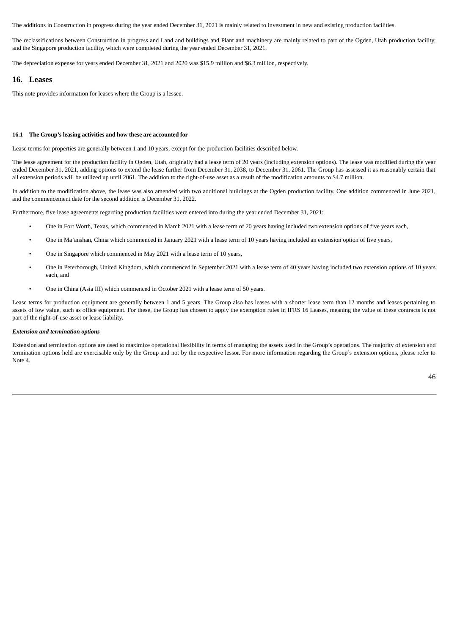The additions in Construction in progress during the year ended December 31, 2021 is mainly related to investment in new and existing production facilities.

The reclassifications between Construction in progress and Land and buildings and Plant and machinery are mainly related to part of the Ogden, Utah production facility, and the Singapore production facility, which were completed during the year ended December 31, 2021.

The depreciation expense for years ended December 31, 2021 and 2020 was \$15.9 million and \$6.3 million, respectively.

#### **16. Leases**

This note provides information for leases where the Group is a lessee.

#### **16.1 The Group's leasing activities and how these are accounted for**

Lease terms for properties are generally between 1 and 10 years, except for the production facilities described below.

The lease agreement for the production facility in Ogden, Utah, originally had a lease term of 20 years (including extension options). The lease was modified during the year ended December 31, 2021, adding options to extend the lease further from December 31, 2038, to December 31, 2061. The Group has assessed it as reasonably certain that all extension periods will be utilized up until 2061. The addition to the right-of-use asset as a result of the modification amounts to \$4.7 million.

In addition to the modification above, the lease was also amended with two additional buildings at the Ogden production facility. One addition commenced in June 2021, and the commencement date for the second addition is December 31, 2022.

Furthermore, five lease agreements regarding production facilities were entered into during the year ended December 31, 2021:

- One in Fort Worth, Texas, which commenced in March 2021 with a lease term of 20 years having included two extension options of five years each,
- One in Ma'anshan, China which commenced in January 2021 with a lease term of 10 years having included an extension option of five years,
- One in Singapore which commenced in May 2021 with a lease term of 10 years,
- One in Peterborough, United Kingdom, which commenced in September 2021 with a lease term of 40 years having included two extension options of 10 years each, and
- One in China (Asia III) which commenced in October 2021 with a lease term of 50 years.

Lease terms for production equipment are generally between 1 and 5 years. The Group also has leases with a shorter lease term than 12 months and leases pertaining to assets of low value, such as office equipment. For these, the Group has chosen to apply the exemption rules in IFRS 16 Leases, meaning the value of these contracts is not part of the right-of-use asset or lease liability.

#### *Extension and termination options*

Extension and termination options are used to maximize operational flexibility in terms of managing the assets used in the Group's operations. The majority of extension and termination options held are exercisable only by the Group and not by the respective lessor. For more information regarding the Group's extension options, please refer to Note 4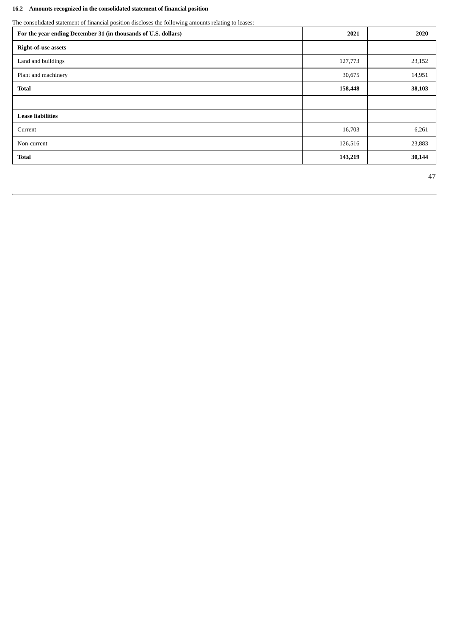## **16.2 Amounts recognized in the consolidated statement of financial position**

The consolidated statement of financial position discloses the following amounts relating to leases:

| For the year ending December 31 (in thousands of U.S. dollars) | 2021    | 2020   |
|----------------------------------------------------------------|---------|--------|
| <b>Right-of-use assets</b>                                     |         |        |
| Land and buildings                                             | 127,773 | 23,152 |
| Plant and machinery                                            | 30,675  | 14,951 |
| <b>Total</b>                                                   | 158,448 | 38,103 |
|                                                                |         |        |
| <b>Lease liabilities</b>                                       |         |        |
| Current                                                        | 16,703  | 6,261  |
| Non-current                                                    | 126,516 | 23,883 |
| <b>Total</b>                                                   | 143,219 | 30,144 |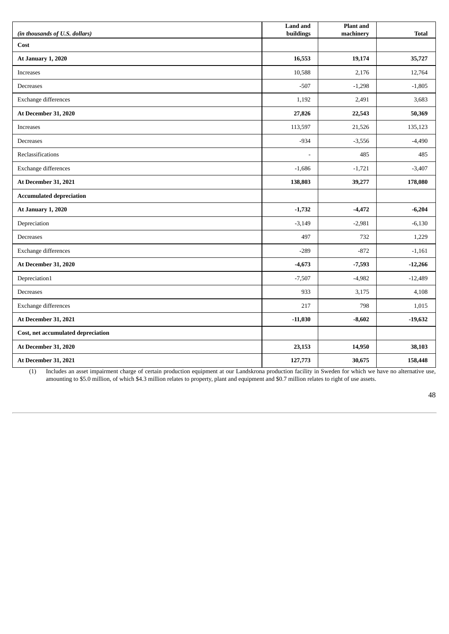| (in thousands of U.S. dollars)     | <b>Land and</b><br>buildings | <b>Plant</b> and<br>machinery | <b>Total</b> |
|------------------------------------|------------------------------|-------------------------------|--------------|
| Cost                               |                              |                               |              |
| <b>At January 1, 2020</b>          | 16,553                       | 19,174                        | 35,727       |
| <b>Increases</b>                   | 10,588                       | 2,176                         | 12,764       |
| Decreases                          | $-507$                       | $-1,298$                      | $-1,805$     |
| <b>Exchange differences</b>        | 1,192                        | 2,491                         | 3,683        |
| At December 31, 2020               | 27,826                       | 22,543                        | 50,369       |
| <b>Increases</b>                   | 113,597                      | 21,526                        | 135,123      |
| Decreases                          | $-934$                       | $-3,556$                      | $-4,490$     |
| Reclassifications                  | $\sim$                       | 485                           | 485          |
| Exchange differences               | $-1,686$                     | $-1,721$                      | $-3,407$     |
| At December 31, 2021               | 138,803                      | 39,277                        | 178,080      |
| <b>Accumulated depreciation</b>    |                              |                               |              |
| At January 1, 2020                 | $-1,732$                     | $-4,472$                      | $-6,204$     |
| Depreciation                       | $-3,149$                     | $-2,981$                      | $-6,130$     |
| Decreases                          | 497                          | 732                           | 1,229        |
| Exchange differences               | $-289$                       | $-872$                        | $-1,161$     |
| At December 31, 2020               | $-4,673$                     | $-7,593$                      | $-12,266$    |
| Depreciation1                      | $-7,507$                     | $-4,982$                      | $-12,489$    |
| Decreases                          | 933                          | 3,175                         | 4,108        |
| Exchange differences               | 217                          | 798                           | 1,015        |
| At December 31, 2021               | $-11,030$                    | $-8,602$                      | $-19,632$    |
| Cost, net accumulated depreciation |                              |                               |              |
| At December 31, 2020               | 23,153                       | 14,950                        | 38,103       |
| At December 31, 2021               | 127,773                      | 30,675                        | 158,448      |

(1) Includes an asset impairment charge of certain production equipment at our Landskrona production facility in Sweden for which we have no alternative use, amounting to \$5.0 million, of which \$4.3 million relates to property, plant and equipment and \$0.7 million relates to right of use assets.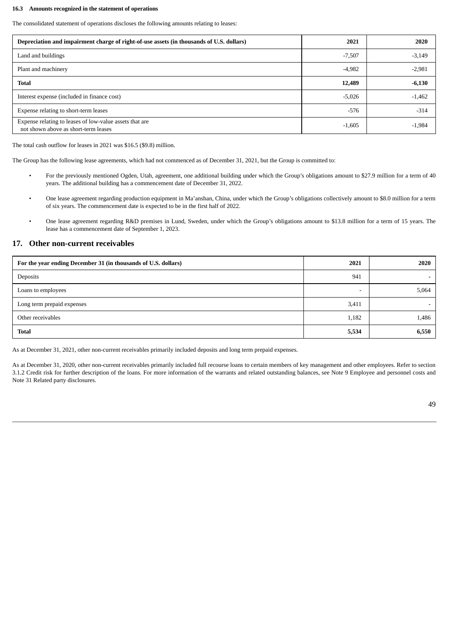#### **16.3 Amounts recognized in the statement of operations**

The consolidated statement of operations discloses the following amounts relating to leases:

| Depreciation and impairment charge of right-of-use assets (in thousands of U.S. dollars)        | 2021     | 2020     |
|-------------------------------------------------------------------------------------------------|----------|----------|
| Land and buildings                                                                              | $-7,507$ | $-3,149$ |
| Plant and machinery                                                                             | $-4,982$ | $-2,981$ |
| <b>Total</b>                                                                                    | 12,489   | $-6,130$ |
| Interest expense (included in finance cost)                                                     | $-5,026$ | $-1,462$ |
| Expense relating to short-term leases                                                           | $-576$   | $-314$   |
| Expense relating to leases of low-value assets that are<br>not shown above as short-term leases | $-1,605$ | $-1,984$ |

The total cash outflow for leases in 2021 was \$16.5 (\$9.8) million.

The Group has the following lease agreements, which had not commenced as of December 31, 2021, but the Group is committed to:

- For the previously mentioned Ogden, Utah, agreement, one additional building under which the Group's obligations amount to \$27.9 million for a term of 40 years. The additional building has a commencement date of December 31, 2022.
- One lease agreement regarding production equipment in Ma'anshan, China, under which the Group's obligations collectively amount to \$8.0 million for a term of six years. The commencement date is expected to be in the first half of 2022.
- One lease agreement regarding R&D premises in Lund, Sweden, under which the Group's obligations amount to \$13.8 million for a term of 15 years. The lease has a commencement date of September 1, 2023.

### **17. Other non-current receivables**

| For the year ending December 31 (in thousands of U.S. dollars) | 2021  | 2020  |
|----------------------------------------------------------------|-------|-------|
| Deposits                                                       | 941   |       |
| Loans to employees                                             |       | 5,064 |
| Long term prepaid expenses                                     | 3,411 |       |
| Other receivables                                              | 1,182 | 1,486 |
| <b>Total</b>                                                   | 5,534 | 6,550 |

As at December 31, 2021, other non-current receivables primarily included deposits and long term prepaid expenses.

As at December 31, 2020, other non-current receivables primarily included full recourse loans to certain members of key management and other employees. Refer to section 3.1.2 Credit risk for further description of the loans. For more information of the warrants and related outstanding balances, see Note 9 Employee and personnel costs and Note 31 Related party disclosures.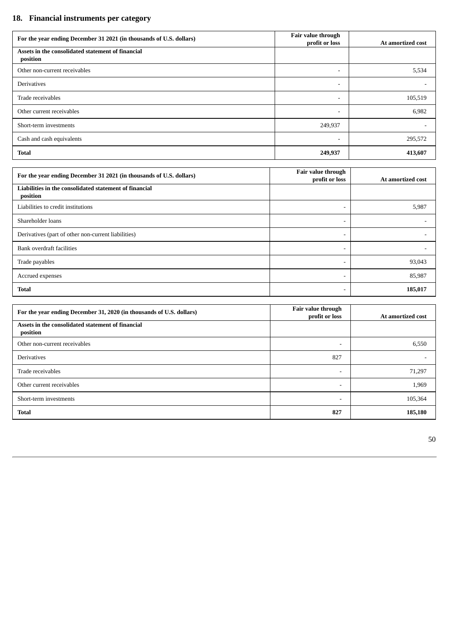# **18. Financial instruments per category**

| For the year ending December 31 2021 (in thousands of U.S. dollars) | Fair value through<br>profit or loss | At amortized cost |
|---------------------------------------------------------------------|--------------------------------------|-------------------|
| Assets in the consolidated statement of financial<br>position       |                                      |                   |
| Other non-current receivables                                       | $\overline{\phantom{a}}$             | 5,534             |
| Derivatives                                                         | $\overline{\phantom{a}}$             |                   |
| Trade receivables                                                   | $\overline{\phantom{a}}$             | 105,519           |
| Other current receivables                                           | $\overline{\phantom{a}}$             | 6,982             |
| Short-term investments                                              | 249,937                              |                   |
| Cash and cash equivalents                                           | $\overline{\phantom{a}}$             | 295,572           |
| <b>Total</b>                                                        | 249,937                              | 413,607           |

| For the year ending December 31 2021 (in thousands of U.S. dollars) | Fair value through<br>profit or loss | At amortized cost |
|---------------------------------------------------------------------|--------------------------------------|-------------------|
| Liabilities in the consolidated statement of financial<br>position  |                                      |                   |
| Liabilities to credit institutions                                  | $\overline{\phantom{a}}$             | 5,987             |
| Shareholder loans                                                   | $\overline{\phantom{a}}$             |                   |
| Derivatives (part of other non-current liabilities)                 | $\overline{\phantom{a}}$             |                   |
| Bank overdraft facilities                                           | $\overline{\phantom{a}}$             |                   |
| Trade payables                                                      | $\overline{\phantom{a}}$             | 93,043            |
| Accrued expenses                                                    | $\overline{\phantom{a}}$             | 85,987            |
| <b>Total</b>                                                        | $\overline{\phantom{a}}$             | 185,017           |

| For the year ending December 31, 2020 (in thousands of U.S. dollars) | Fair value through<br>profit or loss | At amortized cost |
|----------------------------------------------------------------------|--------------------------------------|-------------------|
| Assets in the consolidated statement of financial<br>position        |                                      |                   |
| Other non-current receivables                                        | $\overline{\phantom{0}}$             | 6,550             |
| <b>Derivatives</b>                                                   | 827                                  |                   |
| Trade receivables                                                    | $\overline{\phantom{0}}$             | 71,297            |
| Other current receivables                                            | $\overline{\phantom{a}}$             | 1,969             |
| Short-term investments                                               | $\overline{\phantom{0}}$             | 105,364           |
| <b>Total</b>                                                         | 827                                  | 185,180           |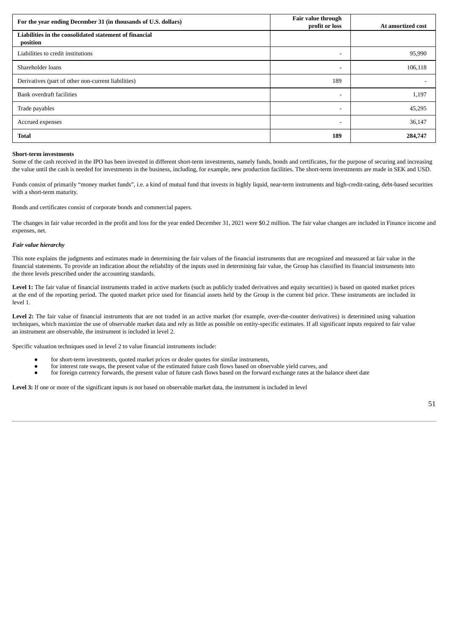| For the year ending December 31 (in thousands of U.S. dollars)     | Fair value through<br>profit or loss | At amortized cost |
|--------------------------------------------------------------------|--------------------------------------|-------------------|
| Liabilities in the consolidated statement of financial<br>position |                                      |                   |
| Liabilities to credit institutions                                 |                                      | 95,990            |
| Shareholder loans                                                  |                                      | 106,118           |
| Derivatives (part of other non-current liabilities)                | 189                                  |                   |
| Bank overdraft facilities                                          |                                      | 1,197             |
| Trade payables                                                     |                                      | 45,295            |
| Accrued expenses                                                   |                                      | 36,147            |
| <b>Total</b>                                                       | 189                                  | 284,747           |

#### **Short-term investments**

Some of the cash received in the IPO has been invested in different short-term investments, namely funds, bonds and certificates, for the purpose of securing and increasing the value until the cash is needed for investments in the business, including, for example, new production facilities. The short-term investments are made in SEK and USD.

Funds consist of primarily "money market funds", i.e. a kind of mutual fund that invests in highly liquid, near-term instruments and high-credit-rating, debt-based securities with a short-term maturity.

Bonds and certificates consist of corporate bonds and commercial papers.

The changes in fair value recorded in the profit and loss for the year ended December 31, 2021 were \$0.2 million. The fair value changes are included in Finance income and expenses, net.

#### *Fair value hierarchy*

This note explains the judgments and estimates made in determining the fair values of the financial instruments that are recognized and measured at fair value in the financial statements. To provide an indication about the reliability of the inputs used in determining fair value, the Group has classified its financial instruments into the three levels prescribed under the accounting standards.

Level 1: The fair value of financial instruments traded in active markets (such as publicly traded derivatives and equity securities) is based on quoted market prices at the end of the reporting period. The quoted market price used for financial assets held by the Group is the current bid price. These instruments are included in level 1.

Level 2: The fair value of financial instruments that are not traded in an active market (for example, over-the-counter derivatives) is determined using valuation techniques, which maximize the use of observable market data and rely as little as possible on entity-specific estimates. If all significant inputs required to fair value an instrument are observable, the instrument is included in level 2.

Specific valuation techniques used in level 2 to value financial instruments include:

- for short-term investments, quoted market prices or dealer quotes for similar instruments,
- for interest rate swaps, the present value of the estimated future cash flows based on observable yield curves, and
- for foreign currency forwards, the present value of future cash flows based on the forward exchange rates at the balance sheet date

**Level 3:** If one or more of the significant inputs is not based on observable market data, the instrument is included in level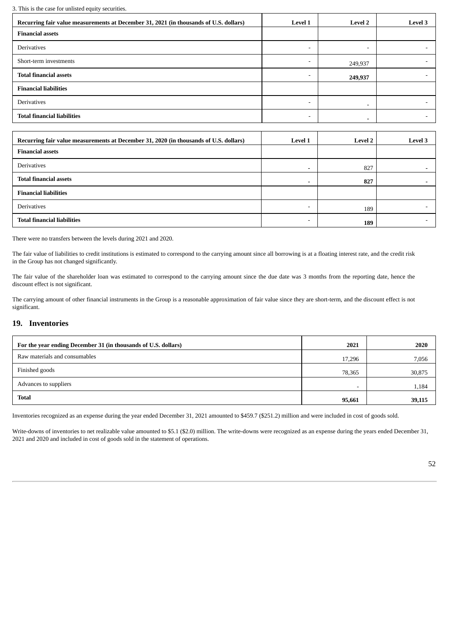3. This is the case for unlisted equity securities.

| 5. This is the case for unifsted equity securities.                                   |                          |                          |                          |
|---------------------------------------------------------------------------------------|--------------------------|--------------------------|--------------------------|
| Recurring fair value measurements at December 31, 2021 (in thousands of U.S. dollars) | Level 1                  | Level 2                  | <b>Level 3</b>           |
| <b>Financial assets</b>                                                               |                          |                          |                          |
| <b>Derivatives</b>                                                                    | $\overline{\phantom{a}}$ | $\overline{\phantom{a}}$ |                          |
| Short-term investments                                                                | $\overline{\phantom{a}}$ | 249,937                  | ۰                        |
| <b>Total financial assets</b>                                                         | $\overline{\phantom{a}}$ | 249,937                  |                          |
| <b>Financial liabilities</b>                                                          |                          |                          |                          |
| <b>Derivatives</b>                                                                    | $\overline{\phantom{a}}$ | $\overline{\phantom{0}}$ | ۰                        |
| <b>Total financial liabilities</b>                                                    | $\overline{\phantom{a}}$ | $\overline{\phantom{a}}$ | -                        |
|                                                                                       |                          |                          |                          |
| Recurring fair value measurements at December 31, 2020 (in thousands of U.S. dollars) | <b>Level 1</b>           | <b>Level 2</b>           | <b>Level 3</b>           |
| <b>Financial assets</b>                                                               |                          |                          |                          |
| Derivatives                                                                           | $\overline{\phantom{a}}$ | 827                      | $\overline{\phantom{0}}$ |
| <b>Total financial assets</b>                                                         | $\overline{\phantom{a}}$ | 827                      | $\overline{\phantom{0}}$ |
| <b>Financial liabilities</b>                                                          |                          |                          |                          |
| <b>Derivatives</b>                                                                    | ۰                        | 189                      |                          |

There were no transfers between the levels during 2021 and 2020.

The fair value of liabilities to credit institutions is estimated to correspond to the carrying amount since all borrowing is at a floating interest rate, and the credit risk in the Group has not changed significantly.

**Total financial liabilities** - **189** -

The fair value of the shareholder loan was estimated to correspond to the carrying amount since the due date was 3 months from the reporting date, hence the discount effect is not significant.

The carrying amount of other financial instruments in the Group is a reasonable approximation of fair value since they are short-term, and the discount effect is not significant.

### **19. Inventories**

| For the year ending December 31 (in thousands of U.S. dollars) | 2021   | 2020   |
|----------------------------------------------------------------|--------|--------|
| Raw materials and consumables                                  | 17,296 | 7,056  |
| Finished goods                                                 | 78,365 | 30,875 |
| Advances to suppliers                                          |        | 1,184  |
| <b>Total</b>                                                   | 95,661 | 39,115 |

Inventories recognized as an expense during the year ended December 31, 2021 amounted to \$459.7 (\$251.2) million and were included in cost of goods sold.

Write-downs of inventories to net realizable value amounted to \$5.1 (\$2.0) million. The write-downs were recognized as an expense during the years ended December 31, 2021 and 2020 and included in cost of goods sold in the statement of operations.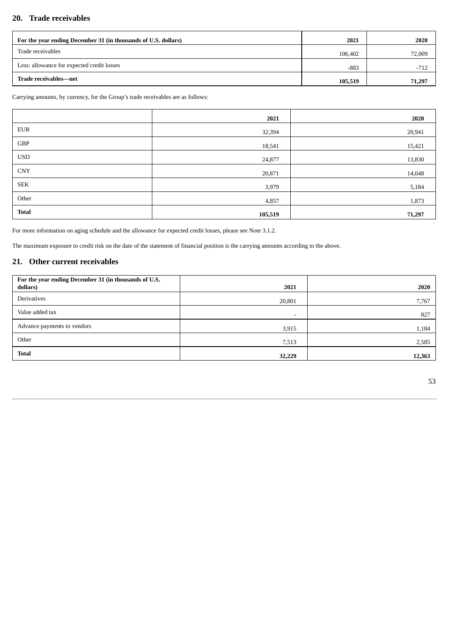## **20. Trade receivables**

| For the year ending December 31 (in thousands of U.S. dollars) | 2021    | 2020   |
|----------------------------------------------------------------|---------|--------|
| Trade receivables                                              | 106,402 | 72,009 |
| Less: allowance for expected credit losses                     | $-883$  | $-712$ |
| Trade receivables—net                                          | 105,519 | 71,297 |

Carrying amounts, by currency, for the Group's trade receivables are as follows:

|              | 2021    | 2020   |
|--------------|---------|--------|
| <b>EUR</b>   | 32,394  | 20,941 |
| GBP          | 18,541  | 15,421 |
| <b>USD</b>   | 24,877  | 13,830 |
| ${\rm CNY}$  | 20,871  | 14,048 |
| ${\rm SEK}$  | 3,979   | 5,184  |
| Other        | 4,857   | 1,873  |
| <b>Total</b> | 105,519 | 71,297 |

For more information on aging schedule and the allowance for expected credit losses, please see Note 3.1.2.

The maximum exposure to credit risk on the date of the statement of financial position is the carrying amounts according to the above.

## **21. Other current receivables**

| For the year ending December 31 (in thousands of U.S.<br>dollars) | 2021                     | 2020   |
|-------------------------------------------------------------------|--------------------------|--------|
| Derivatives                                                       | 20,801                   | 7,767  |
| Value added tax                                                   | $\overline{\phantom{0}}$ | 827    |
| Advance payments to vendors                                       | 3,915                    | 1,184  |
| Other                                                             | 7,513                    | 2,585  |
| <b>Total</b>                                                      | 32,229                   | 12,363 |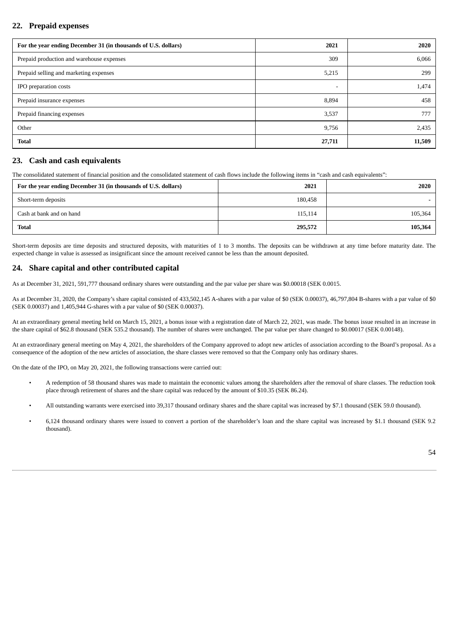## **22. Prepaid expenses**

| For the year ending December 31 (in thousands of U.S. dollars) | 2021   | 2020   |
|----------------------------------------------------------------|--------|--------|
| Prepaid production and warehouse expenses                      | 309    | 6,066  |
| Prepaid selling and marketing expenses                         | 5,215  | 299    |
| IPO preparation costs                                          | -      | 1,474  |
| Prepaid insurance expenses                                     | 8,894  | 458    |
| Prepaid financing expenses                                     | 3,537  | 777    |
| Other                                                          | 9,756  | 2,435  |
| <b>Total</b>                                                   | 27,711 | 11,509 |

### **23. Cash and cash equivalents**

The consolidated statement of financial position and the consolidated statement of cash flows include the following items in "cash and cash equivalents":

| For the year ending December 31 (in thousands of U.S. dollars) | 2021    | 2020    |
|----------------------------------------------------------------|---------|---------|
| Short-term deposits                                            | 180,458 |         |
| Cash at bank and on hand                                       | 115,114 | 105,364 |
| <b>Total</b>                                                   | 295,572 | 105,364 |

Short-term deposits are time deposits and structured deposits, with maturities of 1 to 3 months. The deposits can be withdrawn at any time before maturity date. The expected change in value is assessed as insignificant since the amount received cannot be less than the amount deposited.

### **24. Share capital and other contributed capital**

As at December 31, 2021, 591,777 thousand ordinary shares were outstanding and the par value per share was \$0.00018 (SEK 0.0015.

As at December 31, 2020, the Company's share capital consisted of 433,502,145 A-shares with a par value of \$0 (SEK 0.00037), 46,797,804 B-shares with a par value of \$0 (SEK 0.00037) and 1,405,944 G-shares with a par value of \$0 (SEK 0.00037).

At an extraordinary general meeting held on March 15, 2021, a bonus issue with a registration date of March 22, 2021, was made. The bonus issue resulted in an increase in the share capital of \$62.8 thousand (SEK 535.2 thousand). The number of shares were unchanged. The par value per share changed to \$0.00017 (SEK 0.00148).

At an extraordinary general meeting on May 4, 2021, the shareholders of the Company approved to adopt new articles of association according to the Board's proposal. As a consequence of the adoption of the new articles of association, the share classes were removed so that the Company only has ordinary shares.

On the date of the IPO, on May 20, 2021, the following transactions were carried out:

- A redemption of 58 thousand shares was made to maintain the economic values among the shareholders after the removal of share classes. The reduction took place through retirement of shares and the share capital was reduced by the amount of \$10.35 (SEK 86.24).
- All outstanding warrants were exercised into 39,317 thousand ordinary shares and the share capital was increased by \$7.1 thousand (SEK 59.0 thousand).
- 6,124 thousand ordinary shares were issued to convert a portion of the shareholder's loan and the share capital was increased by \$1.1 thousand (SEK 9.2 thousand).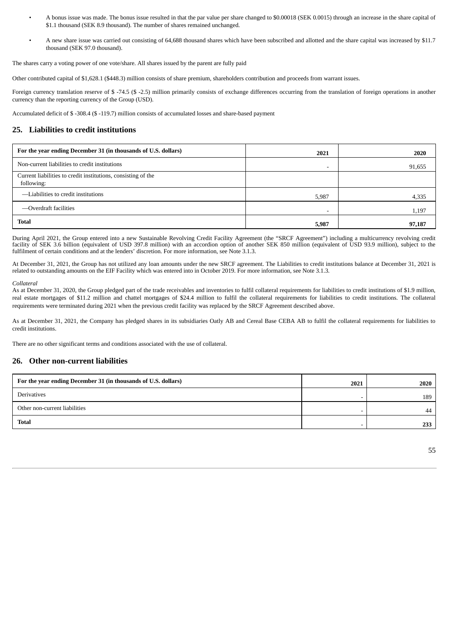- A bonus issue was made. The bonus issue resulted in that the par value per share changed to \$0.00018 (SEK 0.0015) through an increase in the share capital of \$1.1 thousand (SEK 8.9 thousand). The number of shares remained unchanged.
- A new share issue was carried out consisting of 64,688 thousand shares which have been subscribed and allotted and the share capital was increased by \$11.7 thousand (SEK 97.0 thousand).

The shares carry a voting power of one vote/share. All shares issued by the parent are fully paid

Other contributed capital of \$1,628.1 (\$448.3) million consists of share premium, shareholders contribution and proceeds from warrant issues.

Foreign currency translation reserve of \$ -74.5 (\$ -2.5) million primarily consists of exchange differences occurring from the translation of foreign operations in another currency than the reporting currency of the Group (USD).

Accumulated deficit of \$ -308.4 (\$ -119.7) million consists of accumulated losses and share-based payment

### **25. Liabilities to credit institutions**

| For the year ending December 31 (in thousands of U.S. dollars)              | 2021  | 2020   |
|-----------------------------------------------------------------------------|-------|--------|
| Non-current liabilities to credit institutions                              | -     | 91,655 |
| Current liabilities to credit institutions, consisting of the<br>following: |       |        |
| -Liabilities to credit institutions                                         | 5,987 | 4,335  |
| -Overdraft facilities                                                       | -     | 1,197  |
| <b>Total</b>                                                                | 5,987 | 97,187 |

During April 2021, the Group entered into a new Sustainable Revolving Credit Facility Agreement (the "SRCF Agreement") including a multicurrency revolving credit facility of SEK 3.6 billion (equivalent of USD 397.8 million) with an accordion option of another SEK 850 million (equivalent of USD 93.9 million), subject to the fulfilment of certain conditions and at the lenders' discretion. For more information, see Note 3.1.3.

At December 31, 2021, the Group has not utilized any loan amounts under the new SRCF agreement. The Liabilities to credit institutions balance at December 31, 2021 is related to outstanding amounts on the EIF Facility which was entered into in October 2019. For more information, see Note 3.1.3.

*Collateral*

As at December 31, 2020, the Group pledged part of the trade receivables and inventories to fulfil collateral requirements for liabilities to credit institutions of \$1.9 million, real estate mortgages of \$11.2 million and chattel mortgages of \$24.4 million to fulfil the collateral requirements for liabilities to credit institutions. The collateral requirements were terminated during 2021 when the previous credit facility was replaced by the SRCF Agreement described above.

As at December 31, 2021, the Company has pledged shares in its subsidiaries Oatly AB and Cereal Base CEBA AB to fulfil the collateral requirements for liabilities to credit institutions.

There are no other significant terms and conditions associated with the use of collateral.

### **26. Other non-current liabilities**

| For the year ending December 31 (in thousands of U.S. dollars) | 2021 | 2020 |
|----------------------------------------------------------------|------|------|
| Derivatives                                                    |      | 189  |
| Other non-current liabilities                                  |      | 44   |
| <b>Total</b>                                                   |      | 233  |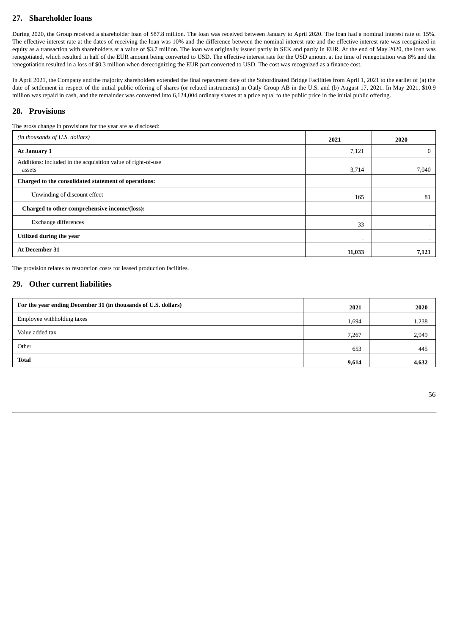## **27. Shareholder loans**

During 2020, the Group received a shareholder loan of \$87.8 million. The loan was received between January to April 2020. The loan had a nominal interest rate of 15%. The effective interest rate at the dates of receiving the loan was 10% and the difference between the nominal interest rate and the effective interest rate was recognized in equity as a transaction with shareholders at a value of \$3.7 million. The loan was originally issued partly in SEK and partly in EUR. At the end of May 2020, the loan was renegotiated, which resulted in half of the EUR amount being converted to USD. The effective interest rate for the USD amount at the time of renegotiation was 8% and the renegotiation resulted in a loss of \$0.3 million when derecognizing the EUR part converted to USD. The cost was recognized as a finance cost.

In April 2021, the Company and the majority shareholders extended the final repayment date of the Subordinated Bridge Facilities from April 1, 2021 to the earlier of (a) the date of settlement in respect of the initial public offering of shares (or related instruments) in Oatly Group AB in the U.S. and (b) August 17, 2021. In May 2021, \$10.9 million was repaid in cash, and the remainder was converted into 6,124,004 ordinary shares at a price equal to the public price in the initial public offering.

### **28. Provisions**

The gross change in provisions for the year are as disclosed:

| The gross change in provisions for the year are as disclosed:          |        |              |
|------------------------------------------------------------------------|--------|--------------|
| (in thousands of U.S. dollars)                                         | 2021   | 2020         |
| At January 1                                                           | 7,121  | $\mathbf{0}$ |
| Additions: included in the acquisition value of right-of-use<br>assets | 3,714  | 7,040        |
| Charged to the consolidated statement of operations:                   |        |              |
| Unwinding of discount effect                                           | 165    | 81           |
| Charged to other comprehensive income/(loss):                          |        |              |
| Exchange differences                                                   | 33     |              |
| Utilized during the year                                               | ۰.     | $\sim$       |
| At December 31                                                         | 11,033 | 7,121        |

The provision relates to restoration costs for leased production facilities.

## **29. Other current liabilities**

| For the year ending December 31 (in thousands of U.S. dollars) | 2021  | 2020  |
|----------------------------------------------------------------|-------|-------|
| Employee withholding taxes                                     | 1,694 | 1,238 |
| Value added tax                                                | 7,267 | 2,949 |
| Other                                                          | 653   | 445   |
| <b>Total</b>                                                   | 9,614 | 4,632 |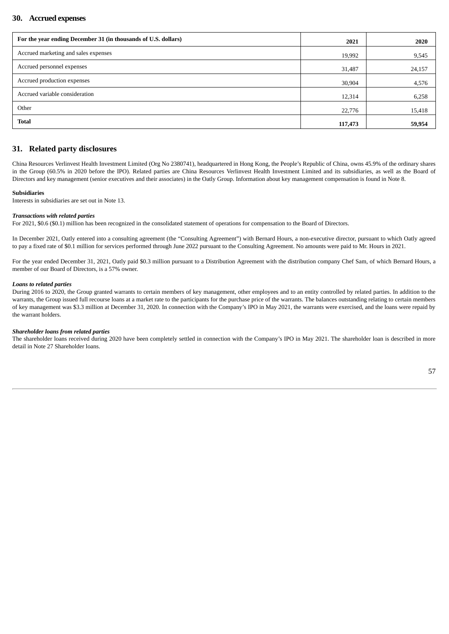### **30. Accrued expenses**

| For the year ending December 31 (in thousands of U.S. dollars) | 2021    | 2020   |
|----------------------------------------------------------------|---------|--------|
| Accrued marketing and sales expenses                           | 19,992  | 9,545  |
| Accrued personnel expenses                                     | 31,487  | 24,157 |
| Accrued production expenses                                    | 30,904  | 4,576  |
| Accrued variable consideration                                 | 12,314  | 6,258  |
| Other                                                          | 22,776  | 15,418 |
| <b>Total</b>                                                   | 117,473 | 59,954 |

## **31. Related party disclosures**

China Resources Verlinvest Health Investment Limited (Org No 2380741), headquartered in Hong Kong, the People's Republic of China, owns 45.9% of the ordinary shares in the Group (60.5% in 2020 before the IPO). Related parties are China Resources Verlinvest Health Investment Limited and its subsidiaries, as well as the Board of Directors and key management (senior executives and their associates) in the Oatly Group. Information about key management compensation is found in Note 8.

#### **Subsidiaries**

Interests in subsidiaries are set out in Note 13.

#### *Transactions with related parties*

For 2021, \$0.6 (\$0.1) million has been recognized in the consolidated statement of operations for compensation to the Board of Directors.

In December 2021, Oatly entered into a consulting agreement (the "Consulting Agreement") with Bernard Hours, a non-executive director, pursuant to which Oatly agreed to pay a fixed rate of \$0.1 million for services performed through June 2022 pursuant to the Consulting Agreement. No amounts were paid to Mr. Hours in 2021.

For the year ended December 31, 2021, Oatly paid \$0.3 million pursuant to a Distribution Agreement with the distribution company Chef Sam, of which Bernard Hours, a member of our Board of Directors, is a 57% owner.

#### *Loans to related parties*

During 2016 to 2020, the Group granted warrants to certain members of key management, other employees and to an entity controlled by related parties. In addition to the warrants, the Group issued full recourse loans at a market rate to the participants for the purchase price of the warrants. The balances outstanding relating to certain members of key management was \$3.3 million at December 31, 2020. In connection with the Company's IPO in May 2021, the warrants were exercised, and the loans were repaid by the warrant holders.

#### *Shareholder loans from related parties*

The shareholder loans received during 2020 have been completely settled in connection with the Company's IPO in May 2021. The shareholder loan is described in more detail in Note 27 Shareholder loans.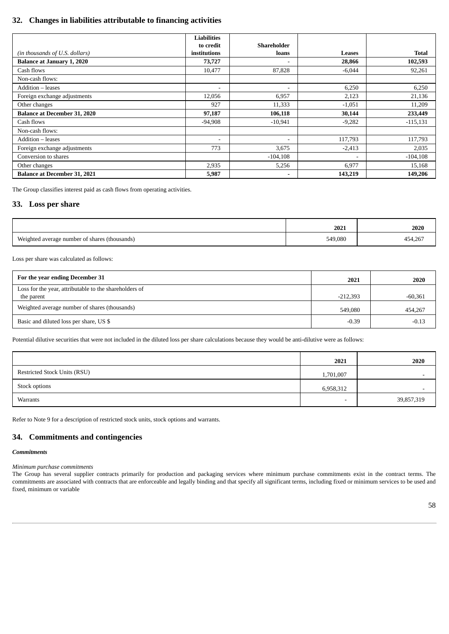## **32. Changes in liabilities attributable to financing activities**

|                                     | <b>Liabilities</b>           |                          |          |              |
|-------------------------------------|------------------------------|--------------------------|----------|--------------|
|                                     | to credit                    | Shareholder              |          |              |
| (in thousands of U.S. dollars)      | institutions                 | loans                    | Leases   | <b>Total</b> |
| <b>Balance at January 1, 2020</b>   | 73,727                       | -                        | 28,866   | 102,593      |
| Cash flows                          | 10,477                       | 87,828                   | $-6,044$ | 92,261       |
| Non-cash flows:                     |                              |                          |          |              |
| Addition - leases                   | $\qquad \qquad \blacksquare$ | $\overline{\phantom{a}}$ | 6,250    | 6,250        |
| Foreign exchange adjustments        | 12,056                       | 6,957                    | 2,123    | 21,136       |
| Other changes                       | 927                          | 11,333                   | $-1,051$ | 11,209       |
| <b>Balance at December 31, 2020</b> | 97,187                       | 106,118                  | 30,144   | 233,449      |
| Cash flows                          | $-94,908$                    | $-10,941$                | $-9,282$ | $-115,131$   |
| Non-cash flows:                     |                              |                          |          |              |
| Addition - leases                   | ۰                            | $\overline{\phantom{a}}$ | 117,793  | 117,793      |
| Foreign exchange adjustments        | 773                          | 3,675                    | $-2,413$ | 2,035        |
| Conversion to shares                |                              | $-104,108$               |          | $-104,108$   |
| Other changes                       | 2,935                        | 5,256                    | 6,977    | 15,168       |
| <b>Balance at December 31, 2021</b> | 5,987                        | $\overline{\phantom{0}}$ | 143,219  | 149,206      |

The Group classifies interest paid as cash flows from operating activities.

### **33. Loss per share**

|                                                    | 2021    | 2020    |
|----------------------------------------------------|---------|---------|
| Weighted average number of shares (thousands)<br>ت | 549,080 | 454,267 |

Loss per share was calculated as follows:

| For the year ending December 31                        | 2021       | 2020      |
|--------------------------------------------------------|------------|-----------|
| Loss for the year, attributable to the shareholders of |            |           |
| the parent                                             | $-212,393$ | $-60,361$ |
| Weighted average number of shares (thousands)          | 549.080    | 454,267   |
| Basic and diluted loss per share, US \$                | $-0.39$    | $-0.13$   |

Potential dilutive securities that were not included in the diluted loss per share calculations because they would be anti-dilutive were as follows:

|                                     | 2021                     | 2020       |
|-------------------------------------|--------------------------|------------|
| <b>Restricted Stock Units (RSU)</b> | 1,701,007                | ٠          |
| Stock options                       | 6,958,312                | ٠          |
| Warrants                            | $\overline{\phantom{a}}$ | 39,857,319 |

Refer to Note 9 for a description of restricted stock units, stock options and warrants.

### **34. Commitments and contingencies**

#### *Commitments*

*Minimum purchase commitments*

The Group has several supplier contracts primarily for production and packaging services where minimum purchase commitments exist in the contract terms. The commitments are associated with contracts that are enforceable and legally binding and that specify all significant terms, including fixed or minimum services to be used and fixed, minimum or variable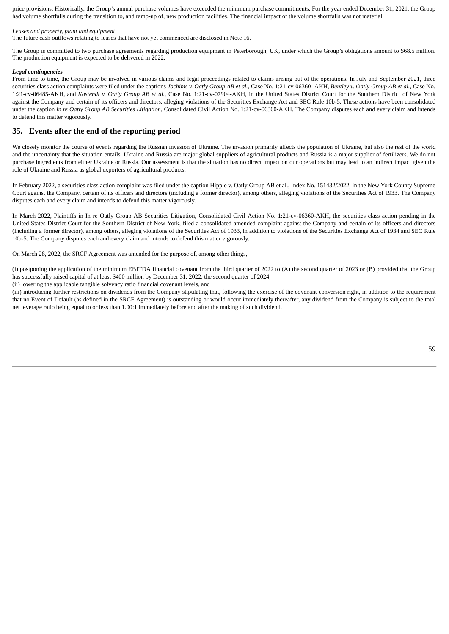price provisions. Historically, the Group's annual purchase volumes have exceeded the minimum purchase commitments. For the year ended December 31, 2021, the Group had volume shortfalls during the transition to, and ramp-up of, new production facilities. The financial impact of the volume shortfalls was not material.

#### *Leases and property, plant and equipment*

The future cash outflows relating to leases that have not yet commenced are disclosed in Note 16.

The Group is committed to two purchase agreements regarding production equipment in Peterborough, UK, under which the Group's obligations amount to \$68.5 million. The production equipment is expected to be delivered in 2022.

#### *Legal contingencies*

From time to time, the Group may be involved in various claims and legal proceedings related to claims arising out of the operations. In July and September 2021, three securities class action complaints were filed under the captions *Jochims v. Oatly Group AB et al.*, Case No. 1:21-cv-06360- AKH, *Bentley v. Oatly Group AB et al.*, Case No. 1:21-cv-06485-AKH, and *Kostendt v. Oatly Group AB et al.*, Case No. 1:21-cv-07904-AKH, in the United States District Court for the Southern District of New York against the Company and certain of its officers and directors, alleging violations of the Securities Exchange Act and SEC Rule 10b-5. These actions have been consolidated under the caption *In re Oatly Group AB Securities Litigation*, Consolidated Civil Action No. 1:21-cv-06360-AKH. The Company disputes each and every claim and intends to defend this matter vigorously.

#### **35. Events after the end of the reporting period**

We closely monitor the course of events regarding the Russian invasion of Ukraine. The invasion primarily affects the population of Ukraine, but also the rest of the world and the uncertainty that the situation entails. Ukraine and Russia are major global suppliers of agricultural products and Russia is a major supplier of fertilizers. We do not purchase ingredients from either Ukraine or Russia. Our assessment is that the situation has no direct impact on our operations but may lead to an indirect impact given the role of Ukraine and Russia as global exporters of agricultural products.

In February 2022, a securities class action complaint was filed under the caption Hipple v. Oatly Group AB et al., Index No. 151432/2022, in the New York County Supreme Court against the Company, certain of its officers and directors (including a former director), among others, alleging violations of the Securities Act of 1933. The Company disputes each and every claim and intends to defend this matter vigorously.

In March 2022, Plaintiffs in In re Oatly Group AB Securities Litigation, Consolidated Civil Action No. 1:21-cv-06360-AKH, the securities class action pending in the United States District Court for the Southern District of New York, filed a consolidated amended complaint against the Company and certain of its officers and directors (including a former director), among others, alleging violations of the Securities Act of 1933, in addition to violations of the Securities Exchange Act of 1934 and SEC Rule 10b-5. The Company disputes each and every claim and intends to defend this matter vigorously.

On March 28, 2022, the SRCF Agreement was amended for the purpose of, among other things,

(i) postponing the application of the minimum EBITDA financial covenant from the third quarter of 2022 to (A) the second quarter of 2023 or (B) provided that the Group has successfully raised capital of at least \$400 million by December 31, 2022, the second quarter of 2024,

(ii) lowering the applicable tangible solvency ratio financial covenant levels, and

(iii) introducing further restrictions on dividends from the Company stipulating that, following the exercise of the covenant conversion right, in addition to the requirement that no Event of Default (as defined in the SRCF Agreement) is outstanding or would occur immediately thereafter, any dividend from the Company is subject to the total net leverage ratio being equal to or less than 1.00:1 immediately before and after the making of such dividend.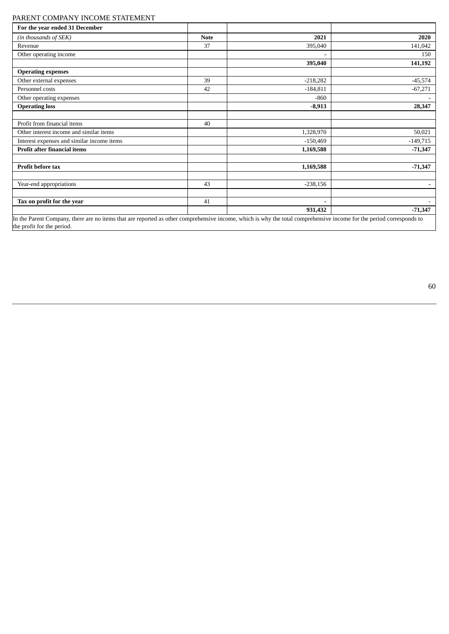## PARENT COMPANY INCOME STATEMENT

| For the year ended 31 December                                                                                                                                       |             |                          |            |
|----------------------------------------------------------------------------------------------------------------------------------------------------------------------|-------------|--------------------------|------------|
| (in thousands of SEK)                                                                                                                                                | <b>Note</b> | 2021                     | 2020       |
| Revenue                                                                                                                                                              | 37          | 395,040                  | 141,042    |
| Other operating income                                                                                                                                               |             | $\overline{\phantom{a}}$ | 150        |
|                                                                                                                                                                      |             | 395,040                  | 141,192    |
| <b>Operating expenses</b>                                                                                                                                            |             |                          |            |
| Other external expenses                                                                                                                                              | 39          | $-218,282$               | $-45,574$  |
| Personnel costs                                                                                                                                                      | 42          | $-184,811$               | $-67,271$  |
| Other operating expenses                                                                                                                                             |             | $-860$                   |            |
| <b>Operating loss</b>                                                                                                                                                |             | $-8,913$                 | 28,347     |
|                                                                                                                                                                      |             |                          |            |
| Profit from financial items                                                                                                                                          | 40          |                          |            |
| Other interest income and similar items                                                                                                                              |             | 1,328,970                | 50,021     |
| Interest expenses and similar income items                                                                                                                           |             | $-150,469$               | $-149,715$ |
| <b>Profit after financial items</b>                                                                                                                                  |             | 1,169,588                | $-71,347$  |
|                                                                                                                                                                      |             |                          |            |
| <b>Profit before tax</b>                                                                                                                                             |             | 1,169,588                | $-71,347$  |
|                                                                                                                                                                      |             |                          |            |
| Year-end appropriations                                                                                                                                              | 43          | $-238,156$               |            |
|                                                                                                                                                                      |             |                          |            |
| Tax on profit for the year                                                                                                                                           | 41          | ۰                        |            |
|                                                                                                                                                                      |             | 931,432                  | $-71,347$  |
| In the Parent Company, there are no items that are reported as other comprehensive income, which is why the total comprehensive income for the period corresponds to |             |                          |            |

the profit for the period.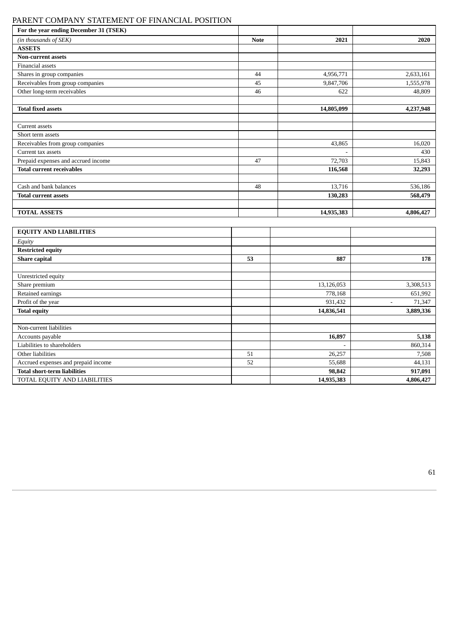## PARENT COMPANY STATEMENT OF FINANCIAL POSITION

| For the year ending December 31 (TSEK) |             |            |           |
|----------------------------------------|-------------|------------|-----------|
| (in thousands of SEK)                  | <b>Note</b> | 2021       | 2020      |
| <b>ASSETS</b>                          |             |            |           |
| <b>Non-current assets</b>              |             |            |           |
| Financial assets                       |             |            |           |
| Shares in group companies              | 44          | 4,956,771  | 2,633,161 |
| Receivables from group companies       | 45          | 9,847,706  | 1,555,978 |
| Other long-term receivables            | 46          | 622        | 48,809    |
|                                        |             |            |           |
| <b>Total fixed assets</b>              |             | 14,805,099 | 4,237,948 |
|                                        |             |            |           |
| Current assets                         |             |            |           |
| Short term assets                      |             |            |           |
| Receivables from group companies       |             | 43,865     | 16,020    |
| Current tax assets                     |             |            | 430       |
| Prepaid expenses and accrued income    | 47          | 72,703     | 15,843    |
| <b>Total current receivables</b>       |             | 116,568    | 32,293    |
|                                        |             |            |           |
| Cash and bank balances                 | 48          | 13,716     | 536,186   |
| <b>Total current assets</b>            |             | 130,283    | 568,479   |
|                                        |             |            |           |
| <b>TOTAL ASSETS</b>                    |             | 14,935,383 | 4,806,427 |
|                                        |             |            |           |
| <b>EQUITY AND LIABILITIES</b>          |             |            |           |
| Equity                                 |             |            |           |

| LVVII I ЛИФ ЕМ <b>ЮЛ</b> ЕННЕЗ      |    |                          |           |
|-------------------------------------|----|--------------------------|-----------|
| Equity                              |    |                          |           |
| <b>Restricted equity</b>            |    |                          |           |
| <b>Share capital</b>                | 53 | 887                      | 178       |
|                                     |    |                          |           |
| Unrestricted equity                 |    |                          |           |
| Share premium                       |    | 13,126,053               | 3,308,513 |
| Retained earnings                   |    | 778,168                  | 651,992   |
| Profit of the year                  |    | 931,432                  | 71,347    |
| <b>Total equity</b>                 |    | 14,836,541               | 3,889,336 |
|                                     |    |                          |           |
| Non-current liabilities             |    |                          |           |
| Accounts payable                    |    | 16,897                   | 5,138     |
| Liabilities to shareholders         |    | $\overline{\phantom{a}}$ | 860,314   |
| Other liabilities                   | 51 | 26,257                   | 7,508     |
| Accrued expenses and prepaid income | 52 | 55,688                   | 44,131    |
| <b>Total short-term liabilities</b> |    | 98,842                   | 917,091   |
| TOTAL EQUITY AND LIABILITIES        |    | 14,935,383               | 4,806,427 |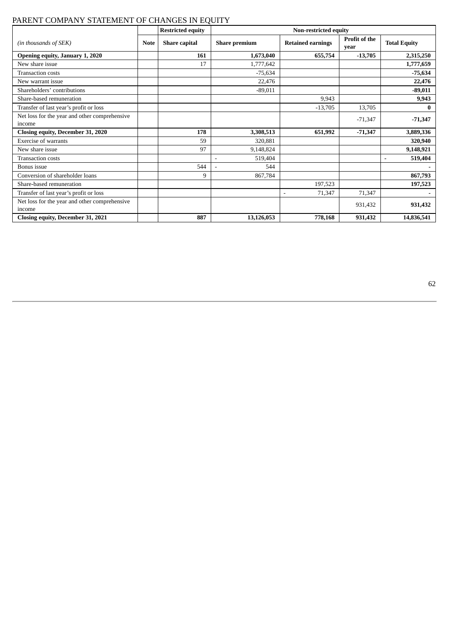## PARENT COMPANY STATEMENT OF CHANGES IN EQUITY

|                                                         |             | <b>Restricted equity</b> | Non-restricted equity |                          |                              |                           |
|---------------------------------------------------------|-------------|--------------------------|-----------------------|--------------------------|------------------------------|---------------------------|
| (in thousands of SEK)                                   | <b>Note</b> | <b>Share capital</b>     | <b>Share premium</b>  | <b>Retained earnings</b> | <b>Profit of the</b><br>vear | <b>Total Equity</b>       |
| Opening equity, January 1, 2020                         |             | 161                      | 1,673,040             | 655,754                  | $-13,705$                    | 2,315,250                 |
| New share issue                                         |             | 17                       | 1,777,642             |                          |                              | 1,777,659                 |
| <b>Transaction costs</b>                                |             |                          | $-75,634$             |                          |                              | $-75,634$                 |
| New warrant issue                                       |             |                          | 22,476                |                          |                              | 22,476                    |
| Shareholders' contributions                             |             |                          | $-89,011$             |                          |                              | $-89,011$                 |
| Share-based remuneration                                |             |                          |                       | 9,943                    |                              | 9,943                     |
| Transfer of last year's profit or loss                  |             |                          |                       | $-13,705$                | 13,705                       | $\bf{0}$                  |
| Net loss for the year and other comprehensive<br>income |             |                          |                       |                          | $-71,347$                    | $-71,347$                 |
| Closing equity, December 31, 2020                       |             | 178                      | 3,308,513             | 651,992                  | $-71,347$                    | 3,889,336                 |
| <b>Exercise of warrants</b>                             |             | 59                       | 320,881               |                          |                              | 320,940                   |
| New share issue                                         |             | 97                       | 9,148,824             |                          |                              | 9,148,921                 |
| <b>Transaction costs</b>                                |             |                          | 519,404               |                          |                              | 519,404<br>$\overline{a}$ |
| Bonus issue                                             |             | 544                      | 544<br>$\blacksquare$ |                          |                              |                           |
| Conversion of shareholder loans                         |             | 9                        | 867,784               |                          |                              | 867,793                   |
| Share-based remuneration                                |             |                          |                       | 197,523                  |                              | 197,523                   |
| Transfer of last year's profit or loss                  |             |                          |                       | 71,347                   | 71,347                       |                           |
| Net loss for the year and other comprehensive<br>income |             |                          |                       |                          | 931,432                      | 931,432                   |
| Closing equity, December 31, 2021                       |             | 887                      | 13,126,053            | 778,168                  | 931,432                      | 14,836,541                |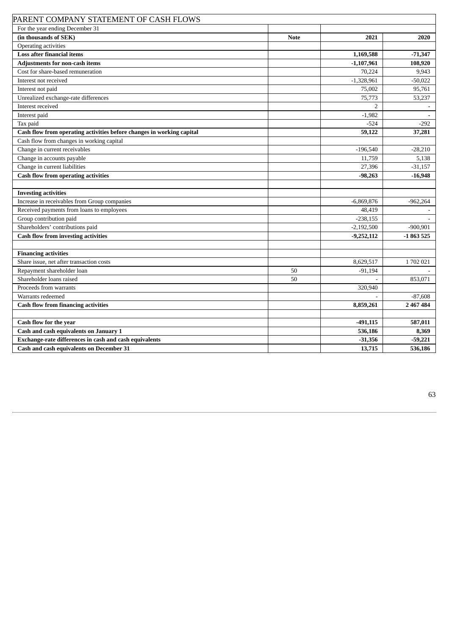| PARENT COMPANY STATEMENT OF CASH FLOWS                                |             |                |            |
|-----------------------------------------------------------------------|-------------|----------------|------------|
| For the year ending December 31                                       |             |                |            |
| (in thousands of SEK)                                                 | <b>Note</b> | 2021           | 2020       |
| Operating activities                                                  |             |                |            |
| <b>Loss after financial items</b>                                     |             | 1,169,588      | $-71,347$  |
| <b>Adjustments for non-cash items</b>                                 |             | $-1,107,961$   | 108,920    |
| Cost for share-based remuneration                                     |             | 70,224         | 9,943      |
| Interest not received                                                 |             | $-1,328,961$   | $-50,022$  |
| Interest not paid                                                     |             | 75,002         | 95,761     |
| Unrealized exchange-rate differences                                  |             | 75,773         | 53,237     |
| Interest received                                                     |             | $\overline{2}$ |            |
| Interest paid                                                         |             | $-1,982$       |            |
| Tax paid                                                              |             | $-524$         | $-292$     |
| Cash flow from operating activities before changes in working capital |             | 59,122         | 37,281     |
| Cash flow from changes in working capital                             |             |                |            |
| Change in current receivables                                         |             | $-196,540$     | $-28,210$  |
| Change in accounts payable                                            |             | 11,759         | 5,138      |
| Change in current liabilities                                         |             | 27,396         | $-31,157$  |
| <b>Cash flow from operating activities</b>                            |             | $-98,263$      | $-16,948$  |
|                                                                       |             |                |            |
| <b>Investing activities</b>                                           |             |                |            |
| Increase in receivables from Group companies                          |             | $-6,869,876$   | $-962,264$ |
| Received payments from loans to employees                             |             | 48,419         |            |
| Group contribution paid                                               |             | $-238,155$     |            |
| Shareholders' contributions paid                                      |             | $-2,192,500$   | $-900,901$ |
| <b>Cash flow from investing activities</b>                            |             | $-9,252,112$   | $-1863525$ |
|                                                                       |             |                |            |
| <b>Financing activities</b>                                           |             |                |            |
| Share issue, net after transaction costs                              |             | 8,629,517      | 1702021    |
| Repayment shareholder loan                                            | 50          | $-91,194$      |            |
| Shareholder loans raised                                              | 50          |                | 853,071    |
| Proceeds from warrants                                                |             | 320,940        |            |
| Warrants redeemed                                                     |             |                | $-87,608$  |
| <b>Cash flow from financing activities</b>                            |             | 8,859,261      | 2 467 484  |
|                                                                       |             |                |            |
| Cash flow for the year                                                |             | $-491,115$     | 587,011    |
| Cash and cash equivalents on January 1                                |             | 536,186        | 8,369      |
| Exchange-rate differences in cash and cash equivalents                |             | $-31,356$      | $-59,221$  |
| <b>Cash and cash equivalents on December 31</b>                       |             | 13,715         | 536,186    |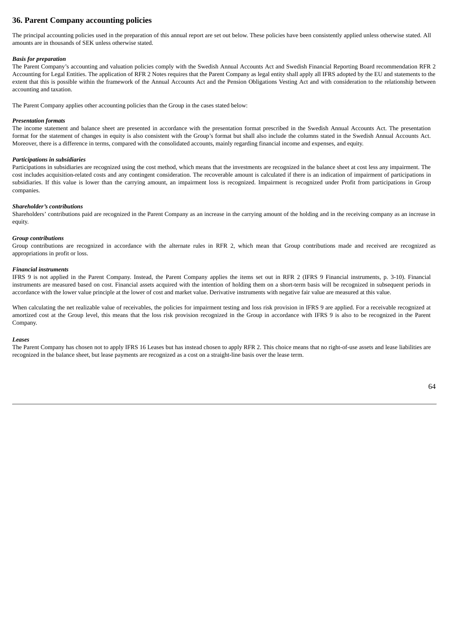## **36. Parent Company accounting policies**

The principal accounting policies used in the preparation of this annual report are set out below. These policies have been consistently applied unless otherwise stated. All amounts are in thousands of SEK unless otherwise stated.

#### *Basis for preparation*

The Parent Company's accounting and valuation policies comply with the Swedish Annual Accounts Act and Swedish Financial Reporting Board recommendation RFR 2 Accounting for Legal Entities. The application of RFR 2 Notes requires that the Parent Company as legal entity shall apply all IFRS adopted by the EU and statements to the extent that this is possible within the framework of the Annual Accounts Act and the Pension Obligations Vesting Act and with consideration to the relationship between accounting and taxation.

The Parent Company applies other accounting policies than the Group in the cases stated below:

#### *Presentation formats*

The income statement and balance sheet are presented in accordance with the presentation format prescribed in the Swedish Annual Accounts Act. The presentation format for the statement of changes in equity is also consistent with the Group's format but shall also include the columns stated in the Swedish Annual Accounts Act. Moreover, there is a difference in terms, compared with the consolidated accounts, mainly regarding financial income and expenses, and equity.

#### *Participations in subsidiaries*

Participations in subsidiaries are recognized using the cost method, which means that the investments are recognized in the balance sheet at cost less any impairment. The cost includes acquisition-related costs and any contingent consideration. The recoverable amount is calculated if there is an indication of impairment of participations in subsidiaries. If this value is lower than the carrying amount, an impairment loss is recognized. Impairment is recognized under Profit from participations in Group companies.

#### *Shareholder's contributions*

Shareholders' contributions paid are recognized in the Parent Company as an increase in the carrying amount of the holding and in the receiving company as an increase in equity.

#### *Group contributions*

Group contributions are recognized in accordance with the alternate rules in RFR 2, which mean that Group contributions made and received are recognized as appropriations in profit or loss.

#### *Financial instruments*

IFRS 9 is not applied in the Parent Company. Instead, the Parent Company applies the items set out in RFR 2 (IFRS 9 Financial instruments, p. 3-10). Financial instruments are measured based on cost. Financial assets acquired with the intention of holding them on a short-term basis will be recognized in subsequent periods in accordance with the lower value principle at the lower of cost and market value. Derivative instruments with negative fair value are measured at this value.

When calculating the net realizable value of receivables, the policies for impairment testing and loss risk provision in IFRS 9 are applied. For a receivable recognized at amortized cost at the Group level, this means that the loss risk provision recognized in the Group in accordance with IFRS 9 is also to be recognized in the Parent Company.

#### *Leases*

The Parent Company has chosen not to apply IFRS 16 Leases but has instead chosen to apply RFR 2. This choice means that no right-of-use assets and lease liabilities are recognized in the balance sheet, but lease payments are recognized as a cost on a straight-line basis over the lease term.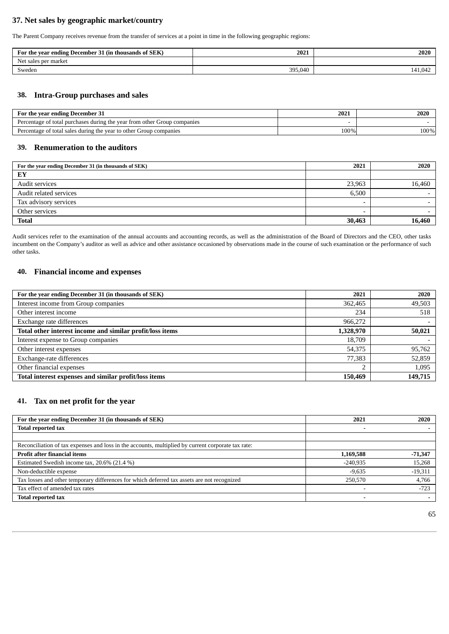## **37. Net sales by geographic market/country**

The Parent Company receives revenue from the transfer of services at a point in time in the following geographic regions:

| For the year ending December 31 (in thousands of SEK) | 2021    | 2020    |
|-------------------------------------------------------|---------|---------|
| Net .<br>market<br>sales per                          |         |         |
| Sweden                                                | 395,040 | 141,042 |

## **38. Intra-Group purchases and sales**

| For the vear ending December 31                                          | 2021 | 2020 |
|--------------------------------------------------------------------------|------|------|
| Percentage of total purchases during the year from other Group companies |      |      |
| Percentage of total sales during the year to other Group companies       | 100% | 100% |

### **39. Renumeration to the auditors**

| For the year ending December 31 (in thousands of SEK) | 2021                     | 2020                     |
|-------------------------------------------------------|--------------------------|--------------------------|
| EY                                                    |                          |                          |
| Audit services                                        | 23,963                   | 16,460                   |
| Audit related services                                | 6.500                    | $\sim$                   |
| Tax advisory services                                 |                          | $\overline{\phantom{0}}$ |
| Other services                                        | $\overline{\phantom{0}}$ |                          |
| <b>Total</b>                                          | 30,463                   | 16,460                   |

Audit services refer to the examination of the annual accounts and accounting records, as well as the administration of the Board of Directors and the CEO, other tasks incumbent on the Company's auditor as well as advice and other assistance occasioned by observations made in the course of such examination or the performance of such other tasks.

## **40. Financial income and expenses**

| For the year ending December 31 (in thousands of SEK)     | 2021      | 2020    |
|-----------------------------------------------------------|-----------|---------|
| Interest income from Group companies                      | 362,465   | 49,503  |
| Other interest income                                     | 234       | 518     |
| Exchange rate differences                                 | 966,272   |         |
| Total other interest income and similar profit/loss items | 1,328,970 | 50,021  |
| Interest expense to Group companies                       | 18,709    |         |
| Other interest expenses                                   | 54,375    | 95,762  |
| Exchange-rate differences                                 | 77,383    | 52,859  |
| Other financial expenses                                  | n.        | 1,095   |
| Total interest expenses and similar profit/loss items     | 150,469   | 149,715 |

## **41. Tax on net profit for the year**

| For the year ending December 31 (in thousands of SEK)                                              | 2021       | 2020      |
|----------------------------------------------------------------------------------------------------|------------|-----------|
| <b>Total reported tax</b>                                                                          |            |           |
|                                                                                                    |            |           |
| Reconciliation of tax expenses and loss in the accounts, multiplied by current corporate tax rate: |            |           |
| <b>Profit after financial items</b>                                                                | 1,169,588  | $-71,347$ |
| Estimated Swedish income tax, 20.6% (21.4 %)                                                       | $-240.935$ | 15,268    |
| Non-deductible expense                                                                             | $-9.635$   | $-19,311$ |
| Tax losses and other temporary differences for which deferred tax assets are not recognized        | 250,570    | 4,766     |
| Tax effect of amended tax rates                                                                    |            | $-723$    |
| <b>Total reported tax</b>                                                                          |            |           |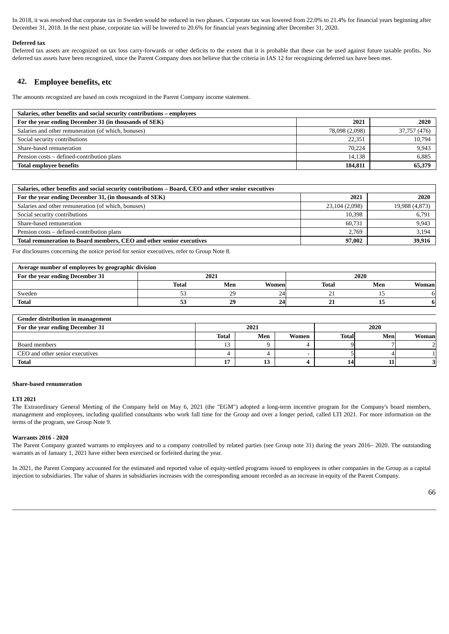In 2018, it was resolved that corporate tax in Sweden would be reduced in two phases. Corporate tax was lowered from 22.0% to 21.4% for financial years beginning after December 31, 2018. In the next phase, corporate tax will be lowered to 20.6% for financial years beginning after December 31, 2020.

#### **Deferred tax**

Deferred tax assets are recognized on tax loss carry-forwards or other deficits to the extent that it is probable that these can be used against future taxable profits. No deferred tax assets have been recognized, since the Parent Company does not believe that the criteria in IAS 12 for recognizing deferred tax have been met.

### **42. Employee benefits, etc**

The amounts recognized are based on costs recognized in the Parent Company income statement.

| Salaries, other benefits and social security contributions – employees |                |              |
|------------------------------------------------------------------------|----------------|--------------|
| For the year ending December 31 (in thousands of SEK)                  | 2021           | 2020         |
| Salaries and other remuneration (of which, bonuses)                    | 78,098 (2,098) | 37,757 (476) |
| Social security contributions                                          | 22.351         | 10,794       |
| Share-based remuneration                                               | 70.224         | 9,943        |
| Pension costs – defined-contribution plans                             | 14.138         | 6,885        |
| <b>Total employee benefits</b>                                         | 184,811        | 65,379       |

| Salaries, other benefits and social security contributions – Board, CEO and other senior executives |                |                |
|-----------------------------------------------------------------------------------------------------|----------------|----------------|
| For the year ending December 31, (in thousands of SEK)                                              | 2021           | 2020           |
| Salaries and other remuneration (of which, bonuses)                                                 | 23,104 (2,098) | 19,988 (4,873) |
| Social security contributions                                                                       | 10,398         | 6,791          |
| Share-based remuneration                                                                            | 60.731         | 9,943          |
| Pension costs – defined-contribution plans                                                          | 2.769          | 3,194          |
| Total remuneration to Board members, CEO and other senior executives                                | 97,002         | 39,916         |

For disclosures concerning the notice period for senior executives, refer to Group Note 8.

| Average number of employees by geographic division |       |      |       |              |      |        |
|----------------------------------------------------|-------|------|-------|--------------|------|--------|
| For the year ending December 31                    |       | 2021 |       |              | 2020 |        |
|                                                    | Total | Men  | Women | <b>Total</b> | Men  | Womanl |
| Sweden                                             | ر ر   | 29   | 24    | - -          |      |        |
| <b>Total</b>                                       | 53    | 29   | 24    | n.<br>41     |      |        |

| Gender distribution in management |              |      |       |              |      |       |
|-----------------------------------|--------------|------|-------|--------------|------|-------|
| For the year ending December 31   |              | 2021 |       |              | 2020 |       |
|                                   | <b>Total</b> | Men  | Women | <b>Total</b> | Men  | Woman |
| Board members                     | ⊥ఎ           |      |       |              |      |       |
| CEO and other senior executives   |              |      |       |              |      |       |
| <b>Total</b>                      |              | w    |       | 14.          |      |       |

#### **Share-based renumeration**

#### **LTI 2021**

The Extraordinary General Meeting of the Company held on May 6, 2021 (the "EGM") adopted a long-term incentive program for the Company's board members, management and employees, including qualified consultants who work full time for the Group and over a longer period, called LTI 2021. For more information on the terms of the program, see Group Note 9.

#### **Warrants 2016 - 2020**

The Parent Company granted warrants to employees and to a company controlled by related parties (see Group note 31) during the years 2016– 2020. The outstanding warrants as of January 1, 2021 have either been exercised or forfeited during the year.

In 2021, the Parent Company accounted for the estimated and reported value of equity-settled programs issued to employees in other companies in the Group as a capital injection to subsidiaries. The value of shares in subsidiaries increases with the corresponding amount recorded as an increase in equity of the Parent Company.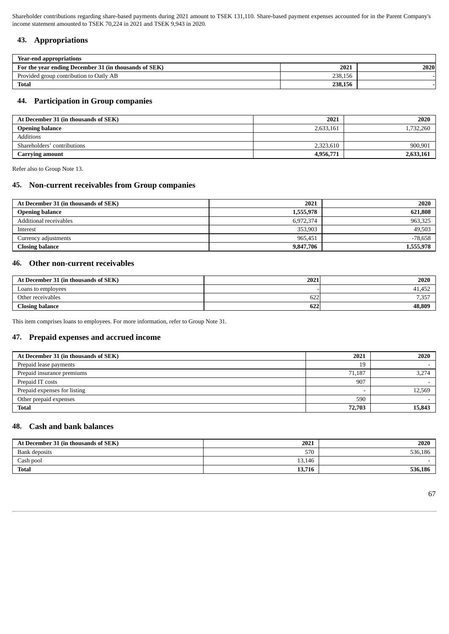Shareholder contributions regarding share-based payments during 2021 amount to TSEK 131,110. Share-based payment expenses accounted for in the Parent Company's income statement amounted to TSEK 70,224 in 2021 and TSEK 9,943 in 2020.

## **43. Appropriations**

| Year-end appropriations                               |         |      |
|-------------------------------------------------------|---------|------|
| For the year ending December 31 (in thousands of SEK) | 2021    | 2020 |
| Provided group contribution to Oatly AB               | 238,156 |      |
| <b>Total</b>                                          | 238,156 |      |

## **44. Participation in Group companies**

| At December 31 (in thousands of SEK) | 2021      | 2020      |
|--------------------------------------|-----------|-----------|
| <b>Opening balance</b>               | 2,633,161 | 1,732,260 |
| <b>Additions</b>                     |           |           |
| Shareholders' contributions          | 2,323,610 | 900,901   |
| <b>Carrying amount</b>               | 4,956,771 | 2,633,161 |

Refer also to Group Note 13.

## **45. Non-current receivables from Group companies**

| At December 31 (in thousands of SEK) | 2021      | 2020      |
|--------------------------------------|-----------|-----------|
| <b>Opening balance</b>               | 1,555,978 | 621,808   |
| Additional receivables               | 6,972,374 | 963,325   |
| Interest                             | 353,903   | 49,503    |
| Currency adjustments                 | 965.451   | $-78,658$ |
| <b>Closing balance</b>               | 9,847,706 | 1,555,978 |

## **46. Other non-current receivables**

| At December 31 (in thousands of SEK) | 2021 | 2020             |
|--------------------------------------|------|------------------|
| Loans to employees                   |      | 41.452           |
| Other receivables                    | 622  | 7 257<br>، ر. ر. |
| <b>Closing balance</b>               | 622  | 48,809           |

This item comprises loans to employees. For more information, refer to Group Note 31.

## **47. Prepaid expenses and accrued income**

| At December 31 (in thousands of SEK) | 2021   | 2020   |
|--------------------------------------|--------|--------|
| Prepaid lease payments               | 19     |        |
| Prepaid insurance premiums           | 71,187 | 3,274  |
| Prepaid IT costs                     | 907    |        |
| Prepaid expenses for listing         |        | 12,569 |
| Other prepaid expenses               | 590    |        |
| <b>Total</b>                         | 72,703 | 15,843 |

## **48. Cash and bank balances**

| At December 31 (in thousands of SEK) | 2021   | 2020    |
|--------------------------------------|--------|---------|
| Bank deposits                        | 570    | 536,186 |
| Cash pool                            | 13,146 |         |
| <b>Total</b>                         | 13,716 | 536,186 |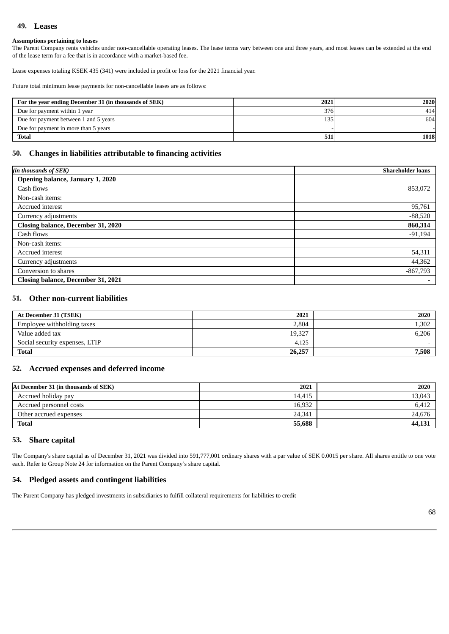## **49. Leases**

### **Assumptions pertaining to leases**

The Parent Company rents vehicles under non-cancellable operating leases. The lease terms vary between one and three years, and most leases can be extended at the end of the lease term for a fee that is in accordance with a market-based fee.

Lease expenses totaling KSEK 435 (341) were included in profit or loss for the 2021 financial year.

Future total minimum lease payments for non-cancellable leases are as follows:

| For the year ending December 31 (in thousands of SEK) | 2021 | 2020 |
|-------------------------------------------------------|------|------|
| Due for payment within 1 year                         | 376  | 414  |
| Due for payment between 1 and 5 years                 | 135  | 604  |
| Due for payment in more than 5 years                  |      |      |
| <b>Total</b>                                          | 511  | 1018 |

## **50. Changes in liabilities attributable to financing activities**

| (in thousands of SEK)                     | <b>Shareholder loans</b> |
|-------------------------------------------|--------------------------|
| Opening balance, January 1, 2020          |                          |
| Cash flows                                | 853,072                  |
| Non-cash items:                           |                          |
| Accrued interest                          | 95,761                   |
| Currency adjustments                      | $-88,520$                |
| <b>Closing balance, December 31, 2020</b> | 860,314                  |
| Cash flows                                | $-91,194$                |
| Non-cash items:                           |                          |
| Accrued interest                          | 54,311                   |
| Currency adjustments                      | 44,362                   |
| Conversion to shares                      | $-867,793$               |
| <b>Closing balance, December 31, 2021</b> |                          |

### **51. Other non-current liabilities**

| At December 31 (TSEK)          | 2021   | 2020  |
|--------------------------------|--------|-------|
| Employee withholding taxes     | 2.804  | 1,302 |
| Value added tax                | 19,327 | 6,206 |
| Social security expenses, LTIP | 4.125  |       |
| <b>Total</b>                   | 26,257 | 7,508 |

## **52. Accrued expenses and deferred income**

| At December 31 (in thousands of SEK) | 2021   | 2020   |
|--------------------------------------|--------|--------|
| Accrued holiday pay                  | 14.415 | 13,043 |
| Accrued personnel costs              | 16,932 | 6,412  |
| Other accrued expenses               | 24,341 | 24,676 |
| <b>Total</b>                         | 55,688 | 44,131 |

## **53. Share capital**

The Company's share capital as of December 31, 2021 was divided into 591,777,001 ordinary shares with a par value of SEK 0.0015 per share. All shares entitle to one vote each. Refer to Group Note 24 for information on the Parent Company's share capital.

### **54. Pledged assets and contingent liabilities**

The Parent Company has pledged investments in subsidiaries to fulfill collateral requirements for liabilities to credit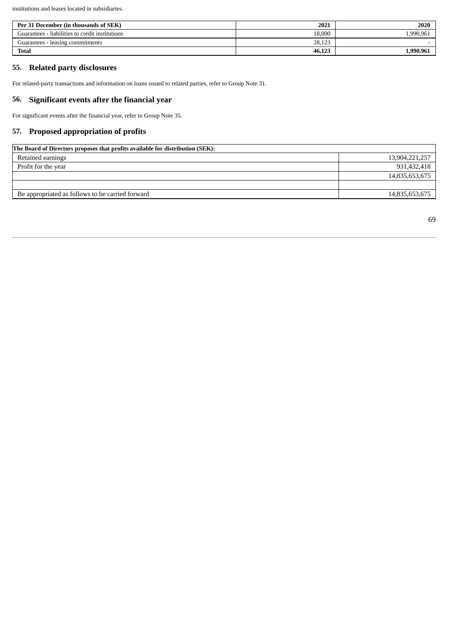institutions and leases located in subsidiaries.

| Per 31 December (in thousands of SEK)           | 2021   | 2020      |
|-------------------------------------------------|--------|-----------|
| Guarantees - liabilities to credit institutions | 18.000 | ,990,961  |
| Guarantees - leasing commitments                | 28,123 |           |
| <b>Total</b>                                    | 46,123 | 1.990.961 |

## **55. Related party disclosures**

For related-party transactions and information on loans issued to related parties, refer to Group Note 31.

## **56. Significant events after the financial year**

For significant events after the financial year, refer to Group Note 35.

## **57. Proposed appropriation of profits**

| The Board of Directors proposes that profits available for distribution (SEK): |                |  |
|--------------------------------------------------------------------------------|----------------|--|
| Retained earnings                                                              | 13,904,221,257 |  |
| Profit for the year                                                            | 931,432,418    |  |
|                                                                                | 14,835,653,675 |  |
|                                                                                |                |  |
| Be appropriated as follows to be carried forward                               | 14,835,653,675 |  |